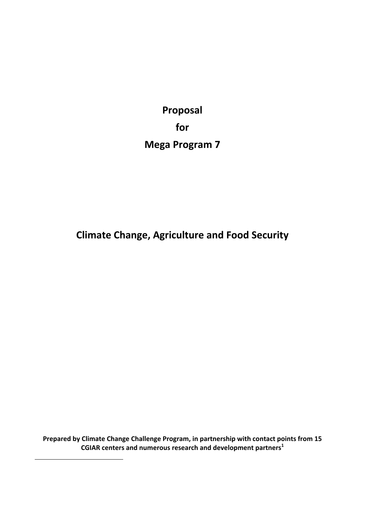**Proposal for Mega Program 7**

**Climate Change, Agriculture and Food Security**

**Prepared by Climate Change Challenge Program, in partnership with contact points from 15 CGIAR centers and numerous research and development partners<sup>1</sup>**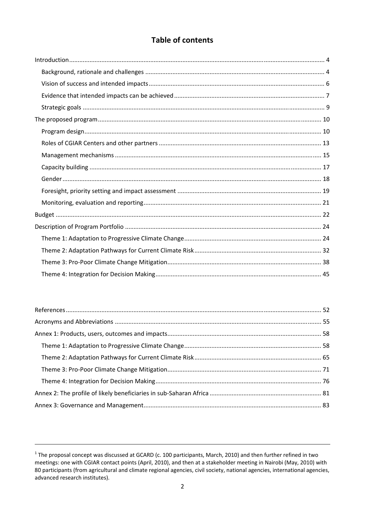# **Table of contents**

 $1$  The proposal concept was discussed at GCARD (c. 100 participants, March, 2010) and then further refined in two meetings: one with CGIAR contact points (April, 2010), and then at a stakeholder meeting in Nairobi (May, 2010) with 80 participants (from agricultural and climate regional agencies, civil society, national agencies, international agencies, advanced research institutes).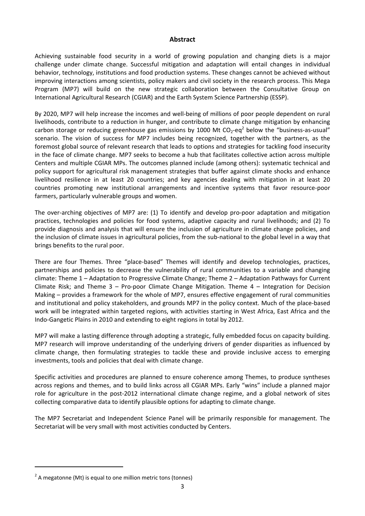#### **Abstract**

Achieving sustainable food security in a world of growing population and changing diets is a major challenge under climate change. Successful mitigation and adaptation will entail changes in individual behavior, technology, institutions and food production systems. These changes cannot be achieved without improving interactions among scientists, policy makers and civil society in the research process. This Mega Program (MP7) will build on the new strategic collaboration between the Consultative Group on International Agricultural Research (CGIAR) and the Earth System Science Partnership (ESSP).

By 2020, MP7 will help increase the incomes and well‐being of millions of poor people dependent on rural livelihoods, contribute to a reduction in hunger, and contribute to climate change mitigation by enhancing carbon storage or reducing greenhouse gas emissions by 1000 Mt  $CO<sub>2</sub>$ -eq<sup>2</sup> below the "business-as-usual" scenario. The vision of success for MP7 includes being recognized, together with the partners, as the foremost global source of relevant research that leads to options and strategies for tackling food insecurity in the face of climate change. MP7 seeks to become a hub that facilitates collective action across multiple Centers and multiple CGIAR MPs. The outcomes planned include (among others): systematic technical and policy support for agricultural risk management strategies that buffer against climate shocks and enhance livelihood resilience in at least 20 countries; and key agencies dealing with mitigation in at least 20 countries promoting new institutional arrangements and incentive systems that favor resource‐poor farmers, particularly vulnerable groups and women.

The over-arching objectives of MP7 are: (1) To identify and develop pro-poor adaptation and mitigation practices, technologies and policies for food systems, adaptive capacity and rural livelihoods; and (2) To provide diagnosis and analysis that will ensure the inclusion of agriculture in climate change policies, and the inclusion of climate issues in agricultural policies, from the sub-national to the global level in a way that brings benefits to the rural poor.

There are four Themes. Three "place-based" Themes will identify and develop technologies, practices, partnerships and policies to decrease the vulnerability of rural communities to a variable and changing climate: Theme 1 – Adaptation to Progressive Climate Change; Theme 2 – Adaptation Pathways for Current Climate Risk; and Theme  $3 -$  Pro-poor Climate Change Mitigation. Theme  $4 -$  Integration for Decision Making – provides a framework for the whole of MP7, ensures effective engagement of rural communities and institutional and policy stakeholders, and grounds MP7 in the policy context. Much of the place-based work will be integrated within targeted regions, with activities starting in West Africa, East Africa and the Indo‐Gangetic Plains in 2010 and extending to eight regions in total by 2012.

MP7 will make a lasting difference through adopting a strategic, fully embedded focus on capacity building. MP7 research will improve understanding of the underlying drivers of gender disparities as influenced by climate change, then formulating strategies to tackle these and provide inclusive access to emerging investments, tools and policies that deal with climate change.

Specific activities and procedures are planned to ensure coherence among Themes, to produce syntheses across regions and themes, and to build links across all CGIAR MPs. Early "wins" include a planned major role for agriculture in the post‐2012 international climate change regime, and a global network of sites collecting comparative data to identify plausible options for adapting to climate change.

The MP7 Secretariat and Independent Science Panel will be primarily responsible for management. The Secretariat will be very small with most activities conducted by Centers.

 $2$  A megatonne (Mt) is equal to one million metric tons (tonnes)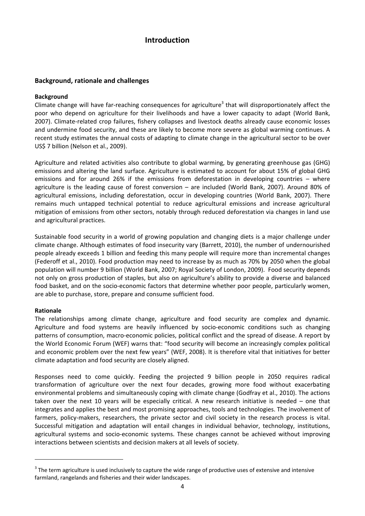# **Introduction**

#### **Background, rationale and challenges**

#### **Background**

Climate change will have far-reaching consequences for agriculture<sup>3</sup> that will disproportionately affect the poor who depend on agriculture for their livelihoods and have a lower capacity to adapt (World Bank, 2007). Climate‐related crop failures, fishery collapses and livestock deaths already cause economic losses and undermine food security, and these are likely to become more severe as global warming continues. A recent study estimates the annual costs of adapting to climate change in the agricultural sector to be over US\$ 7 billion (Nelson et al., 2009).

Agriculture and related activities also contribute to global warming, by generating greenhouse gas (GHG) emissions and altering the land surface. Agriculture is estimated to account for about 15% of global GHG emissions and for around 26% if the emissions from deforestation in developing countries – where agriculture is the leading cause of forest conversion – are included (World Bank, 2007). Around 80% of agricultural emissions, including deforestation, occur in developing countries (World Bank, 2007). There remains much untapped technical potential to reduce agricultural emissions and increase agricultural mitigation of emissions from other sectors, notably through reduced deforestation via changes in land use and agricultural practices.

Sustainable food security in a world of growing population and changing diets is a major challenge under climate change. Although estimates of food insecurity vary (Barrett, 2010), the number of undernourished people already exceeds 1 billion and feeding this many people will require more than incremental changes (Federoff et al., 2010). Food production may need to increase by as much as 70% by 2050 when the global population will number 9 billion (World Bank, 2007; Royal Society of London, 2009). Food security depends not only on gross production of staples, but also on agriculture's ability to provide a diverse and balanced food basket, and on the socio-economic factors that determine whether poor people, particularly women, are able to purchase, store, prepare and consume sufficient food.

#### **Rationale**

The relationships among climate change, agriculture and food security are complex and dynamic. Agriculture and food systems are heavily influenced by socio-economic conditions such as changing patterns of consumption, macro‐economic policies, political conflict and the spread of disease. A report by the World Economic Forum (WEF) warns that: "food security will become an increasingly complex political and economic problem over the next few years" (WEF, 2008). It is therefore vital that initiatives for better climate adaptation and food security are closely aligned.

Responses need to come quickly. Feeding the projected 9 billion people in 2050 requires radical transformation of agriculture over the next four decades, growing more food without exacerbating environmental problems and simultaneously coping with climate change (Godfray et al., 2010). The actions taken over the next 10 years will be especially critical. A new research initiative is needed – one that integrates and applies the best and most promising approaches, tools and technologies. The involvement of farmers, policy-makers, researchers, the private sector and civil society in the research process is vital. Successful mitigation and adaptation will entail changes in individual behavior, technology, institutions, agricultural systems and socio‐economic systems. These changes cannot be achieved without improving interactions between scientists and decision makers at all levels of society.

<sup>&</sup>lt;sup>3</sup> The term agriculture is used inclusively to capture the wide range of productive uses of extensive and intensive farmland, rangelands and fisheries and their wider landscapes.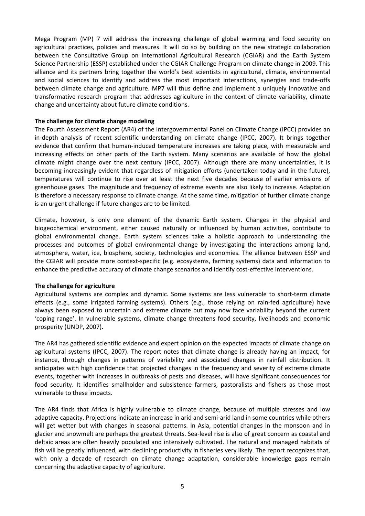Mega Program (MP) 7 will address the increasing challenge of global warming and food security on agricultural practices, policies and measures. It will do so by building on the new strategic collaboration between the Consultative Group on International Agricultural Research (CGIAR) and the Earth System Science Partnership (ESSP) established under the CGIAR Challenge Program on climate change in 2009. This alliance and its partners bring together the world's best scientists in agricultural, climate, environmental and social sciences to identify and address the most important interactions, synergies and trade-offs between climate change and agriculture. MP7 will thus define and implement a uniquely innovative and transformative research program that addresses agriculture in the context of climate variability, climate change and uncertainty about future climate conditions.

#### **The challenge for climate change modeling**

The Fourth Assessment Report (AR4) of the Intergovernmental Panel on Climate Change (IPCC) provides an in-depth analysis of recent scientific understanding on climate change (IPCC, 2007). It brings together evidence that confirm that human‐induced temperature increases are taking place, with measurable and increasing effects on other parts of the Earth system. Many scenarios are available of how the global climate might change over the next century (IPCC, 2007). Although there are many uncertainties, it is becoming increasingly evident that regardless of mitigation efforts (undertaken today and in the future), temperatures will continue to rise over at least the next five decades because of earlier emissions of greenhouse gases. The magnitude and frequency of extreme events are also likely to increase. Adaptation is therefore a necessary response to climate change. At the same time, mitigation of further climate change is an urgent challenge if future changes are to be limited.

Climate, however, is only one element of the dynamic Earth system. Changes in the physical and biogeochemical environment, either caused naturally or influenced by human activities, contribute to global environmental change. Earth system sciences take a holistic approach to understanding the processes and outcomes of global environmental change by investigating the interactions among land, atmosphere, water, ice, biosphere, society, technologies and economies. The alliance between ESSP and the CGIAR will provide more context‐specific (e.g. ecosystems, farming systems) data and information to enhance the predictive accuracy of climate change scenarios and identify cost‐effective interventions.

#### **The challenge for agriculture**

Agricultural systems are complex and dynamic. Some systems are less vulnerable to short‐term climate effects (e.g., some irrigated farming systems). Others (e.g., those relying on rain-fed agriculture) have always been exposed to uncertain and extreme climate but may now face variability beyond the current 'coping range'. In vulnerable systems, climate change threatens food security, livelihoods and economic prosperity (UNDP, 2007).

The AR4 has gathered scientific evidence and expert opinion on the expected impacts of climate change on agricultural systems (IPCC, 2007). The report notes that climate change is already having an impact, for instance, through changes in patterns of variability and associated changes in rainfall distribution. It anticipates with high confidence that projected changes in the frequency and severity of extreme climate events, together with increases in outbreaks of pests and diseases, will have significant consequences for food security. It identifies smallholder and subsistence farmers, pastoralists and fishers as those most vulnerable to these impacts.

The AR4 finds that Africa is highly vulnerable to climate change, because of multiple stresses and low adaptive capacity. Projections indicate an increase in arid and semi‐arid land in some countries while others will get wetter but with changes in seasonal patterns. In Asia, potential changes in the monsoon and in glacier and snowmelt are perhaps the greatest threats. Sea‐level rise is also of great concern as coastal and deltaic areas are often heavily populated and intensively cultivated. The natural and managed habitats of fish will be greatly influenced, with declining productivity in fisheries very likely. The report recognizes that, with only a decade of research on climate change adaptation, considerable knowledge gaps remain concerning the adaptive capacity of agriculture.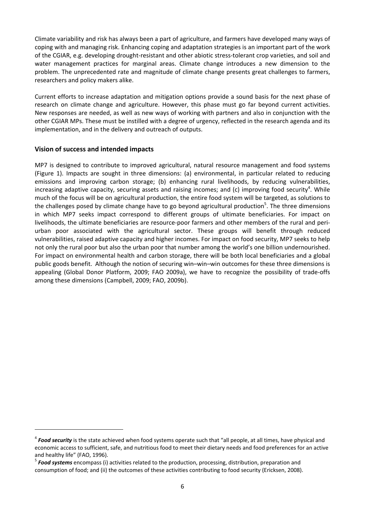Climate variability and risk has always been a part of agriculture, and farmers have developed many ways of coping with and managing risk. Enhancing coping and adaptation strategies is an important part of the work of the CGIAR, e.g. developing drought‐resistant and other abiotic stress‐tolerant crop varieties, and soil and water management practices for marginal areas. Climate change introduces a new dimension to the problem. The unprecedented rate and magnitude of climate change presents great challenges to farmers, researchers and policy makers alike.

Current efforts to increase adaptation and mitigation options provide a sound basis for the next phase of research on climate change and agriculture. However, this phase must go far beyond current activities. New responses are needed, as well as new ways of working with partners and also in conjunction with the other CGIAR MPs. These must be instilled with a degree of urgency, reflected in the research agenda and its implementation, and in the delivery and outreach of outputs.

#### **Vision of success and intended impacts**

MP7 is designed to contribute to improved agricultural, natural resource management and food systems (Figure 1). Impacts are sought in three dimensions: (a) environmental, in particular related to reducing emissions and improving carbon storage; (b) enhancing rural livelihoods, by reducing vulnerabilities, increasing adaptive capacity, securing assets and raising incomes; and (c) improving food security<sup>4</sup>. While much of the focus will be on agricultural production, the entire food system will be targeted, as solutions to the challenges posed by climate change have to go beyond agricultural production<sup>5</sup>. The three dimensions in which MP7 seeks impact correspond to different groups of ultimate beneficiaries. For impact on livelihoods, the ultimate beneficiaries are resource‐poor farmers and other members of the rural and peri‐ urban poor associated with the agricultural sector. These groups will benefit through reduced vulnerabilities, raised adaptive capacity and higher incomes. For impact on food security, MP7 seeks to help not only the rural poor but also the urban poor that number among the world's one billion undernourished. For impact on environmental health and carbon storage, there will be both local beneficiaries and a global public goods benefit. Although the notion of securing win–win–win outcomes for these three dimensions is appealing (Global Donor Platform, 2009; FAO 2009a), we have to recognize the possibility of trade‐offs among these dimensions (Campbell, 2009; FAO, 2009b).

<sup>4</sup> *Food security* is the state achieved when food systems operate such that "all people, at all times, have physical and economic access to sufficient, safe, and nutritious food to meet their dietary needs and food preferences for an active and healthy life" (FAO, 1996).<br><sup>5</sup> Food systems encompass (i) activities related to the production, processing, distribution, preparation and

consumption of food; and (ii) the outcomes of these activities contributing to food security (Ericksen, 2008).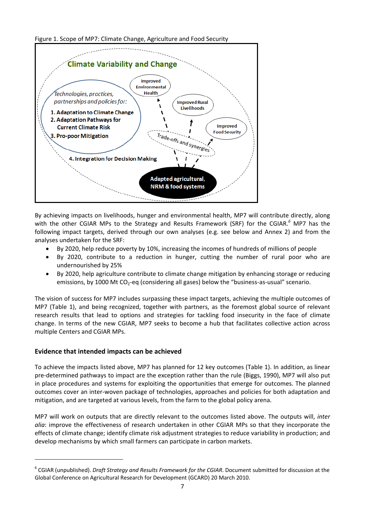



By achieving impacts on livelihoods, hunger and environmental health, MP7 will contribute directly, along with the other CGIAR MPs to the Strategy and Results Framework (SRF) for the CGIAR.*<sup>6</sup>* MP7 has the following impact targets, derived through our own analyses (e.g. see below and Annex 2) and from the analyses undertaken for the SRF:

- By 2020, help reduce poverty by 10%, increasing the incomes of hundreds of millions of people
- By 2020, contribute to a reduction in hunger, cutting the number of rural poor who are undernourished by 25%
- By 2020, help agriculture contribute to climate change mitigation by enhancing storage or reducing emissions, by 1000 Mt CO<sub>2</sub>-eq (considering all gases) below the "business-as-usual" scenario.

The vision of success for MP7 includes surpassing these impact targets, achieving the multiple outcomes of MP7 (Table 1), and being recognized, together with partners, as the foremost global source of relevant research results that lead to options and strategies for tackling food insecurity in the face of climate change. In terms of the new CGIAR, MP7 seeks to become a hub that facilitates collective action across multiple Centers and CGIAR MPs.

### **Evidence that intended impacts can be achieved**

To achieve the impacts listed above, MP7 has planned for 12 key outcomes (Table 1). In addition, as linear pre‐determined pathways to impact are the exception rather than the rule (Biggs, 1990), MP7 will also put in place procedures and systems for exploiting the opportunities that emerge for outcomes. The planned outcomes cover an inter‐woven package of technologies, approaches and policies for both adaptation and mitigation, and are targeted at various levels, from the farm to the global policy arena.

MP7 will work on outputs that are directly relevant to the outcomes listed above. The outputs will, *inter alia*: improve the effectiveness of research undertaken in other CGIAR MPs so that they incorporate the effects of climate change; identify climate risk adjustment strategies to reduce variability in production; and develop mechanisms by which small farmers can participate in carbon markets.

<sup>6</sup> CGIAR (unpublished). *Draft Strategy and Results Framework for the CGIAR*. Document submitted for discussion at the Global Conference on Agricultural Research for Development (GCARD) 20 March 2010.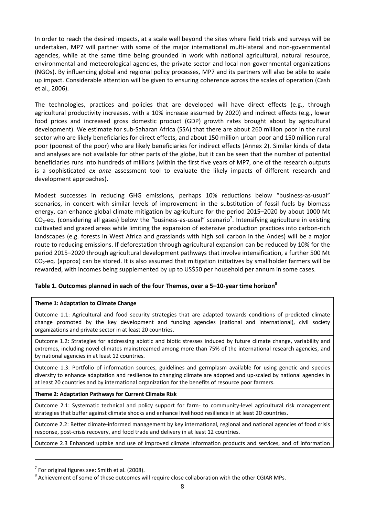In order to reach the desired impacts, at a scale well beyond the sites where field trials and surveys will be undertaken, MP7 will partner with some of the major international multi-lateral and non-governmental agencies, while at the same time being grounded in work with national agricultural, natural resource, environmental and meteorological agencies, the private sector and local non‐governmental organizations (NGOs). By influencing global and regional policy processes, MP7 and its partners will also be able to scale up impact. Considerable attention will be given to ensuring coherence across the scales of operation (Cash et al., 2006).

The technologies, practices and policies that are developed will have direct effects (e.g., through agricultural productivity increases, with a 10% increase assumed by 2020) and indirect effects (e.g., lower food prices and increased gross domestic product (GDP) growth rates brought about by agricultural development). We estimate for sub‐Saharan Africa (SSA) that there are about 260 million poor in the rural sector who are likely beneficiaries for direct effects, and about 150 million urban poor and 150 million rural poor (poorest of the poor) who are likely beneficiaries for indirect effects (Annex 2). Similar kinds of data and analyses are not available for other parts of the globe, but it can be seen that the number of potential beneficiaries runs into hundreds of millions (within the first five years of MP7, one of the research outputs is a sophisticated *ex ante* assessment tool to evaluate the likely impacts of different research and development approaches).

Modest successes in reducing GHG emissions, perhaps 10% reductions below "business-as-usual" scenarios, in concert with similar levels of improvement in the substitution of fossil fuels by biomass energy, can enhance global climate mitigation by agriculture for the period 2015–2020 by about 1000 Mt  $CO_2$ -eq. (considering all gases) below the "business-as-usual" scenario<sup>7</sup>. Intensifying agriculture in existing cultivated and grazed areas while limiting the expansion of extensive production practices into carbon‐rich landscapes (e.g. forests in West Africa and grasslands with high soil carbon in the Andes) will be a major route to reducing emissions. If deforestation through agricultural expansion can be reduced by 10% for the period 2015–2020 through agricultural development pathways that involve intensification, a further 500 Mt  $CO<sub>2</sub>$ -eq. (approx) can be stored. It is also assumed that mitigation initiatives by smallholder farmers will be rewarded, with incomes being supplemented by up to US\$50 per household per annum in some cases.

#### **Table 1. Outcomes planned in each of the four Themes, over a 5–10‐year time horizon<sup>8</sup>**

#### **Theme 1: Adaptation to Climate Change**

Outcome 1.1: Agricultural and food security strategies that are adapted towards conditions of predicted climate change promoted by the key development and funding agencies (national and international), civil society organizations and private sector in at least 20 countries.

Outcome 1.2: Strategies for addressing abiotic and biotic stresses induced by future climate change, variability and extremes, including novel climates mainstreamed among more than 75% of the international research agencies, and by national agencies in at least 12 countries.

Outcome 1.3: Portfolio of information sources, guidelines and germplasm available for using genetic and species diversity to enhance adaptation and resilience to changing climate are adopted and up‐scaled by national agencies in at least 20 countries and by international organization for the benefits of resource poor farmers.

#### **Theme 2: Adaptation Pathways for Current Climate Risk**

Outcome 2.1: Systematic technical and policy support for farm- to community-level agricultural risk management strategies that buffer against climate shocks and enhance livelihood resilience in at least 20 countries.

Outcome 2.2: Better climate‐informed management by key international, regional and national agencies of food crisis response, post-crisis recovery, and food trade and delivery in at least 12 countries.

Outcome 2.3 Enhanced uptake and use of improved climate information products and services, and of information

 $^7$  For original figures see: Smith et al. (2008).<br><sup>8</sup> Achievement of some of these outcomes will require close collaboration with the other CGIAR MPs.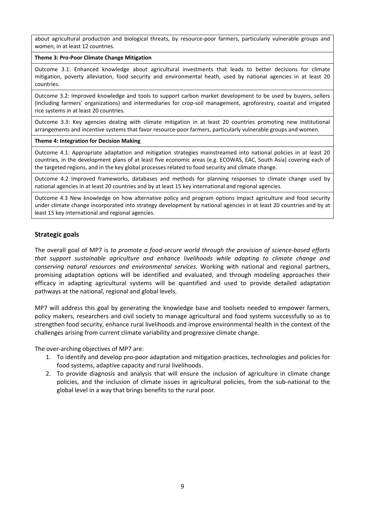about agricultural production and biological threats, by resource‐poor farmers, particularly vulnerable groups and women, in at least 12 countries.

#### **Theme 3: Pro‐Poor Climate Change Mitigation**

Outcome 3.1: Enhanced knowledge about agricultural investments that leads to better decisions for climate mitigation, poverty alleviation, food security and environmental heath, used by national agencies in at least 20 countries.

Outcome 3.2: Improved knowledge and tools to support carbon market development to be used by buyers, sellers (including farmers' organizations) and intermediaries for crop‐soil management, agroforestry, coastal and irrigated rice systems in at least 20 countries.

Outcome 3.3: Key agencies dealing with climate mitigation in at least 20 countries promoting new institutional arrangements and incentive systems that favor resource‐poor farmers, particularly vulnerable groups and women.

#### **Theme 4: Integration for Decision Making**

Outcome 4.1: Appropriate adaptation and mitigation strategies mainstreamed into national policies in at least 20 countries, in the development plans of at least five economic areas (e.g. ECOWAS, EAC, South Asia) covering each of the targeted regions, and in the key global processes related to food security and climate change.

Outcome 4.2 Improved frameworks, databases and methods for planning responses to climate change used by national agencies in at least 20 countries and by at least 15 key international and regional agencies.

Outcome 4.3 New knowledge on how alternative policy and program options impact agriculture and food security under climate change incorporated into strategy development by national agencies in at least 20 countries and by at least 15 key international and regional agencies.

#### **Strategic goals**

The overall goal of MP7 is *to promote a food‐secure world through the provision of science‐based efforts that support sustainable agriculture and enhance livelihoods while adapting to climate change and conserving natural resources and environmental services.* Working with national and regional partners, promising adaptation options will be identified and evaluated, and through modeling approaches their efficacy in adapting agricultural systems will be quantified and used to provide detailed adaptation pathways at the national, regional and global levels.

MP7 will address this goal by generating the knowledge base and toolsets needed to empower farmers, policy makers, researchers and civil society to manage agricultural and food systems successfully so as to strengthen food security, enhance rural livelihoods and improve environmental health in the context of the challenges arising from current climate variability and progressive climate change.

The over‐arching objectives of MP7 are:

- 1. To identify and develop pro‐poor adaptation and mitigation practices, technologies and policies for food systems, adaptive capacity and rural livelihoods.
- 2. To provide diagnosis and analysis that will ensure the inclusion of agriculture in climate change policies, and the inclusion of climate issues in agricultural policies, from the sub‐national to the global level in a way that brings benefits to the rural poor.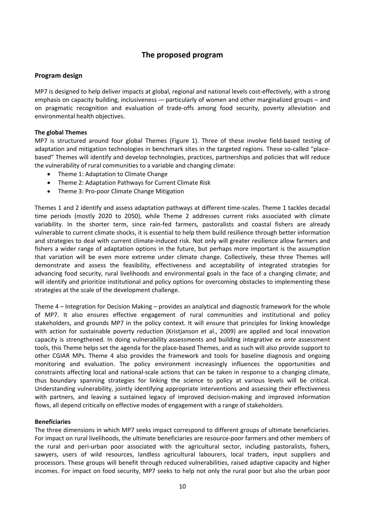# **The proposed program**

#### **Program design**

MP7 is designed to help deliver impacts at global, regional and national levels cost-effectively, with a strong emphasis on capacity building, inclusiveness -- particularly of women and other marginalized groups - and on pragmatic recognition and evaluation of trade‐offs among food security, poverty alleviation and environmental health objectives.

#### **The global Themes**

MP7 is structured around four global Themes (Figure 1). Three of these involve field-based testing of adaptation and mitigation technologies in benchmark sites in the targeted regions. These so-called "placebased" Themes will identify and develop technologies, practices, partnerships and policies that will reduce the vulnerability of rural communities to a variable and changing climate:

- Theme 1: Adaptation to Climate Change
- Theme 2: Adaptation Pathways for Current Climate Risk
- Theme 3: Pro-poor Climate Change Mitigation

Themes 1 and 2 identify and assess adaptation pathways at different time‐scales. Theme 1 tackles decadal time periods (mostly 2020 to 2050), while Theme 2 addresses current risks associated with climate variability. In the shorter term, since rain-fed farmers, pastoralists and coastal fishers are already vulnerable to current climate shocks, it is essential to help them build resilience through better information and strategies to deal with current climate‐induced risk. Not only will greater resilience allow farmers and fishers a wider range of adaptation options in the future, but perhaps more important is the assumption that variation will be even more extreme under climate change. Collectively, these three Themes will demonstrate and assess the feasibility, effectiveness and acceptability of integrated strategies for advancing food security, rural livelihoods and environmental goals in the face of a changing climate; and will identify and prioritize institutional and policy options for overcoming obstacles to implementing these strategies at the scale of the development challenge.

Theme 4 – Integration for Decision Making – provides an analytical and diagnostic framework for the whole of MP7. It also ensures effective engagement of rural communities and institutional and policy stakeholders, and grounds MP7 in the policy context. It will ensure that principles for linking knowledge with action for sustainable poverty reduction (Kristjanson et al., 2009) are applied and local innovation capacity is strengthened. In doing vulnerability assessments and building integrative *ex ante* assessment tools, this Theme helps set the agenda for the place‐based Themes, and as such will also provide support to other CGIAR MPs. Theme 4 also provides the framework and tools for baseline diagnosis and ongoing monitoring and evaluation. The policy environment increasingly influences the opportunities and constraints affecting local and national‐scale actions that can be taken in response to a changing climate, thus boundary spanning strategies for linking the science to policy at various levels will be critical. Understanding vulnerability, jointly identifying appropriate interventions and assessing their effectiveness with partners, and leaving a sustained legacy of improved decision-making and improved information flows, all depend critically on effective modes of engagement with a range of stakeholders.

#### **Beneficiaries**

The three dimensions in which MP7 seeks impact correspond to different groups of ultimate beneficiaries. For impact on rural livelihoods, the ultimate beneficiaries are resource‐poor farmers and other members of the rural and peri‐urban poor associated with the agricultural sector, including pastoralists, fishers, sawyers, users of wild resources, landless agricultural labourers, local traders, input suppliers and processors. These groups will benefit through reduced vulnerabilities, raised adaptive capacity and higher incomes. For impact on food security, MP7 seeks to help not only the rural poor but also the urban poor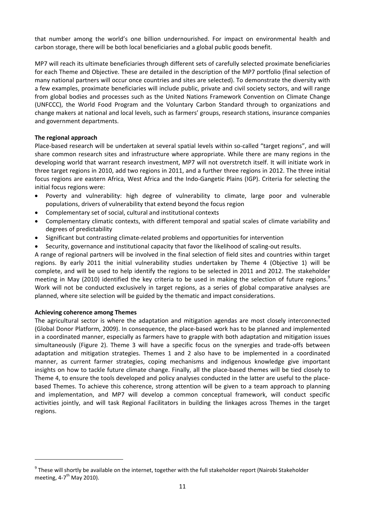that number among the world's one billion undernourished. For impact on environmental health and carbon storage, there will be both local beneficiaries and a global public goods benefit.

MP7 will reach its ultimate beneficiaries through different sets of carefully selected proximate beneficiaries for each Theme and Objective. These are detailed in the description of the MP7 portfolio (final selection of many national partners will occur once countries and sites are selected). To demonstrate the diversity with a few examples, proximate beneficiaries will include public, private and civil society sectors, and will range from global bodies and processes such as the United Nations Framework Convention on Climate Change (UNFCCC), the World Food Program and the Voluntary Carbon Standard through to organizations and change makers at national and local levels, such as farmers' groups, research stations, insurance companies and government departments.

#### **The regional approach**

Place‐based research will be undertaken at several spatial levels within so‐called "target regions", and will share common research sites and infrastructure where appropriate. While there are many regions in the developing world that warrant research investment, MP7 will not overstretch itself. It will initiate work in three target regions in 2010, add two regions in 2011, and a further three regions in 2012. The three initial focus regions are eastern Africa, West Africa and the Indo-Gangetic Plains (IGP). Criteria for selecting the initial focus regions were:

- Poverty and vulnerability: high degree of vulnerability to climate, large poor and vulnerable populations, drivers of vulnerability that extend beyond the focus region
- Complementary set of social, cultural and institutional contexts
- Complementary climatic contexts, with different temporal and spatial scales of climate variability and degrees of predictability
- Significant but contrasting climate-related problems and opportunities for intervention
- Security, governance and institutional capacity that favor the likelihood of scaling‐out results.

A range of regional partners will be involved in the final selection of field sites and countries within target regions. By early 2011 the initial vulnerability studies undertaken by Theme 4 (Objective 1) will be complete, and will be used to help identify the regions to be selected in 2011 and 2012. The stakeholder meeting in May (2010) identified the key criteria to be used in making the selection of future regions.<sup>9</sup> Work will not be conducted exclusively in target regions, as a series of global comparative analyses are planned, where site selection will be guided by the thematic and impact considerations.

#### **Achieving coherence among Themes**

The agricultural sector is where the adaptation and mitigation agendas are most closely interconnected (Global Donor Platform, 2009). In consequence, the place‐based work has to be planned and implemented in a coordinated manner, especially as farmers have to grapple with both adaptation and mitigation issues simultaneously (Figure 2). Theme 3 will have a specific focus on the synergies and trade‐offs between adaptation and mitigation strategies. Themes 1 and 2 also have to be implemented in a coordinated manner, as current farmer strategies, coping mechanisms and indigenous knowledge give important insights on how to tackle future climate change. Finally, all the place‐based themes will be tied closely to Theme 4, to ensure the tools developed and policy analyses conducted in the latter are useful to the place‐ based Themes. To achieve this coherence, strong attention will be given to a team approach to planning and implementation, and MP7 will develop a common conceptual framework, will conduct specific activities jointly, and will task Regional Facilitators in building the linkages across Themes in the target regions.

 $9$  These will shortly be available on the internet, together with the full stakeholder report (Nairobi Stakeholder meeting,  $4-7^{\text{th}}$  May 2010).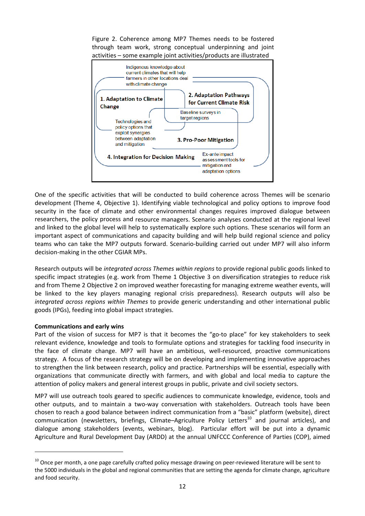Figure 2. Coherence among MP7 Themes needs to be fostered through team work, strong conceptual underpinning and joint activities – some example joint activities/products are illustrated



One of the specific activities that will be conducted to build coherence across Themes will be scenario development (Theme 4, Objective 1). Identifying viable technological and policy options to improve food security in the face of climate and other environmental changes requires improved dialogue between researchers, the policy process and resource managers. Scenario analyses conducted at the regional level and linked to the global level will help to systematically explore such options. These scenarios will form an important aspect of communications and capacity building and will help build regional science and policy teams who can take the MP7 outputs forward. Scenario‐building carried out under MP7 will also inform decision‐making in the other CGIAR MPs.

Research outputs will be *integrated across Themes within regions* to provide regional public goods linked to specific impact strategies (e.g. work from Theme 1 Objective 3 on diversification strategies to reduce risk and from Theme 2 Objective 2 on improved weather forecasting for managing extreme weather events, will be linked to the key players managing regional crisis preparedness). Research outputs will also be *integrated across regions within Themes* to provide generic understanding and other international public goods (IPGs), feeding into global impact strategies.

#### **Communications and early wins**

Part of the vision of success for MP7 is that it becomes the "go-to place" for key stakeholders to seek relevant evidence, knowledge and tools to formulate options and strategies for tackling food insecurity in the face of climate change. MP7 will have an ambitious, well-resourced, proactive communications strategy. A focus of the research strategy will be on developing and implementing innovative approaches to strengthen the link between research, policy and practice. Partnerships will be essential, especially with organizations that communicate directly with farmers, and with global and local media to capture the attention of policy makers and general interest groups in public, private and civil society sectors.

MP7 will use outreach tools geared to specific audiences to communicate knowledge, evidence, tools and other outputs, and to maintain a two‐way conversation with stakeholders. Outreach tools have been chosen to reach a good balance between indirect communication from a "basic" platform (website), direct communication (newsletters, briefings, Climate-Agriculture Policy Letters<sup>10</sup> and journal articles), and dialogue among stakeholders (events, webinars, blog). Particular effort will be put into a dynamic Agriculture and Rural Development Day (ARDD) at the annual UNFCCC Conference of Parties (COP), aimed

 $10$  Once per month, a one page carefully crafted policy message drawing on peer-reviewed literature will be sent to the 5000 individuals in the global and regional communities that are setting the agenda for climate change, agriculture and food security.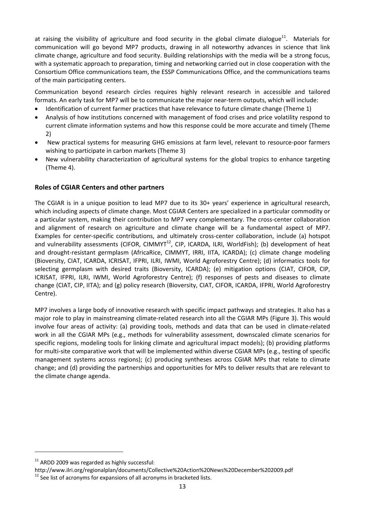at raising the visibility of agriculture and food security in the global climate dialogue<sup>11</sup>. Materials for communication will go beyond MP7 products, drawing in all noteworthy advances in science that link climate change, agriculture and food security. Building relationships with the media will be a strong focus, with a systematic approach to preparation, timing and networking carried out in close cooperation with the Consortium Office communications team, the ESSP Communications Office, and the communications teams of the main participating centers.

Communication beyond research circles requires highly relevant research in accessible and tailored formats. An early task for MP7 will be to communicate the major near-term outputs, which will include:

- Identification of current farmer practices that have relevance to future climate change (Theme 1)
- Analysis of how institutions concerned with management of food crises and price volatility respond to current climate information systems and how this response could be more accurate and timely (Theme 2)
- New practical systems for measuring GHG emissions at farm level, relevant to resource‐poor farmers wishing to participate in carbon markets (Theme 3)
- New vulnerability characterization of agricultural systems for the global tropics to enhance targeting (Theme 4).

#### **Roles of CGIAR Centers and other partners**

The CGIAR is in a unique position to lead MP7 due to its 30+ years' experience in agricultural research, which including aspects of climate change. Most CGIAR Centers are specialized in a particular commodity or a particular system, making their contribution to MP7 very complementary. The cross‐center collaboration and alignment of research on agriculture and climate change will be a fundamental aspect of MP7. Examples for center-specific contributions, and ultimately cross-center collaboration, include (a) hotspot and vulnerability assessments (CIFOR, CIMMYT<sup>12</sup>, CIP, ICARDA, ILRI, WorldFish); (b) development of heat and drought-resistant germplasm (AfricaRice, CIMMYT, IRRI, IITA, ICARDA); (c) climate change modeling (Bioversity, CIAT, ICARDA, ICRISAT, IFPRI, ILRI, IWMI, World Agroforestry Centre); (d) informatics tools for selecting germplasm with desired traits (Bioversity, ICARDA); (e) mitigation options (CIAT, CIFOR, CIP, ICRISAT, IFPRI, ILRI, IWMI, World Agroforestry Centre); (f) responses of pests and diseases to climate change (CIAT, CIP, IITA); and (g) policy research (Bioversity, CIAT, CIFOR, ICARDA, IFPRI, World Agroforestry Centre).

MP7 involves a large body of innovative research with specific impact pathways and strategies. It also has a major role to play in mainstreaming climate-related research into all the CGIAR MPs (Figure 3). This would involve four areas of activity: (a) providing tools, methods and data that can be used in climate‐related work in all the CGIAR MPs (e.g., methods for vulnerability assessment, downscaled climate scenarios for specific regions, modeling tools for linking climate and agricultural impact models); (b) providing platforms for multi-site comparative work that will be implemented within diverse CGIAR MPs (e.g., testing of specific management systems across regions); (c) producing syntheses across CGIAR MPs that relate to climate change; and (d) providing the partnerships and opportunities for MPs to deliver results that are relevant to the climate change agenda.

 $11$  ARDD 2009 was regarded as highly successful:

http://www.ilri.org/regionalplan/documents/Collective%20Action%20News%20December%202009.pdf<br><sup>12</sup> See list of acronyms for expansions of all acronyms in bracketed lists.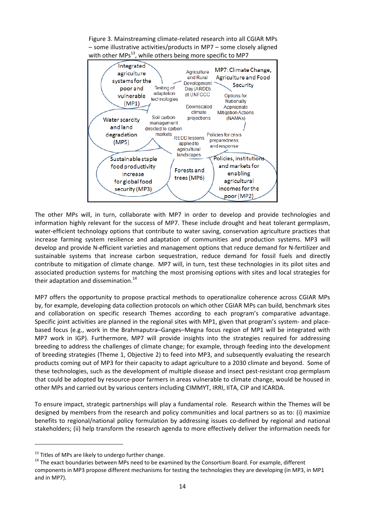Figure 3. Mainstreaming climate‐related research into all CGIAR MPs – some illustrative activities/products in MP7 – some closely aligned with other MPs $^{13}$ , while others being more specific to MP7



The other MPs will, in turn, collaborate with MP7 in order to develop and provide technologies and information highly relevant for the success of MP7. These include drought and heat tolerant germplasm, water-efficient technology options that contribute to water saving, conservation agriculture practices that increase farming system resilience and adaptation of communities and production systems. MP3 will develop and provide N‐efficient varieties and management options that reduce demand for N‐fertilizer and sustainable systems that increase carbon sequestration, reduce demand for fossil fuels and directly contribute to mitigation of climate change. MP7 will, in turn, test these technologies in its pilot sites and associated production systems for matching the most promising options with sites and local strategies for their adaptation and dissemination. $14$ 

MP7 offers the opportunity to propose practical methods to operationalize coherence across CGIAR MPs by, for example, developing data collection protocols on which other CGIAR MPs can build, benchmark sites and collaboration on specific research Themes according to each program's comparative advantage. Specific joint activities are planned in the regional sites with MP1, given that program's system- and placebased focus (e.g., work in the Brahmaputra–Ganges–Megna focus region of MP1 will be integrated with MP7 work in IGP). Furthermore, MP7 will provide insights into the strategies required for addressing breeding to address the challenges of climate change; for example, through feeding into the development of breeding strategies (Theme 1, Objective 2) to feed into MP3, and subsequently evaluating the research products coming out of MP3 for their capacity to adapt agriculture to a 2030 climate and beyond. Some of these technologies, such as the development of multiple disease and insect pest-resistant crop germplasm that could be adopted by resource‐poor farmers in areas vulnerable to climate change, would be housed in other MPs and carried out by various centers including CIMMYT, IRRI, IITA, CIP and ICARDA.

To ensure impact, strategic partnerships will play a fundamental role. Research within the Themes will be designed by members from the research and policy communities and local partners so as to: (i) maximize benefits to regional/national policy formulation by addressing issues co-defined by regional and national stakeholders; (ii) help transform the research agenda to more effectively deliver the information needs for

<sup>&</sup>lt;sup>13</sup> Titles of MPs are likely to undergo further change.<br><sup>14</sup> The exact boundaries between MPs need to be examined by the Consortium Board. For example, different components in MP3 propose different mechanisms for testing the technologies they are developing (in MP3, in MP1 and in MP7).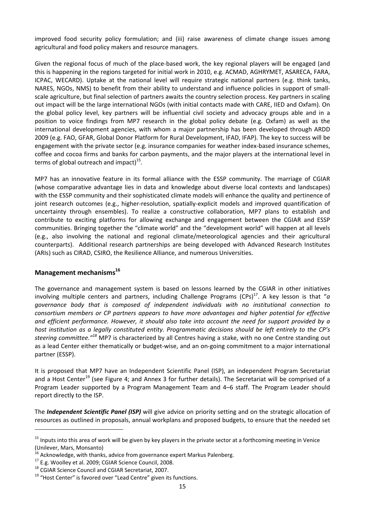improved food security policy formulation; and (iii) raise awareness of climate change issues among agricultural and food policy makers and resource managers.

Given the regional focus of much of the place‐based work, the key regional players will be engaged (and this is happening in the regions targeted for initial work in 2010, e.g. ACMAD, AGHRYMET, ASARECA, FARA, ICPAC, WECARD). Uptake at the national level will require strategic national partners (e.g. think tanks, NARES, NGOs, NMS) to benefit from their ability to understand and influence policies in support of small‐ scale agriculture, but final selection of partners awaits the country selection process. Key partners in scaling out impact will be the large international NGOs (with initial contacts made with CARE, IIED and Oxfam). On the global policy level, key partners will be influential civil society and advocacy groups able and in a position to voice findings from MP7 research in the global policy debate (e.g. Oxfam) as well as the international development agencies, with whom a major partnership has been developed through ARDD 2009 (e.g. FAO, GFAR, Global Donor Platform for Rural Development, IFAD, IFAP). The key to success will be engagement with the private sector (e.g. insurance companies for weather index‐based insurance schemes, coffee and cocoa firms and banks for carbon payments, and the major players at the international level in terms of global outreach and impact)<sup>15</sup>.

MP7 has an innovative feature in its formal alliance with the ESSP community. The marriage of CGIAR (whose comparative advantage lies in data and knowledge about diverse local contexts and landscapes) with the ESSP community and their sophisticated climate models will enhance the quality and pertinence of joint research outcomes (e.g., higher-resolution, spatially-explicit models and improved quantification of uncertainty through ensembles). To realize a constructive collaboration, MP7 plans to establish and contribute to exciting platforms for allowing exchange and engagement between the CGIAR and ESSP communities. Bringing together the "climate world" and the "development world" will happen at all levels (e.g., also involving the national and regional climate/meteorological agencies and their agricultural counterparts). Additional research partnerships are being developed with Advanced Research Institutes (ARIs) such as CIRAD, CSIRO, the Resilience Alliance, and numerous Universities.

#### **Management mechanisms16**

The governance and management system is based on lessons learned by the CGIAR in other initiatives involving multiple centers and partners, including Challenge Programs  $(CPs)^{17}$ . A key lesson is that "*a governance body that is composed of independent individuals with no institutional connection to consortium members or CP partners appears to have more advantages and higher potential for effective and efficient performance. However, it should also take into account the need for support provided by a host institution as a legally constituted entity. Programmatic decisions should be left entirely to the CP's steering committee."<sup>18</sup>* MP7 is characterized by all Centres having a stake, with no one Centre standing out as a lead Center either thematically or budget‐wise, and an on‐going commitment to a major international partner (ESSP).

It is proposed that MP7 have an Independent Scientific Panel (ISP), an independent Program Secretariat and a Host Center<sup>19</sup> (see Figure 4; and Annex 3 for further details). The Secretariat will be comprised of a Program Leader supported by a Program Management Team and 4–6 staff. The Program Leader should report directly to the ISP.

The *Independent Scientific Panel (ISP)* will give advice on priority setting and on the strategic allocation of resources as outlined in proposals, annual workplans and proposed budgets, to ensure that the needed set

 $15$  Inputs into this area of work will be given by key players in the private sector at a forthcoming meeting in Venice

<sup>(</sup>Unilever, Mars, Monsanto)<br><sup>16</sup> Acknowledge, with thanks, advice from governance expert Markus Palenberg.<br><sup>17</sup> E.g. Woolley et al. 2009; CGIAR Science Council, 2008.<br><sup>18</sup> CGIAR Science Council and CGIAR Secretariat, 2007.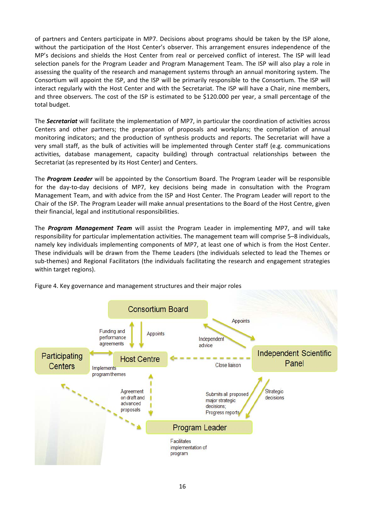of partners and Centers participate in MP7. Decisions about programs should be taken by the ISP alone, without the participation of the Host Center's observer. This arrangement ensures independence of the MP's decisions and shields the Host Center from real or perceived conflict of interest. The ISP will lead selection panels for the Program Leader and Program Management Team. The ISP will also play a role in assessing the quality of the research and management systems through an annual monitoring system. The Consortium will appoint the ISP, and the ISP will be primarily responsible to the Consortium. The ISP will interact regularly with the Host Center and with the Secretariat. The ISP will have a Chair, nine members, and three observers. The cost of the ISP is estimated to be \$120.000 per year, a small percentage of the total budget.

The *Secretariat* will facilitate the implementation of MP7, in particular the coordination of activities across Centers and other partners; the preparation of proposals and workplans; the compilation of annual monitoring indicators; and the production of synthesis products and reports. The Secretariat will have a very small staff, as the bulk of activities will be implemented through Center staff (e.g. communications activities, database management, capacity building) through contractual relationships between the Secretariat (as represented by its Host Center) and Centers.

The *Program Leader* will be appointed by the Consortium Board. The Program Leader will be responsible for the day-to-day decisions of MP7, key decisions being made in consultation with the Program Management Team, and with advice from the ISP and Host Center. The Program Leader will report to the Chair of the ISP. The Program Leader will make annual presentations to the Board of the Host Centre, given their financial, legal and institutional responsibilities.

The *Program Management Team* will assist the Program Leader in implementing MP7, and will take responsibility for particular implementation activities. The management team will comprise 5–8 individuals, namely key individuals implementing components of MP7, at least one of which is from the Host Center. These individuals will be drawn from the Theme Leaders (the individuals selected to lead the Themes or sub-themes) and Regional Facilitators (the individuals facilitating the research and engagement strategies within target regions).



Figure 4. Key governance and management structures and their major roles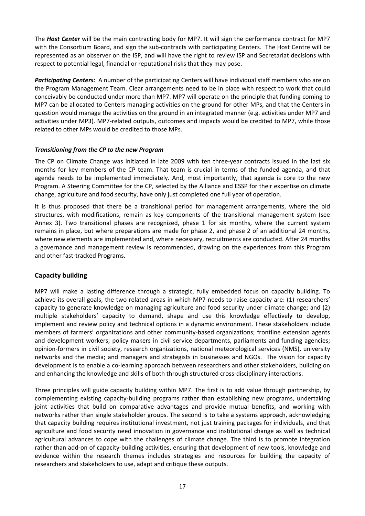The *Host Center* will be the main contracting body for MP7. It will sign the performance contract for MP7 with the Consortium Board, and sign the sub-contracts with participating Centers. The Host Centre will be represented as an observer on the ISP, and will have the right to review ISP and Secretariat decisions with respect to potential legal, financial or reputational risks that they may pose.

**Participating Centers:** A number of the participating Centers will have individual staff members who are on the Program Management Team. Clear arrangements need to be in place with respect to work that could conceivably be conducted under more than MP7. MP7 will operate on the principle that funding coming to MP7 can be allocated to Centers managing activities on the ground for other MPs, and that the Centers in question would manage the activities on the ground in an integrated manner (e.g. activities under MP7 and activities under MP3). MP7‐related outputs, outcomes and impacts would be credited to MP7, while those related to other MPs would be credited to those MPs.

#### *Transitioning from the CP to the new Program*

The CP on Climate Change was initiated in late 2009 with ten three‐year contracts issued in the last six months for key members of the CP team. That team is crucial in terms of the funded agenda, and that agenda needs to be implemented immediately. And, most importantly, that agenda is core to the new Program. A Steering Committee for the CP, selected by the Alliance and ESSP for their expertise on climate change, agriculture and food security, have only just completed one full year of operation.

It is thus proposed that there be a transitional period for management arrangements, where the old structures, with modifications, remain as key components of the transitional management system (see Annex 3). Two transitional phases are recognized, phase 1 for six months, where the current system remains in place, but where preparations are made for phase 2, and phase 2 of an additional 24 months, where new elements are implemented and, where necessary, recruitments are conducted. After 24 months a governance and management review is recommended, drawing on the experiences from this Program and other fast‐tracked Programs.

### **Capacity building**

MP7 will make a lasting difference through a strategic, fully embedded focus on capacity building. To achieve its overall goals, the two related areas in which MP7 needs to raise capacity are: (1) researchers' capacity to generate knowledge on managing agriculture and food security under climate change; and (2) multiple stakeholders' capacity to demand, shape and use this knowledge effectively to develop, implement and review policy and technical options in a dynamic environment. These stakeholders include members of farmers' organizations and other community-based organizations; frontline extension agents and development workers; policy makers in civil service departments, parliaments and funding agencies; opinion‐formers in civil society, research organizations, national meteorological services (NMS), university networks and the media; and managers and strategists in businesses and NGOs. The vision for capacity development is to enable a co-learning approach between researchers and other stakeholders, building on and enhancing the knowledge and skills of both through structured cross-disciplinary interactions.

Three principles will guide capacity building within MP7. The first is to add value through partnership, by complementing existing capacity-building programs rather than establishing new programs, undertaking joint activities that build on comparative advantages and provide mutual benefits, and working with networks rather than single stakeholder groups. The second is to take a systems approach, acknowledging that capacity building requires institutional investment, not just training packages for individuals, and that agriculture and food security need innovation in governance and institutional change as well as technical agricultural advances to cope with the challenges of climate change. The third is to promote integration rather than add-on of capacity-building activities, ensuring that development of new tools, knowledge and evidence within the research themes includes strategies and resources for building the capacity of researchers and stakeholders to use, adapt and critique these outputs.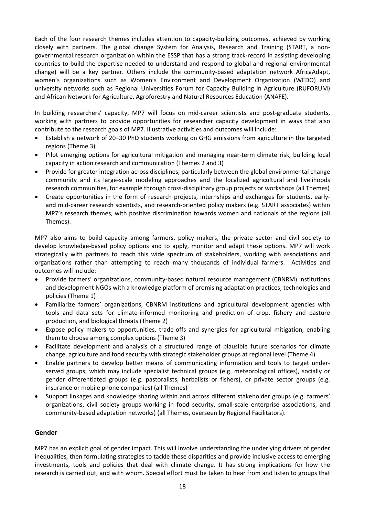Each of the four research themes includes attention to capacity‐building outcomes, achieved by working closely with partners. The global change System for Analysis, Research and Training (START, a non‐ governmental research organization within the ESSP that has a strong track‐record in assisting developing countries to build the expertise needed to understand and respond to global and regional environmental change) will be a key partner. Others include the community-based adaptation network AfricaAdapt, women's organizations such as Women's Environment and Development Organization (WEDO) and university networks such as Regional Universities Forum for Capacity Building in Agriculture (RUFORUM) and African Network for Agriculture, Agroforestry and Natural Resources Education (ANAFE).

In building researchers' capacity, MP7 will focus on mid-career scientists and post-graduate students, working with partners to provide opportunities for researcher capacity development in ways that also contribute to the research goals of MP7. Illustrative activities and outcomes will include:

- Establish a network of 20–30 PhD students working on GHG emissions from agriculture in the targeted regions (Theme 3)
- Pilot emerging options for agricultural mitigation and managing near-term climate risk, building local capacity in action research and communication (Themes 2 and 3)
- Provide for greater integration across disciplines, particularly between the global environmental change community and its large‐scale modeling approaches and the localized agricultural and livelihoods research communities, for example through cross‐disciplinary group projects or workshops (all Themes)
- Create opportunities in the form of research projects, internships and exchanges for students, early‐ and mid-career research scientists, and research-oriented policy makers (e.g. START associates) within MP7's research themes, with positive discrimination towards women and nationals of the regions (all Themes).

MP7 also aims to build capacity among farmers, policy makers, the private sector and civil society to develop knowledge‐based policy options and to apply, monitor and adapt these options. MP7 will work strategically with partners to reach this wide spectrum of stakeholders, working with associations and organizations rather than attempting to reach many thousands of individual farmers. Activities and outcomes will include:

- Provide farmers' organizations, community‐based natural resource management (CBNRM) institutions and development NGOs with a knowledge platform of promising adaptation practices, technologies and policies (Theme 1)
- Familiarize farmers' organizations, CBNRM institutions and agricultural development agencies with tools and data sets for climate‐informed monitoring and prediction of crop, fishery and pasture production, and biological threats (Theme 2)
- Expose policy makers to opportunities, trade‐offs and synergies for agricultural mitigation, enabling them to choose among complex options (Theme 3)
- Facilitate development and analysis of a structured range of plausible future scenarios for climate change, agriculture and food security with strategic stakeholder groups at regional level (Theme 4)
- Enable partners to develop better means of communicating information and tools to target under‐ served groups, which may include specialist technical groups (e.g. meteorological offices), socially or gender differentiated groups (e.g. pastoralists, herbalists or fishers), or private sector groups (e.g. insurance or mobile phone companies) (all Themes)
- Support linkages and knowledge sharing within and across different stakeholder groups (e.g. farmers' organizations, civil society groups working in food security, small‐scale enterprise associations, and community-based adaptation networks) (all Themes, overseen by Regional Facilitators).

#### **Gender**

MP7 has an explicit goal of gender impact. This will involve understanding the underlying drivers of gender inequalities, then formulating strategies to tackle these disparities and provide inclusive access to emerging investments, tools and policies that deal with climate change. It has strong implications for how the research is carried out, and with whom. Special effort must be taken to hear from and listen to groups that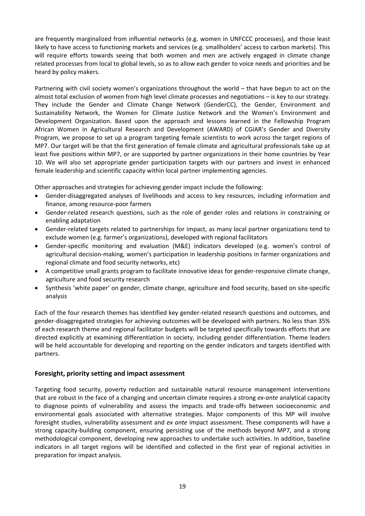are frequently marginalized from influential networks (e.g. women in UNFCCC processes), and those least likely to have access to functioning markets and services (e.g. smallholders' access to carbon markets). This will require efforts towards seeing that both women and men are actively engaged in climate change related processes from local to global levels, so as to allow each gender to voice needs and priorities and be heard by policy makers.

Partnering with civil society women's organizations throughout the world – that have begun to act on the almost total exclusion of women from high level climate processes and negotiations – is key to our strategy. They include the Gender and Climate Change Network (GenderCC), the Gender, Environment and Sustainability Network, the Women for Climate Justice Network and the Women's Environment and Development Organization. Based upon the approach and lessons learned in the Fellowship Program African Women in Agricultural Research and Development (AWARD) of CGIAR's Gender and Diversity Program, we propose to set up a program targeting female scientists to work across the target regions of MP7. Our target will be that the first generation of female climate and agricultural professionals take up at least five positions within MP7, or are supported by partner organizations in their home countries by Year 10. We will also set appropriate gender participation targets with our partners and invest in enhanced female leadership and scientific capacity within local partner implementing agencies.

Other approaches and strategies for achieving gender impact include the following:

- Gender‐disaggregated analyses of livelihoods and access to key resources, including information and finance, among resource‐poor farmers
- Gender-related research questions, such as the role of gender roles and relations in constraining or enabling adaptation
- Gender‐related targets related to partnerships for impact, as many local partner organizations tend to exclude women (e.g. farmer's organizations), developed with regional facilitators
- Gender‐specific monitoring and evaluation (M&E) indicators developed (e.g. women's control of agricultural decision‐making, women's participation in leadership positions in farmer organizations and regional climate and food security networks, etc)
- A competitive small grants program to facilitate innovative ideas for gender‐responsive climate change, agriculture and food security research
- Synthesis 'white paper' on gender, climate change, agriculture and food security, based on site‐specific analysis

Each of the four research themes has identified key gender‐related research questions and outcomes, and gender-disaggregated strategies for achieving outcomes will be developed with partners. No less than 35% of each research theme and regional facilitator budgets will be targeted specifically towards efforts that are directed explicitly at examining differentiation in society, including gender differentiation. Theme leaders will be held accountable for developing and reporting on the gender indicators and targets identified with partners.

#### **Foresight, priority setting and impact assessment**

Targeting food security, poverty reduction and sustainable natural resource management interventions that are robust in the face of a changing and uncertain climate requires a strong *ex‐ante* analytical capacity to diagnose points of vulnerability and assess the impacts and trade‐offs between socioeconomic and environmental goals associated with alternative strategies. Major components of this MP will involve foresight studies, vulnerability assessment and *ex ante* impact assessment. These components will have a strong capacity-building component, ensuring persisting use of the methods beyond MP7, and a strong methodological component, developing new approaches to undertake such activities. In addition, baseline indicators in all target regions will be identified and collected in the first year of regional activities in preparation for impact analysis.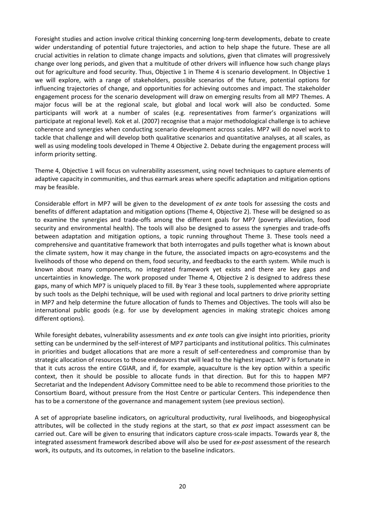Foresight studies and action involve critical thinking concerning long‐term developments, debate to create wider understanding of potential future trajectories, and action to help shape the future. These are all crucial activities in relation to climate change impacts and solutions, given that climates will progressively change over long periods, and given that a multitude of other drivers will influence how such change plays out for agriculture and food security. Thus, Objective 1 in Theme 4 is scenario development. In Objective 1 we will explore, with a range of stakeholders, possible scenarios of the future, potential options for influencing trajectories of change, and opportunities for achieving outcomes and impact. The stakeholder engagement process for the scenario development will draw on emerging results from all MP7 Themes. A major focus will be at the regional scale, but global and local work will also be conducted. Some participants will work at a number of scales (e.g. representatives from farmer's organizations will participate at regional level). Kok et al. (2007) recognise that a major methodological challenge is to achieve coherence and synergies when conducting scenario development across scales. MP7 will do novel work to tackle that challenge and will develop both qualitative scenarios and quantitative analyses, at all scales, as well as using modeling tools developed in Theme 4 Objective 2. Debate during the engagement process will inform priority setting.

Theme 4, Objective 1 will focus on vulnerability assessment, using novel techniques to capture elements of adaptive capacity in communities, and thus earmark areas where specific adaptation and mitigation options may be feasible.

Considerable effort in MP7 will be given to the development of *ex ante* tools for assessing the costs and benefits of different adaptation and mitigation options (Theme 4, Objective 2). These will be designed so as to examine the synergies and trade‐offs among the different goals for MP7 (poverty alleviation, food security and environmental health). The tools will also be designed to assess the synergies and trade-offs between adaptation and mitigation options, a topic running throughout Theme 3. These tools need a comprehensive and quantitative framework that both interrogates and pulls together what is known about the climate system, how it may change in the future, the associated impacts on agro‐ecosystems and the livelihoods of those who depend on them, food security, and feedbacks to the earth system. While much is known about many components, no integrated framework yet exists and there are key gaps and uncertainties in knowledge. The work proposed under Theme 4, Objective 2 is designed to address these gaps, many of which MP7 is uniquely placed to fill. By Year 3 these tools, supplemented where appropriate by such tools as the Delphi technique, will be used with regional and local partners to drive priority setting in MP7 and help determine the future allocation of funds to Themes and Objectives. The tools will also be international public goods (e.g. for use by development agencies in making strategic choices among different options).

While foresight debates, vulnerability assessments and *ex ante* tools can give insight into priorities, priority setting can be undermined by the self‐interest of MP7 participants and institutional politics. This culminates in priorities and budget allocations that are more a result of self-centeredness and compromise than by strategic allocation of resources to those endeavors that will lead to the highest impact. MP7 is fortunate in that it cuts across the entire CGIAR, and if, for example, aquaculture is the key option within a specific context, then it should be possible to allocate funds in that direction. But for this to happen MP7 Secretariat and the Independent Advisory Committee need to be able to recommend those priorities to the Consortium Board, without pressure from the Host Centre or particular Centers. This independence then has to be a cornerstone of the governance and management system (see previous section).

A set of appropriate baseline indicators, on agricultural productivity, rural livelihoods, and biogeophysical attributes, will be collected in the study regions at the start, so that *ex post* impact assessment can be carried out. Care will be given to ensuring that indicators capture cross-scale impacts. Towards year 8, the integrated assessment framework described above will also be used for *ex-post* assessment of the research work, its outputs, and its outcomes, in relation to the baseline indicators.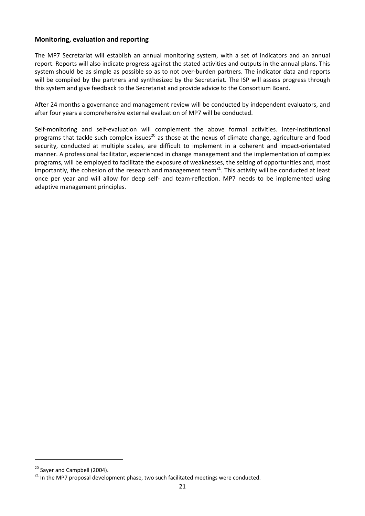#### **Monitoring, evaluation and reporting**

The MP7 Secretariat will establish an annual monitoring system, with a set of indicators and an annual report. Reports will also indicate progress against the stated activities and outputs in the annual plans. This system should be as simple as possible so as to not over‐burden partners. The indicator data and reports will be compiled by the partners and synthesized by the Secretariat. The ISP will assess progress through this system and give feedback to the Secretariat and provide advice to the Consortium Board.

After 24 months a governance and management review will be conducted by independent evaluators, and after four years a comprehensive external evaluation of MP7 will be conducted.

Self-monitoring and self-evaluation will complement the above formal activities. Inter-institutional programs that tackle such complex issues<sup>20</sup> as those at the nexus of climate change, agriculture and food security, conducted at multiple scales, are difficult to implement in a coherent and impact-orientated manner. A professional facilitator, experienced in change management and the implementation of complex programs, will be employed to facilitate the exposure of weaknesses, the seizing of opportunities and, most importantly, the cohesion of the research and management team<sup>21</sup>. This activity will be conducted at least once per year and will allow for deep self‐ and team‐reflection. MP7 needs to be implemented using adaptive management principles.

<sup>&</sup>lt;sup>20</sup> Sayer and Campbell (2004).<br><sup>21</sup> In the MP7 proposal development phase, two such facilitated meetings were conducted.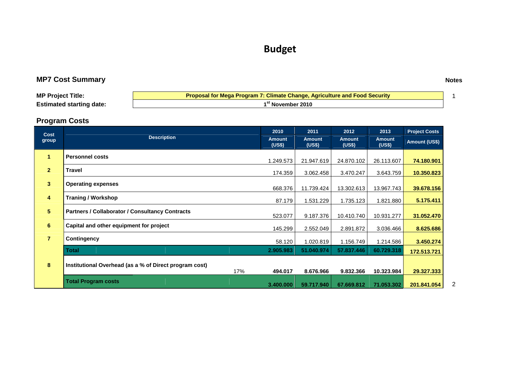# **Budget**

# **MP7 Cost Summary Notes**

| <b>MP Project Title:</b>        | Proposal for Mega Program 7: Climate Change, Agriculture and Food Security |  |
|---------------------------------|----------------------------------------------------------------------------|--|
| <b>Estimated starting date:</b> | <sup>**</sup> * November 2010                                              |  |

# **Program Costs**

| <b>Cost</b><br>group    |                                                        | 2010      | 2011                    | 2012                    | 2013                    | <b>Project Costs</b> |
|-------------------------|--------------------------------------------------------|-----------|-------------------------|-------------------------|-------------------------|----------------------|
|                         | <b>Description</b>                                     |           | <b>Amount</b><br>(US\$) | <b>Amount</b><br>(US\$) | <b>Amount</b><br>(US\$) | Amount (US\$)        |
| $\mathbf{1}$            | <b>Personnel costs</b>                                 | 1.249.573 | 21.947.619              | 24.870.102              | 26.113.607              | 74.180.901           |
| 2 <sup>1</sup>          | <b>Travel</b>                                          | 174.359   | 3.062.458               | 3.470.247               | 3.643.759               | 10.350.823           |
| $\overline{\mathbf{3}}$ | <b>Operating expenses</b>                              | 668.376   | 11.739.424              | 13.302.613              | 13.967.743              | 39.678.156           |
| 4                       | <b>Traning / Workshop</b>                              | 87.179    | 1.531.229               | 1.735.123               | 1.821.880               | 5.175.411            |
| 5 <sup>5</sup>          | <b>Partners / Collaborator / Consultancy Contracts</b> | 523.077   | 9.187.376               | 10.410.740              | 10.931.277              | 31.052.470           |
| 6                       | Capital and other equipment for project                | 145.299   | 2.552.049               | 2.891.872               | 3.036.466               | 8.625.686            |
| $\overline{7}$          | Contingency                                            | 58.120    | 1.020.819               | 1.156.749               | 1.214.586               | 3.450.274            |
|                         | <b>Total</b>                                           | 2.905.983 | 51.040.974              | 57.837.446              | 60.729.318              | 172.513.721          |
| 8                       | Institutional Overhead (as a % of Direct program cost) |           |                         |                         |                         |                      |
|                         | 17%                                                    | 494.017   | 8.676.966               | 9.832.366               | 10.323.984              | 29.327.333           |
|                         | <b>Total Program costs</b>                             | 3.400.000 | 59.717.940              | 67.669.812              | 71.053.302              | 201.841.054          |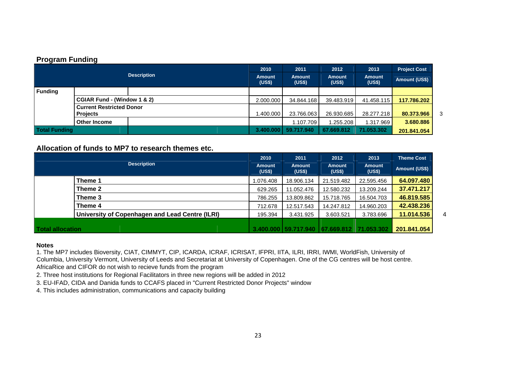#### **Program Funding**

| <b>Description</b> |                                                    | 2010<br><b>Amount</b><br>(US\$) | 2011<br><b>Amount</b><br>(US\$) | 2012<br>Amount<br>(US\$) | 2013<br><b>Amount</b><br>(US\$) | <b>Project Cost</b><br>Amount (US\$) |             |   |
|--------------------|----------------------------------------------------|---------------------------------|---------------------------------|--------------------------|---------------------------------|--------------------------------------|-------------|---|
| <b>Funding</b>     |                                                    |                                 |                                 |                          |                                 |                                      |             |   |
|                    | CGIAR Fund - (Window 1 & 2)                        |                                 | 2.000.000                       | 34.844.168               | 39.483.919                      | 41.458.115                           | 117.786.202 |   |
|                    | <b>Current Restricted Donor</b><br><b>Projects</b> |                                 | 1.400.000                       | 23.766.063               | 26.930.685                      | 28.277.218                           | 80.373.966  | 3 |
|                    | <b>Other Income</b>                                |                                 |                                 | 1.107.709                | 1.255.208                       | 1.317.969                            | 3.680.886   |   |
| Total Funding      |                                                    |                                 | 3.400.000                       | 59.717.940               | 67.669.812                      | 71.053.302                           | 201.841.054 |   |

**Allocation of funds to MP7 to research themes etc.** 

| <b>Description</b>      |                                                 | 2010<br><b>Amount</b><br>(US\$) | 2011<br><b>Amount</b><br>(US\$) | 2012<br><b>Amount</b><br>(US\$)     | 2013<br><b>Amount</b><br>(US\$) | <b>Theme Cost</b><br>Amount (US\$) |   |
|-------------------------|-------------------------------------------------|---------------------------------|---------------------------------|-------------------------------------|---------------------------------|------------------------------------|---|
|                         | Theme 1                                         | 1.076.408                       | 18.906.134                      | 21.519.482                          | 22.595.456                      | 64.097.480                         |   |
|                         | Theme 2                                         | 629.265                         | 11.052.476                      | 12.580.232                          | 13.209.244                      | 37.471.217                         |   |
|                         | Theme 3                                         | 786.255                         | 13.809.862                      | 15.718.765                          | 16.504.703                      | 46.819.585                         |   |
|                         | Theme 4                                         | 712.678                         | 12.517.543                      | 14.247.812                          | 14.960.203                      | 42.438.236                         |   |
|                         | University of Copenhagen and Lead Centre (ILRI) | 195.394                         | 3.431.925                       | 3.603.521                           | 3.783.696                       | 11.014.536                         | 4 |
| <b>Total allocation</b> |                                                 |                                 |                                 | 3.400.000   59.717.940   67.669.812 | 71.053.302                      | 201.841.054                        |   |

#### **Notes**

1. The MP7 includes Bioversity, CIAT, CIMMYT, CIP, ICARDA, ICRAF, ICRISAT, IFPRI, IITA, ILRI, IRRI, IWMI, WorldFish, University of Columbia, University Vermont, University of Leeds and Secretariat at University of Copenhagen. One of the CG centres will be host centre. AfricaRice and CIFOR do not wish to recieve funds from the program

2. Three host institutions for Regional Facilitators in three new regions will be added in 2012

3. EU-IFAD, CIDA and Danida funds to CCAFS placed in "Current Restricted Donor Projects" window

4. This includes administration, communications and capacity building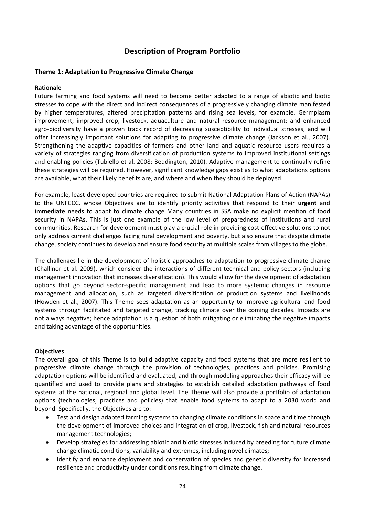# **Description of Program Portfolio**

#### **Theme 1: Adaptation to Progressive Climate Change**

#### **Rationale**

Future farming and food systems will need to become better adapted to a range of abiotic and biotic stresses to cope with the direct and indirect consequences of a progressively changing climate manifested by higher temperatures, altered precipitation patterns and rising sea levels, for example. Germplasm improvement; improved crop, livestock, aquaculture and natural resource management; and enhanced agro-biodiversity have a proven track record of decreasing susceptibility to individual stresses, and will offer increasingly important solutions for adapting to progressive climate change (Jackson et al., 2007). Strengthening the adaptive capacities of farmers and other land and aquatic resource users requires a variety of strategies ranging from diversification of production systems to improved institutional settings and enabling policies (Tubiello et al. 2008; Beddington, 2010). Adaptive management to continually refine these strategies will be required. However, significant knowledge gaps exist as to what adaptations options are available, what their likely benefits are, and where and when they should be deployed.

For example, least-developed countries are required to submit National Adaptation Plans of Action (NAPAs) to the UNFCCC, whose Objectives are to identify priority activities that respond to their **urgent** and **immediate** needs to adapt to climate change Many countries in SSA make no explicit mention of food security in NAPAs. This is just one example of the low level of preparedness of institutions and rural communities. Research for development must play a crucial role in providing cost‐effective solutions to not only address current challenges facing rural development and poverty, but also ensure that despite climate change, society continues to develop and ensure food security at multiple scales from villages to the globe.

The challenges lie in the development of holistic approaches to adaptation to progressive climate change (Challinor et al. 2009), which consider the interactions of different technical and policy sectors (including management innovation that increases diversification). This would allow for the development of adaptation options that go beyond sector‐specific management and lead to more systemic changes in resource management and allocation, such as targeted diversification of production systems and livelihoods (Howden et al., 2007). This Theme sees adaptation as an opportunity to improve agricultural and food systems through facilitated and targeted change, tracking climate over the coming decades. Impacts are not always negative; hence adaptation is a question of both mitigating or eliminating the negative impacts and taking advantage of the opportunities.

#### **Objectives**

The overall goal of this Theme is to build adaptive capacity and food systems that are more resilient to progressive climate change through the provision of technologies, practices and policies. Promising adaptation options will be identified and evaluated, and through modeling approaches their efficacy will be quantified and used to provide plans and strategies to establish detailed adaptation pathways of food systems at the national, regional and global level. The Theme will also provide a portfolio of adaptation options (technologies, practices and policies) that enable food systems to adapt to a 2030 world and beyond. Specifically, the Objectives are to:

- Test and design adapted farming systems to changing climate conditions in space and time through the development of improved choices and integration of crop, livestock, fish and natural resources management technologies;
- Develop strategies for addressing abiotic and biotic stresses induced by breeding for future climate change climatic conditions, variability and extremes, including novel climates;
- Identify and enhance deployment and conservation of species and genetic diversity for increased resilience and productivity under conditions resulting from climate change.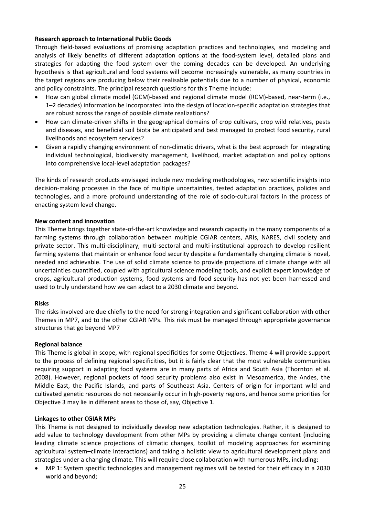#### **Research approach to International Public Goods**

Through field‐based evaluations of promising adaptation practices and technologies, and modeling and analysis of likely benefits of different adaptation options at the food‐system level, detailed plans and strategies for adapting the food system over the coming decades can be developed. An underlying hypothesis is that agricultural and food systems will become increasingly vulnerable, as many countries in the target regions are producing below their realisable potentials due to a number of physical, economic and policy constraints. The principal research questions for this Theme include:

- How can global climate model (GCM)-based and regional climate model (RCM)-based, near-term (i.e., 1–2 decades) information be incorporated into the design of location‐specific adaptation strategies that are robust across the range of possible climate realizations?
- How can climate‐driven shifts in the geographical domains of crop cultivars, crop wild relatives, pests and diseases, and beneficial soil biota be anticipated and best managed to protect food security, rural livelihoods and ecosystem services?
- Given a rapidly changing environment of non‐climatic drivers, what is the best approach for integrating individual technological, biodiversity management, livelihood, market adaptation and policy options into comprehensive local-level adaptation packages?

The kinds of research products envisaged include new modeling methodologies, new scientific insights into decision‐making processes in the face of multiple uncertainties, tested adaptation practices, policies and technologies, and a more profound understanding of the role of socio‐cultural factors in the process of enacting system level change.

#### **New content and innovation**

This Theme brings together state‐of‐the‐art knowledge and research capacity in the many components of a farming systems through collaboration between multiple CGIAR centers, ARIs, NARES, civil society and private sector. This multi‐disciplinary, multi‐sectoral and multi‐institutional approach to develop resilient farming systems that maintain or enhance food security despite a fundamentally changing climate is novel, needed and achievable. The use of solid climate science to provide projections of climate change with all uncertainties quantified, coupled with agricultural science modeling tools, and explicit expert knowledge of crops, agricultural production systems, food systems and food security has not yet been harnessed and used to truly understand how we can adapt to a 2030 climate and beyond.

#### **Risks**

The risks involved are due chiefly to the need for strong integration and significant collaboration with other Themes in MP7, and to the other CGIAR MPs. This risk must be managed through appropriate governance structures that go beyond MP7

#### **Regional balance**

This Theme is global in scope, with regional specificities for some Objectives. Theme 4 will provide support to the process of defining regional specificities, but it is fairly clear that the most vulnerable communities requiring support in adapting food systems are in many parts of Africa and South Asia (Thornton et al. 2008). However, regional pockets of food security problems also exist in Mesoamerica, the Andes, the Middle East, the Pacific Islands, and parts of Southeast Asia. Centers of origin for important wild and cultivated genetic resources do not necessarily occur in high‐poverty regions, and hence some priorities for Objective 3 may lie in different areas to those of, say, Objective 1.

#### **Linkages to other CGIAR MPs**

This Theme is not designed to individually develop new adaptation technologies. Rather, it is designed to add value to technology development from other MPs by providing a climate change context (including leading climate science projections of climatic changes, toolkit of modeling approaches for examining agricultural system–climate interactions) and taking a holistic view to agricultural development plans and strategies under a changing climate. This will require close collaboration with numerous MPs, including:

 MP 1: System specific technologies and management regimes will be tested for their efficacy in a 2030 world and beyond;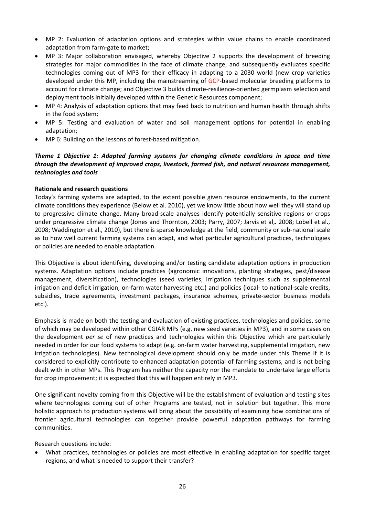- MP 2: Evaluation of adaptation options and strategies within value chains to enable coordinated adaptation from farm‐gate to market;
- MP 3: Major collaboration envisaged, whereby Objective 2 supports the development of breeding strategies for major commodities in the face of climate change, and subsequently evaluates specific technologies coming out of MP3 for their efficacy in adapting to a 2030 world (new crop varieties developed under this MP, including the mainstreaming of GCP‐based molecular breeding platforms to account for climate change; and Objective 3 builds climate‐resilience‐oriented germplasm selection and deployment tools initially developed within the Genetic Resources component;
- MP 4: Analysis of adaptation options that may feed back to nutrition and human health through shifts in the food system;
- MP 5: Testing and evaluation of water and soil management options for potential in enabling adaptation;
- MP 6: Building on the lessons of forest-based mitigation.

#### *Theme 1 Objective 1: Adapted farming systems for changing climate conditions in space and time through the development of improved crops, livestock, farmed fish, and natural resources management, technologies and tools*

#### **Rationale and research questions**

Today's farming systems are adapted, to the extent possible given resource endowments, to the current climate conditions they experience (Below et al. 2010), yet we know little about how well they will stand up to progressive climate change. Many broad‐scale analyses identify potentially sensitive regions or crops under progressive climate change (Jones and Thornton, 2003; Parry, 2007; Jarvis et al,*.* 2008; Lobell et al., 2008; Waddington et al., 2010), but there is sparse knowledge at the field, community or sub‐national scale as to how well current farming systems can adapt, and what particular agricultural practices, technologies or policies are needed to enable adaptation.

This Objective is about identifying, developing and/or testing candidate adaptation options in production systems. Adaptation options include practices (agronomic innovations, planting strategies, pest/disease management, diversification), technologies (seed varieties, irrigation techniques such as supplemental irrigation and deficit irrigation, on‐farm water harvesting etc.) and policies (local‐ to national‐scale credits, subsidies, trade agreements, investment packages, insurance schemes, private‐sector business models etc.).

Emphasis is made on both the testing and evaluation of existing practices, technologies and policies, some of which may be developed within other CGIAR MPs (e.g. new seed varieties in MP3), and in some cases on the development *per se* of new practices and technologies within this Objective which are particularly needed in order for our food systems to adapt (e.g. on-farm water harvesting, supplemental irrigation, new irrigation technologies). New technological development should only be made under this Theme if it is considered to explicitly contribute to enhanced adaptation potential of farming systems, and is not being dealt with in other MPs. This Program has neither the capacity nor the mandate to undertake large efforts for crop improvement; it is expected that this will happen entirely in MP3.

One significant novelty coming from this Objective will be the establishment of evaluation and testing sites where technologies coming out of other Programs are tested, not in isolation but together. This more holistic approach to production systems will bring about the possibility of examining how combinations of frontier agricultural technologies can together provide powerful adaptation pathways for farming communities.

Research questions include:

 What practices, technologies or policies are most effective in enabling adaptation for specific target regions, and what is needed to support their transfer?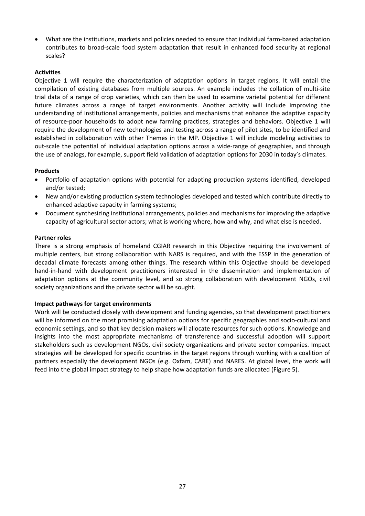What are the institutions, markets and policies needed to ensure that individual farm‐based adaptation contributes to broad-scale food system adaptation that result in enhanced food security at regional scales?

#### **Activities**

Objective 1 will require the characterization of adaptation options in target regions. It will entail the compilation of existing databases from multiple sources. An example includes the collation of multi-site trial data of a range of crop varieties, which can then be used to examine varietal potential for different future climates across a range of target environments. Another activity will include improving the understanding of institutional arrangements, policies and mechanisms that enhance the adaptive capacity of resource‐poor households to adopt new farming practices, strategies and behaviors. Objective 1 will require the development of new technologies and testing across a range of pilot sites, to be identified and established in collaboration with other Themes in the MP. Objective 1 will include modeling activities to out‐scale the potential of individual adaptation options across a wide‐range of geographies, and through the use of analogs, for example, support field validation of adaptation options for 2030 in today's climates.

#### **Products**

- Portfolio of adaptation options with potential for adapting production systems identified, developed and/or tested;
- New and/or existing production system technologies developed and tested which contribute directly to enhanced adaptive capacity in farming systems;
- Document synthesizing institutional arrangements, policies and mechanisms for improving the adaptive capacity of agricultural sector actors; what is working where, how and why, and what else is needed.

#### **Partner roles**

There is a strong emphasis of homeland CGIAR research in this Objective requiring the involvement of multiple centers, but strong collaboration with NARS is required, and with the ESSP in the generation of decadal climate forecasts among other things. The research within this Objective should be developed hand-in-hand with development practitioners interested in the dissemination and implementation of adaptation options at the community level, and so strong collaboration with development NGOs, civil society organizations and the private sector will be sought.

#### **Impact pathways for target environments**

Work will be conducted closely with development and funding agencies, so that development practitioners will be informed on the most promising adaptation options for specific geographies and socio-cultural and economic settings, and so that key decision makers will allocate resources for such options. Knowledge and insights into the most appropriate mechanisms of transference and successful adoption will support stakeholders such as development NGOs, civil society organizations and private sector companies. Impact strategies will be developed for specific countries in the target regions through working with a coalition of partners especially the development NGOs (e.g. Oxfam, CARE) and NARES. At global level, the work will feed into the global impact strategy to help shape how adaptation funds are allocated (Figure 5).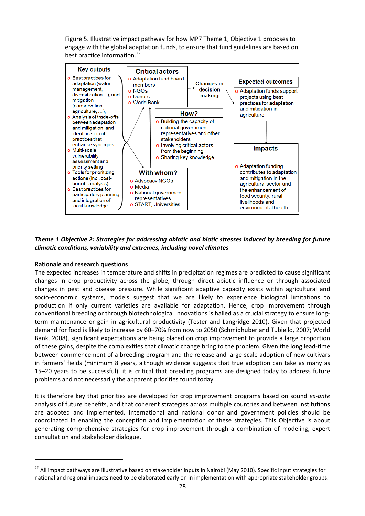Figure 5. Illustrative impact pathway for how MP7 Theme 1, Objective 1 proposes to engage with the global adaptation funds, to ensure that fund guidelines are based on best practice information.<sup>22</sup>



#### *Theme 1 Objective 2: Strategies for addressing abiotic and biotic stresses induced by breeding for future climatic conditions, variability and extremes, including novel climates*

#### **Rationale and research questions**

The expected increases in temperature and shifts in precipitation regimes are predicted to cause significant changes in crop productivity across the globe, through direct abiotic influence or through associated changes in pest and disease pressure. While significant adaptive capacity exists within agricultural and socio-economic systems, models suggest that we are likely to experience biological limitations to production if only current varieties are available for adaptation. Hence, crop improvement through conventional breeding or through biotechnological innovations is hailed as a crucial strategy to ensure long‐ term maintenance or gain in agricultural productivity (Tester and Langridge 2010). Given that projected demand for food is likely to increase by 60–70% from now to 2050 (Schmidhuber and Tubiello, 2007; World Bank, 2008), significant expectations are being placed on crop improvement to provide a large proportion of these gains, despite the complexities that climatic change bring to the problem. Given the long lead‐time between commencement of a breeding program and the release and large-scale adoption of new cultivars in farmers' fields (minimum 8 years, although evidence suggests that true adoption can take as many as 15–20 years to be successful), it is critical that breeding programs are designed today to address future problems and not necessarily the apparent priorities found today.

It is therefore key that priorities are developed for crop improvement programs based on sound *ex‐ante* analysis of future benefits, and that coherent strategies across multiple countries and between institutions are adopted and implemented. International and national donor and government policies should be coordinated in enabling the conception and implementation of these strategies. This Objective is about generating comprehensive strategies for crop improvement through a combination of modeling, expert consultation and stakeholder dialogue.

<sup>&</sup>lt;sup>22</sup> All impact pathways are illustrative based on stakeholder inputs in Nairobi (May 2010). Specific input strategies for national and regional impacts need to be elaborated early on in implementation with appropriate stakeholder groups.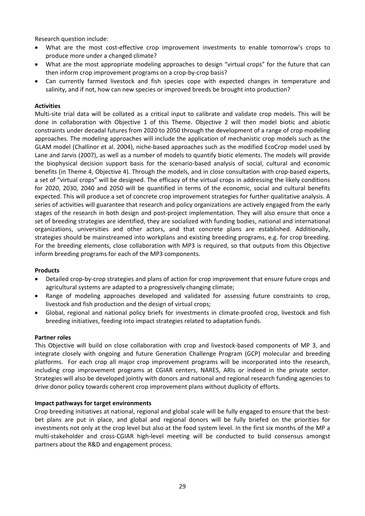Research question include:

- What are the most cost-effective crop improvement investments to enable tomorrow's crops to produce more under a changed climate?
- What are the most appropriate modeling approaches to design "virtual crops" for the future that can then inform crop improvement programs on a crop‐by‐crop basis?
- Can currently farmed livestock and fish species cope with expected changes in temperature and salinity, and if not, how can new species or improved breeds be brought into production?

#### **Activities**

Multi-site trial data will be collated as a critical input to calibrate and validate crop models. This will be done in collaboration with Objective 1 of this Theme. Objective 2 will then model biotic and abiotic constraints under decadal futures from 2020 to 2050 through the development of a range of crop modeling approaches. The modeling approaches will include the application of mechanistic crop models such as the GLAM model (Challinor et al. 2004), niche‐based approaches such as the modified EcoCrop model used by Lane and Jarvis (2007), as well as a number of models to quantify biotic elements. The models will provide the biophysical decision support basis for the scenario‐based analysis of social, cultural and economic benefits (in Theme 4, Objective 4). Through the models, and in close consultation with crop‐based experts, a set of "virtual crops" will be designed. The efficacy of the virtual crops in addressing the likely conditions for 2020, 2030, 2040 and 2050 will be quantified in terms of the economic, social and cultural benefits expected. This will produce a set of concrete crop improvement strategies for further qualitative analysis. A series of activities will guarantee that research and policy organizations are actively engaged from the early stages of the research in both design and post-project implementation. They will also ensure that once a set of breeding strategies are identified, they are socialized with funding bodies, national and international organizations, universities and other actors, and that concrete plans are established. Additionally, strategies should be mainstreamed into workplans and existing breeding programs, e.g. for crop breeding. For the breeding elements, close collaboration with MP3 is required, so that outputs from this Objective inform breeding programs for each of the MP3 components.

#### **Products**

- Detailed crop-by-crop strategies and plans of action for crop improvement that ensure future crops and agricultural systems are adapted to a progressively changing climate;
- Range of modeling approaches developed and validated for assessing future constraints to crop, livestock and fish production and the design of virtual crops;
- Global, regional and national policy briefs for investments in climate‐proofed crop, livestock and fish breeding initiatives, feeding into impact strategies related to adaptation funds.

#### **Partner roles**

This Objective will build on close collaboration with crop and livestock‐based components of MP 3, and integrate closely with ongoing and future Generation Challenge Program (GCP) molecular and breeding platforms. For each crop all major crop improvement programs will be incorporated into the research, including crop improvement programs at CGIAR centers, NARES, ARIs or indeed in the private sector. Strategies will also be developed jointly with donors and national and regional research funding agencies to drive donor policy towards coherent crop improvement plans without duplicity of efforts.

#### **Impact pathways for target environments**

Crop breeding initiatives at national, regional and global scale will be fully engaged to ensure that the best‐ bet plans are put in place, and global and regional donors will be fully briefed on the priorities for investments not only at the crop level but also at the food system level. In the first six months of the MP a multi‐stakeholder and cross‐CGIAR high‐level meeting will be conducted to build consensus amongst partners about the R&D and engagement process.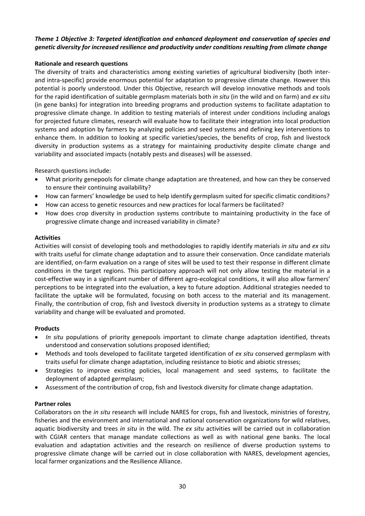#### *Theme 1 Objective 3: Targeted identification and enhanced deployment and conservation of species and genetic diversity for increased resilience and productivity under conditions resulting from climate change*

#### **Rationale and research questions**

The diversity of traits and characteristics among existing varieties of agricultural biodiversity (both inter‐ and intra‐specific) provide enormous potential for adaptation to progressive climate change. However this potential is poorly understood. Under this Objective, research will develop innovative methods and tools for the rapid identification of suitable germplasm materials both *in situ* (in the wild and on farm) and *ex situ* (in gene banks) for integration into breeding programs and production systems to facilitate adaptation to progressive climate change. In addition to testing materials of interest under conditions including analogs for projected future climates, research will evaluate how to facilitate their integration into local production systems and adoption by farmers by analyzing policies and seed systems and defining key interventions to enhance them. In addition to looking at specific varieties/species, the benefits of crop, fish and livestock diversity in production systems as a strategy for maintaining productivity despite climate change and variability and associated impacts (notably pests and diseases) will be assessed.

Research questions include:

- What priority genepools for climate change adaptation are threatened, and how can they be conserved to ensure their continuing availability?
- How can farmers' knowledge be used to help identify germplasm suited for specific climatic conditions?
- How can access to genetic resources and new practices for local farmers be facilitated?
- How does crop diversity in production systems contribute to maintaining productivity in the face of progressive climate change and increased variability in climate?

#### **Activities**

Activities will consist of developing tools and methodologies to rapidly identify materials *in situ* and *ex situ* with traits useful for climate change adaptation and to assure their conservation. Once candidate materials are identified, on‐farm evaluation on a range of sites will be used to test their response in different climate conditions in the target regions. This participatory approach will not only allow testing the material in a cost-effective way in a significant number of different agro-ecological conditions, it will also allow farmers' perceptions to be integrated into the evaluation, a key to future adoption. Additional strategies needed to facilitate the uptake will be formulated, focusing on both access to the material and its management. Finally, the contribution of crop, fish and livestock diversity in production systems as a strategy to climate variability and change will be evaluated and promoted.

#### **Products**

- *In situ* populations of priority genepools important to climate change adaptation identified, threats understood and conservation solutions proposed identified;
- Methods and tools developed to facilitate targeted identification of *ex situ* conserved germplasm with traits useful for climate change adaptation, including resistance to biotic and abiotic stresses;
- Strategies to improve existing policies, local management and seed systems, to facilitate the deployment of adapted germplasm;
- Assessment of the contribution of crop, fish and livestock diversity for climate change adaptation.

#### **Partner roles**

Collaborators on the *in situ* research will include NARES for crops, fish and livestock, ministries of forestry, fisheries and the environment and international and national conservation organizations for wild relatives, aquatic biodiversity and trees *in situ* in the wild. The *ex situ* activities will be carried out in collaboration with CGIAR centers that manage mandate collections as well as with national gene banks. The local evaluation and adaptation activities and the research on resilience of diverse production systems to progressive climate change will be carried out in close collaboration with NARES, development agencies, local farmer organizations and the Resilience Alliance.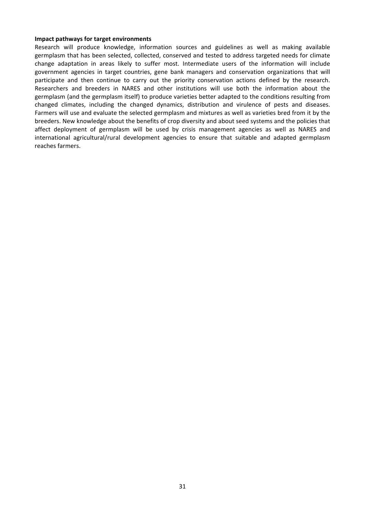#### **Impact pathways for target environments**

Research will produce knowledge, information sources and guidelines as well as making available germplasm that has been selected, collected, conserved and tested to address targeted needs for climate change adaptation in areas likely to suffer most. Intermediate users of the information will include government agencies in target countries, gene bank managers and conservation organizations that will participate and then continue to carry out the priority conservation actions defined by the research. Researchers and breeders in NARES and other institutions will use both the information about the germplasm (and the germplasm itself) to produce varieties better adapted to the conditions resulting from changed climates, including the changed dynamics, distribution and virulence of pests and diseases. Farmers will use and evaluate the selected germplasm and mixtures as well as varieties bred from it by the breeders. New knowledge about the benefits of crop diversity and about seed systems and the policies that affect deployment of germplasm will be used by crisis management agencies as well as NARES and international agricultural/rural development agencies to ensure that suitable and adapted germplasm reaches farmers.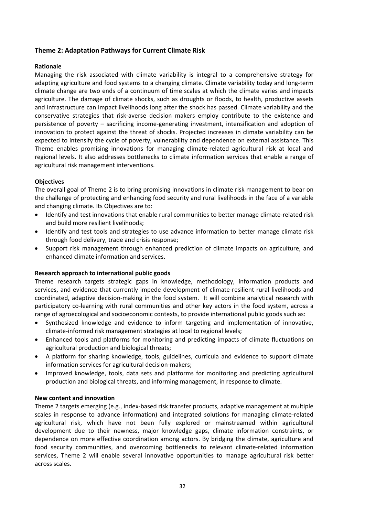#### **Theme 2: Adaptation Pathways for Current Climate Risk**

#### **Rationale**

Managing the risk associated with climate variability is integral to a comprehensive strategy for adapting agriculture and food systems to a changing climate. Climate variability today and long‐term climate change are two ends of a continuum of time scales at which the climate varies and impacts agriculture. The damage of climate shocks, such as droughts or floods, to health, productive assets and infrastructure can impact livelihoods long after the shock has passed. Climate variability and the conservative strategies that risk‐averse decision makers employ contribute to the existence and persistence of poverty – sacrificing income-generating investment, intensification and adoption of innovation to protect against the threat of shocks. Projected increases in climate variability can be expected to intensify the cycle of poverty, vulnerability and dependence on external assistance. This Theme enables promising innovations for managing climate-related agricultural risk at local and regional levels. It also addresses bottlenecks to climate information services that enable a range of agricultural risk management interventions.

#### **Objectives**

The overall goal of Theme 2 is to bring promising innovations in climate risk management to bear on the challenge of protecting and enhancing food security and rural livelihoods in the face of a variable and changing climate. Its Objectives are to:

- Identify and test innovations that enable rural communities to better manage climate-related risk and build more resilient livelihoods;
- Identify and test tools and strategies to use advance information to better manage climate risk through food delivery, trade and crisis response;
- Support risk management through enhanced prediction of climate impacts on agriculture, and enhanced climate information and services.

#### **Research approach to international public goods**

Theme research targets strategic gaps in knowledge, methodology, information products and services, and evidence that currently impede development of climate-resilient rural livelihoods and coordinated, adaptive decision‐making in the food system. It will combine analytical research with participatory co-learning with rural communities and other key actors in the food system, across a range of agroecological and socioeconomic contexts, to provide international public goods such as:

- Synthesized knowledge and evidence to inform targeting and implementation of innovative, climate‐informed risk management strategies at local to regional levels;
- Enhanced tools and platforms for monitoring and predicting impacts of climate fluctuations on agricultural production and biological threats;
- A platform for sharing knowledge, tools, guidelines, curricula and evidence to support climate information services for agricultural decision-makers;
- Improved knowledge, tools, data sets and platforms for monitoring and predicting agricultural production and biological threats, and informing management, in response to climate.

#### **New content and innovation**

Theme 2 targets emerging (e.g., index‐based risk transfer products, adaptive management at multiple scales in response to advance information) and integrated solutions for managing climate‐related agricultural risk, which have not been fully explored or mainstreamed within agricultural development due to their newness, major knowledge gaps, climate information constraints, or dependence on more effective coordination among actors. By bridging the climate, agriculture and food security communities, and overcoming bottlenecks to relevant climate-related information services, Theme 2 will enable several innovative opportunities to manage agricultural risk better across scales.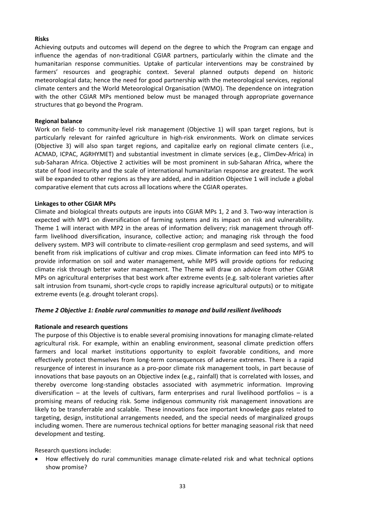#### **Risks**

Achieving outputs and outcomes will depend on the degree to which the Program can engage and influence the agendas of non-traditional CGIAR partners, particularly within the climate and the humanitarian response communities. Uptake of particular interventions may be constrained by farmers' resources and geographic context. Several planned outputs depend on historic meteorological data; hence the need for good partnership with the meteorological services, regional climate centers and the World Meteorological Organisation (WMO). The dependence on integration with the other CGIAR MPs mentioned below must be managed through appropriate governance structures that go beyond the Program.

#### **Regional balance**

Work on field- to community-level risk management (Objective 1) will span target regions, but is particularly relevant for rainfed agriculture in high-risk environments. Work on climate services (Objective 3) will also span target regions, and capitalize early on regional climate centers (i.e., ACMAD, ICPAC, AGRHYMET) and substantial investment in climate services (e.g., ClimDev‐Africa) in sub‐Saharan Africa. Objective 2 activities will be most prominent in sub‐Saharan Africa, where the state of food insecurity and the scale of international humanitarian response are greatest. The work will be expanded to other regions as they are added, and in addition Objective 1 will include a global comparative element that cuts across all locations where the CGIAR operates.

#### **Linkages to other CGIAR MPs**

Climate and biological threats outputs are inputs into CGIAR MPs 1, 2 and 3. Two‐way interaction is expected with MP1 on diversification of farming systems and its impact on risk and vulnerability. Theme 1 will interact with MP2 in the areas of information delivery; risk management through offfarm livelihood diversification, insurance, collective action; and managing risk through the food delivery system. MP3 will contribute to climate‐resilient crop germplasm and seed systems, and will benefit from risk implications of cultivar and crop mixes. Climate information can feed into MP5 to provide information on soil and water management, while MP5 will provide options for reducing climate risk through better water management. The Theme will draw on advice from other CGIAR MPs on agricultural enterprises that best work after extreme events (e.g. salt-tolerant varieties after salt intrusion from tsunami, short-cycle crops to rapidly increase agricultural outputs) or to mitigate extreme events (e.g. drought tolerant crops).

#### *Theme 2 Objective 1: Enable rural communities to manage and build resilient livelihoods*

#### **Rationale and research questions**

The purpose of this Objective is to enable several promising innovations for managing climate‐related agricultural risk. For example, within an enabling environment, seasonal climate prediction offers farmers and local market institutions opportunity to exploit favorable conditions, and more effectively protect themselves from long-term consequences of adverse extremes. There is a rapid resurgence of interest in insurance as a pro‐poor climate risk management tools, in part because of innovations that base payouts on an Objective index (e.g., rainfall) that is correlated with losses, and thereby overcome long‐standing obstacles associated with asymmetric information. Improving diversification – at the levels of cultivars, farm enterprises and rural livelihood portfolios – is a promising means of reducing risk. Some indigenous community risk management innovations are likely to be transferrable and scalable. These innovations face important knowledge gaps related to targeting, design, institutional arrangements needed, and the special needs of marginalized groups including women. There are numerous technical options for better managing seasonal risk that need development and testing.

Research questions include:

How effectively do rural communities manage climate-related risk and what technical options show promise?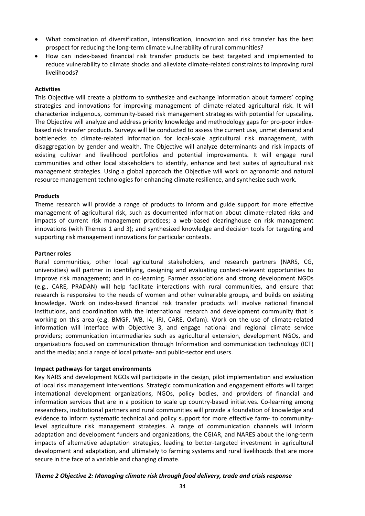- What combination of diversification, intensification, innovation and risk transfer has the best prospect for reducing the long‐term climate vulnerability of rural communities?
- How can index‐based financial risk transfer products be best targeted and implemented to reduce vulnerability to climate shocks and alleviate climate‐related constraints to improving rural livelihoods?

#### **Activities**

This Objective will create a platform to synthesize and exchange information about farmers' coping strategies and innovations for improving management of climate‐related agricultural risk. It will characterize indigenous, community‐based risk management strategies with potential for upscaling. The Objective will analyze and address priority knowledge and methodology gaps for pro‐poor index‐ based risk transfer products. Surveys will be conducted to assess the current use, unmet demand and bottlenecks to climate‐related information for local‐scale agricultural risk management, with disaggregation by gender and wealth. The Objective will analyze determinants and risk impacts of existing cultivar and livelihood portfolios and potential improvements. It will engage rural communities and other local stakeholders to identify, enhance and test suites of agricultural risk management strategies. Using a global approach the Objective will work on agronomic and natural resource management technologies for enhancing climate resilience, and synthesize such work.

#### **Products**

Theme research will provide a range of products to inform and guide support for more effective management of agricultural risk, such as documented information about climate‐related risks and impacts of current risk management practices; a web-based clearinghouse on risk management innovations (with Themes 1 and 3); and synthesized knowledge and decision tools for targeting and supporting risk management innovations for particular contexts.

#### **Partner roles**

Rural communities, other local agricultural stakeholders, and research partners (NARS, CG, universities) will partner in identifying, designing and evaluating context‐relevant opportunities to improve risk management; and in co-learning. Farmer associations and strong development NGOs (e.g., CARE, PRADAN) will help facilitate interactions with rural communities, and ensure that research is responsive to the needs of women and other vulnerable groups, and builds on existing knowledge. Work on index‐based financial risk transfer products will involve national financial institutions, and coordination with the international research and development community that is working on this area (e.g. BMGF, WB, 14, IRI, CARE, Oxfam). Work on the use of climate-related information will interface with Objective 3, and engage national and regional climate service providers; communication intermediaries such as agricultural extension, development NGOs, and organizations focused on communication through Information and communication technology (ICT) and the media; and a range of local private‐ and public‐sector end users.

#### **Impact pathways for target environments**

Key NARS and development NGOs will participate in the design, pilot implementation and evaluation of local risk management interventions. Strategic communication and engagement efforts will target international development organizations, NGOs, policy bodies, and providers of financial and information services that are in a position to scale up country-based initiatives. Co-learning among researchers, institutional partners and rural communities will provide a foundation of knowledge and evidence to inform systematic technical and policy support for more effective farm- to communitylevel agriculture risk management strategies. A range of communication channels will inform adaptation and development funders and organizations, the CGIAR, and NARES about the long‐term impacts of alternative adaptation strategies, leading to better-targeted investment in agricultural development and adaptation, and ultimately to farming systems and rural livelihoods that are more secure in the face of a variable and changing climate.

#### *Theme 2 Objective 2: Managing climate risk through food delivery, trade and crisis response*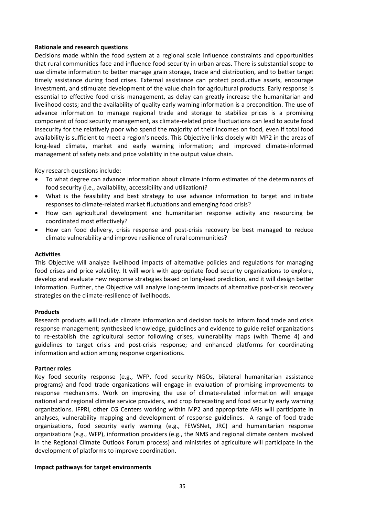#### **Rationale and research questions**

Decisions made within the food system at a regional scale influence constraints and opportunities that rural communities face and influence food security in urban areas. There is substantial scope to use climate information to better manage grain storage, trade and distribution, and to better target timely assistance during food crises. External assistance can protect productive assets, encourage investment, and stimulate development of the value chain for agricultural products. Early response is essential to effective food crisis management, as delay can greatly increase the humanitarian and livelihood costs; and the availability of quality early warning information is a precondition. The use of advance information to manage regional trade and storage to stabilize prices is a promising component of food security management, as climate‐related price fluctuations can lead to acute food insecurity for the relatively poor who spend the majority of their incomes on food, even if total food availability is sufficient to meet a region's needs. This Objective links closely with MP2 in the areas of long‐lead climate, market and early warning information; and improved climate‐informed management of safety nets and price volatility in the output value chain.

Key research questions include:

- To what degree can advance information about climate inform estimates of the determinants of food security (i.e., availability, accessibility and utilization)?
- What is the feasibility and best strategy to use advance information to target and initiate responses to climate‐related market fluctuations and emerging food crisis?
- How can agricultural development and humanitarian response activity and resourcing be coordinated most effectively?
- How can food delivery, crisis response and post-crisis recovery be best managed to reduce climate vulnerability and improve resilience of rural communities?

#### **Activities**

This Objective will analyze livelihood impacts of alternative policies and regulations for managing food crises and price volatility. It will work with appropriate food security organizations to explore, develop and evaluate new response strategies based on long‐lead prediction, and it will design better information. Further, the Objective will analyze long-term impacts of alternative post-crisis recovery strategies on the climate‐resilience of livelihoods.

#### **Products**

Research products will include climate information and decision tools to inform food trade and crisis response management; synthesized knowledge, guidelines and evidence to guide relief organizations to re‐establish the agricultural sector following crises, vulnerability maps (with Theme 4) and guidelines to target crisis and post-crisis response; and enhanced platforms for coordinating information and action among response organizations.

#### **Partner roles**

Key food security response (e.g., WFP, food security NGOs, bilateral humanitarian assistance programs) and food trade organizations will engage in evaluation of promising improvements to response mechanisms. Work on improving the use of climate-related information will engage national and regional climate service providers, and crop forecasting and food security early warning organizations. IFPRI, other CG Centers working within MP2 and appropriate ARIs will participate in analyses, vulnerability mapping and development of response guidelines. A range of food trade organizations, food security early warning (e.g., FEWSNet, JRC) and humanitarian response organizations (e.g., WFP), information providers (e.g., the NMS and regional climate centers involved in the Regional Climate Outlook Forum process) and ministries of agriculture will participate in the development of platforms to improve coordination.

#### **Impact pathways for target environments**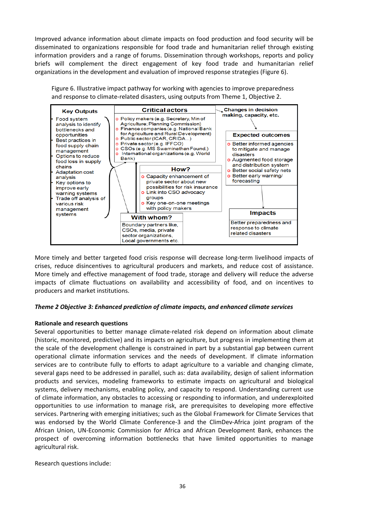Improved advance information about climate impacts on food production and food security will be disseminated to organizations responsible for food trade and humanitarian relief through existing information providers and a range of forums. Dissemination through workshops, reports and policy briefs will complement the direct engagement of key food trade and humanitarian relief organizations in the development and evaluation of improved response strategies (Figure 6).

Figure 6. Illustrative impact pathway for working with agencies to improve preparedness and response to climate-related disasters, using outputs from Theme 1, Objective 2.



More timely and better targeted food crisis response will decrease long‐term livelihood impacts of crises, reduce disincentives to agricultural producers and markets, and reduce cost of assistance. More timely and effective management of food trade, storage and delivery will reduce the adverse impacts of climate fluctuations on availability and accessibility of food, and on incentives to producers and market institutions.

#### *Theme 2 Objective 3: Enhanced prediction of climate impacts, and enhanced climate services*

#### **Rationale and research questions**

Several opportunities to better manage climate-related risk depend on information about climate (historic, monitored, predictive) and its impacts on agriculture, but progress in implementing them at the scale of the development challenge is constrained in part by a substantial gap between current operational climate information services and the needs of development. If climate information services are to contribute fully to efforts to adapt agriculture to a variable and changing climate, several gaps need to be addressed in parallel, such as: data availability, design of salient information products and services, modeling frameworks to estimate impacts on agricultural and biological systems, delivery mechanisms, enabling policy, and capacity to respond. Understanding current use of climate information, any obstacles to accessing or responding to information, and underexploited opportunities to use information to manage risk, are prerequisites to developing more effective services. Partnering with emerging initiatives; such as the Global Framework for Climate Services that was endorsed by the World Climate Conference-3 and the ClimDev-Africa joint program of the African Union, UN‐Economic Commission for Africa and African Development Bank, enhances the prospect of overcoming information bottlenecks that have limited opportunities to manage agricultural risk.

Research questions include: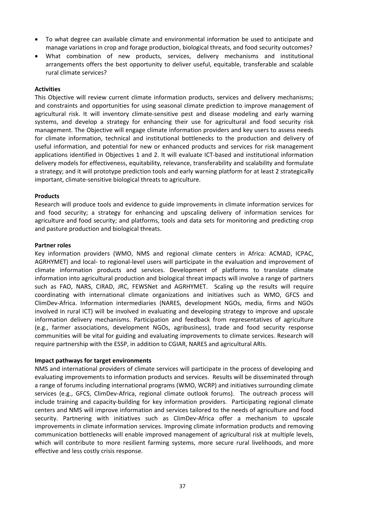- To what degree can available climate and environmental information be used to anticipate and manage variations in crop and forage production, biological threats, and food security outcomes?
- What combination of new products, services, delivery mechanisms and institutional arrangements offers the best opportunity to deliver useful, equitable, transferable and scalable rural climate services?

#### **Activities**

This Objective will review current climate information products, services and delivery mechanisms; and constraints and opportunities for using seasonal climate prediction to improve management of agricultural risk. It will inventory climate‐sensitive pest and disease modeling and early warning systems, and develop a strategy for enhancing their use for agricultural and food security risk management. The Objective will engage climate information providers and key users to assess needs for climate information, technical and institutional bottlenecks to the production and delivery of useful information, and potential for new or enhanced products and services for risk management applications identified in Objectives 1 and 2. It will evaluate ICT‐based and institutional information delivery models for effectiveness, equitability, relevance, transferability and scalability and formulate a strategy; and it will prototype prediction tools and early warning platform for at least 2 strategically important, climate‐sensitive biological threats to agriculture.

#### **Products**

Research will produce tools and evidence to guide improvements in climate information services for and food security; a strategy for enhancing and upscaling delivery of information services for agriculture and food security; and platforms, tools and data sets for monitoring and predicting crop and pasture production and biological threats.

#### **Partner roles**

Key information providers (WMO, NMS and regional climate centers in Africa: ACMAD, ICPAC, AGRHYMET) and local‐ to regional‐level users will participate in the evaluation and improvement of climate information products and services. Development of platforms to translate climate information into agricultural production and biological threat impacts will involve a range of partners such as FAO, NARS, CIRAD, JRC, FEWSNet and AGRHYMET. Scaling up the results will require coordinating with international climate organizations and initiatives such as WMO, GFCS and ClimDev‐Africa. Information intermediaries (NARES, development NGOs, media, firms and NGOs involved in rural ICT) will be involved in evaluating and developing strategy to improve and upscale information delivery mechanisms. Participation and feedback from representatives of agriculture (e.g., farmer associations, development NGOs, agribusiness), trade and food security response communities will be vital for guiding and evaluating improvements to climate services. Research will require partnership with the ESSP, in addition to CGIAR, NARES and agricultural ARIs.

#### **Impact pathways for target environments**

NMS and international providers of climate services will participate in the process of developing and evaluating improvements to information products and services. Results will be disseminated through a range of forums including international programs (WMO, WCRP) and initiatives surrounding climate services (e.g., GFCS, ClimDev-Africa, regional climate outlook forums). The outreach process will include training and capacity-building for key information providers. Participating regional climate centers and NMS will improve information and services tailored to the needs of agriculture and food security. Partnering with initiatives such as ClimDev-Africa offer a mechanism to upscale improvements in climate information services. Improving climate information products and removing communication bottlenecks will enable improved management of agricultural risk at multiple levels, which will contribute to more resilient farming systems, more secure rural livelihoods, and more effective and less costly crisis response.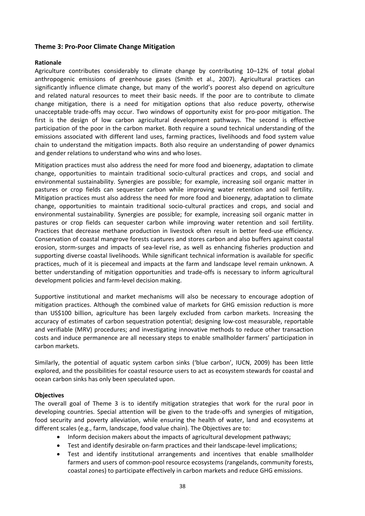## **Theme 3: Pro‐Poor Climate Change Mitigation**

#### **Rationale**

Agriculture contributes considerably to climate change by contributing 10–12% of total global anthropogenic emissions of greenhouse gases (Smith et al., 2007). Agricultural practices can significantly influence climate change, but many of the world's poorest also depend on agriculture and related natural resources to meet their basic needs. If the poor are to contribute to climate change mitigation, there is a need for mitigation options that also reduce poverty, otherwise unacceptable trade‐offs may occur. Two windows of opportunity exist for pro‐poor mitigation. The first is the design of low carbon agricultural development pathways. The second is effective participation of the poor in the carbon market. Both require a sound technical understanding of the emissions associated with different land uses, farming practices, livelihoods and food system value chain to understand the mitigation impacts. Both also require an understanding of power dynamics and gender relations to understand who wins and who loses.

Mitigation practices must also address the need for more food and bioenergy, adaptation to climate change, opportunities to maintain traditional socio‐cultural practices and crops, and social and environmental sustainability. Synergies are possible; for example, increasing soil organic matter in pastures or crop fields can sequester carbon while improving water retention and soil fertility. Mitigation practices must also address the need for more food and bioenergy, adaptation to climate change, opportunities to maintain traditional socio‐cultural practices and crops, and social and environmental sustainability. Synergies are possible; for example, increasing soil organic matter in pastures or crop fields can sequester carbon while improving water retention and soil fertility. Practices that decrease methane production in livestock often result in better feed-use efficiency. Conservation of coastal mangrove forests captures and stores carbon and also buffers against coastal erosion, storm‐surges and impacts of sea‐level rise, as well as enhancing fisheries production and supporting diverse coastal livelihoods. While significant technical information is available for specific practices, much of it is piecemeal and impacts at the farm and landscape level remain unknown. A better understanding of mitigation opportunities and trade‐offs is necessary to inform agricultural development policies and farm‐level decision making.

Supportive institutional and market mechanisms will also be necessary to encourage adoption of mitigation practices. Although the combined value of markets for GHG emission reduction is more than US\$100 billion, agriculture has been largely excluded from carbon markets. Increasing the accuracy of estimates of carbon sequestration potential; designing low‐cost measurable, reportable and verifiable (MRV) procedures; and investigating innovative methods to reduce other transaction costs and induce permanence are all necessary steps to enable smallholder farmers' participation in carbon markets.

Similarly, the potential of aquatic system carbon sinks ('blue carbon', IUCN, 2009) has been little explored, and the possibilities for coastal resource users to act as ecosystem stewards for coastal and ocean carbon sinks has only been speculated upon.

#### **Objectives**

The overall goal of Theme 3 is to identify mitigation strategies that work for the rural poor in developing countries. Special attention will be given to the trade-offs and synergies of mitigation, food security and poverty alleviation, while ensuring the health of water, land and ecosystems at different scales (e.g., farm, landscape, food value chain). The Objectives are to:

- Inform decision makers about the impacts of agricultural development pathways;
- Test and identify desirable on-farm practices and their landscape-level implications;
- Test and identify institutional arrangements and incentives that enable smallholder farmers and users of common‐pool resource ecosystems (rangelands, community forests, coastal zones) to participate effectively in carbon markets and reduce GHG emissions.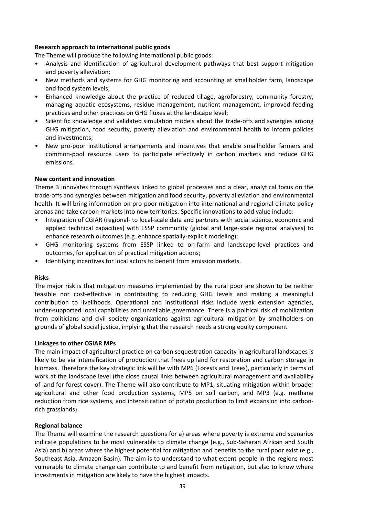### **Research approach to international public goods**

The Theme will produce the following international public goods:

- Analysis and identification of agricultural development pathways that best support mitigation and poverty alleviation;
- New methods and systems for GHG monitoring and accounting at smallholder farm, landscape and food system levels;
- Enhanced knowledge about the practice of reduced tillage, agroforestry, community forestry, managing aquatic ecosystems, residue management, nutrient management, improved feeding practices and other practices on GHG fluxes at the landscape level;
- Scientific knowledge and validated simulation models about the trade-offs and synergies among GHG mitigation, food security, poverty alleviation and environmental health to inform policies and investments;
- New pro-poor institutional arrangements and incentives that enable smallholder farmers and common‐pool resource users to participate effectively in carbon markets and reduce GHG emissions.

## **New content and innovation**

Theme 3 innovates through synthesis linked to global processes and a clear, analytical focus on the trade‐offs and synergies between mitigation and food security, poverty alleviation and environmental health. It will bring information on pro-poor mitigation into international and regional climate policy arenas and take carbon markets into new territories. Specific innovations to add value include:

- Integration of CGIAR (regional- to local-scale data and partners with social science, economic and applied technical capacities) with ESSP community (global and large‐scale regional analyses) to enhance research outcomes (e.g. enhance spatially‐explicit modeling);
- GHG monitoring systems from ESSP linked to on-farm and landscape-level practices and outcomes, for application of practical mitigation actions;
- Identifying incentives for local actors to benefit from emission markets.

#### **Risks**

The major risk is that mitigation measures implemented by the rural poor are shown to be neither feasible nor cost-effective in contributing to reducing GHG levels and making a meaningful contribution to livelihoods. Operational and institutional risks include weak extension agencies, under‐supported local capabilities and unreliable governance. There is a political risk of mobilization from politicians and civil society organizations against agricultural mitigation by smallholders on grounds of global social justice, implying that the research needs a strong equity component

#### **Linkages to other CGIAR MPs**

The main impact of agricultural practice on carbon sequestration capacity in agricultural landscapes is likely to be via intensification of production that frees up land for restoration and carbon storage in biomass. Therefore the key strategic link will be with MP6 (Forests and Trees), particularly in terms of work at the landscape level (the close causal links between agricultural management and availability of land for forest cover). The Theme will also contribute to MP1, situating mitigation within broader agricultural and other food production systems, MP5 on soil carbon, and MP3 (e.g. methane reduction from rice systems, and intensification of potato production to limit expansion into carbon‐ rich grasslands).

#### **Regional balance**

The Theme will examine the research questions for a) areas where poverty is extreme and scenarios indicate populations to be most vulnerable to climate change (e.g., Sub‐Saharan African and South Asia) and b) areas where the highest potential for mitigation and benefits to the rural poor exist (e.g., Southeast Asia, Amazon Basin). The aim is to understand to what extent people in the regions most vulnerable to climate change can contribute to and benefit from mitigation, but also to know where investments in mitigation are likely to have the highest impacts.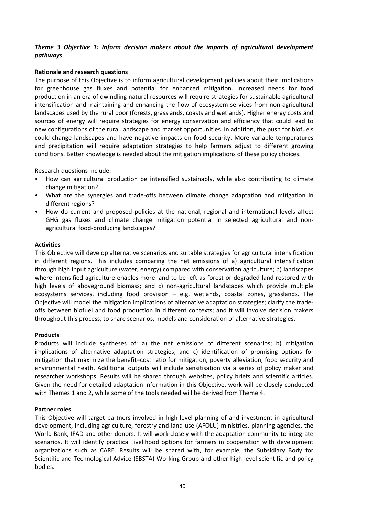# *Theme 3 Objective 1: Inform decision makers about the impacts of agricultural development pathways*

## **Rationale and research questions**

The purpose of this Objective is to inform agricultural development policies about their implications for greenhouse gas fluxes and potential for enhanced mitigation. Increased needs for food production in an era of dwindling natural resources will require strategies for sustainable agricultural intensification and maintaining and enhancing the flow of ecosystem services from non‐agricultural landscapes used by the rural poor (forests, grasslands, coasts and wetlands). Higher energy costs and sources of energy will require strategies for energy conservation and efficiency that could lead to new configurations of the rural landscape and market opportunities. In addition, the push for biofuels could change landscapes and have negative impacts on food security. More variable temperatures and precipitation will require adaptation strategies to help farmers adjust to different growing conditions. Better knowledge is needed about the mitigation implications of these policy choices.

Research questions include:

- How can agricultural production be intensified sustainably, while also contributing to climate change mitigation?
- What are the synergies and trade-offs between climate change adaptation and mitigation in different regions?
- How do current and proposed policies at the national, regional and international levels affect GHG gas fluxes and climate change mitigation potential in selected agricultural and non‐ agricultural food‐producing landscapes?

#### **Activities**

This Objective will develop alternative scenarios and suitable strategies for agricultural intensification in different regions. This includes comparing the net emissions of a) agricultural intensification through high input agriculture (water, energy) compared with conservation agriculture; b) landscapes where intensified agriculture enables more land to be left as forest or degraded land restored with high levels of aboveground biomass; and c) non-agricultural landscapes which provide multiple ecosystems services, including food provision – e.g. wetlands, coastal zones, grasslands. The Objective will model the mitigation implications of alternative adaptation strategies; clarify the trade‐ offs between biofuel and food production in different contexts; and it will involve decision makers throughout this process, to share scenarios, models and consideration of alternative strategies.

#### **Products**

Products will include syntheses of: a) the net emissions of different scenarios; b) mitigation implications of alternative adaptation strategies; and c) identification of promising options for mitigation that maximize the benefit–cost ratio for mitigation, poverty alleviation, food security and environmental heath. Additional outputs will include sensitisation via a series of policy maker and researcher workshops. Results will be shared through websites, policy briefs and scientific articles. Given the need for detailed adaptation information in this Objective, work will be closely conducted with Themes 1 and 2, while some of the tools needed will be derived from Theme 4.

#### **Partner roles**

This Objective will target partners involved in high-level planning of and investment in agricultural development, including agriculture, forestry and land use (AFOLU) ministries, planning agencies, the World Bank, IFAD and other donors. It will work closely with the adaptation community to integrate scenarios. It will identify practical livelihood options for farmers in cooperation with development organizations such as CARE. Results will be shared with, for example, the Subsidiary Body for Scientific and Technological Advice (SBSTA) Working Group and other high‐level scientific and policy bodies.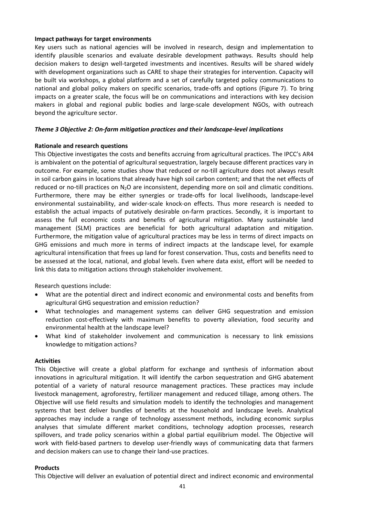#### **Impact pathways for target environments**

Key users such as national agencies will be involved in research, design and implementation to identify plausible scenarios and evaluate desirable development pathways. Results should help decision makers to design well-targeted investments and incentives. Results will be shared widely with development organizations such as CARE to shape their strategies for intervention. Capacity will be built via workshops, a global platform and a set of carefully targeted policy communications to national and global policy makers on specific scenarios, trade‐offs and options (Figure 7). To bring impacts on a greater scale, the focus will be on communications and interactions with key decision makers in global and regional public bodies and large‐scale development NGOs, with outreach beyond the agriculture sector.

#### *Theme 3 Objective 2: On‐farm mitigation practices and their landscape‐level implications*

#### **Rationale and research questions**

This Objective investigates the costs and benefits accruing from agricultural practices. The IPCC's AR4 is ambivalent on the potential of agricultural sequestration, largely because different practices vary in outcome. For example, some studies show that reduced or no-till agriculture does not always result in soil carbon gains in locations that already have high soil carbon content; and that the net effects of reduced or no-till practices on N<sub>2</sub>O are inconsistent, depending more on soil and climatic conditions. Furthermore, there may be either synergies or trade‐offs for local livelihoods, landscape‐level environmental sustainability, and wider‐scale knock‐on effects. Thus more research is needed to establish the actual impacts of putatively desirable on-farm practices. Secondly, it is important to assess the full economic costs and benefits of agricultural mitigation. Many sustainable land management (SLM) practices are beneficial for both agricultural adaptation and mitigation. Furthermore, the mitigation value of agricultural practices may be less in terms of direct impacts on GHG emissions and much more in terms of indirect impacts at the landscape level, for example agricultural intensification that frees up land for forest conservation. Thus, costs and benefits need to be assessed at the local, national, and global levels. Even where data exist, effort will be needed to link this data to mitigation actions through stakeholder involvement.

Research questions include:

- What are the potential direct and indirect economic and environmental costs and benefits from agricultural GHG sequestration and emission reduction?
- What technologies and management systems can deliver GHG sequestration and emission reduction cost‐effectively with maximum benefits to poverty alleviation, food security and environmental health at the landscape level?
- What kind of stakeholder involvement and communication is necessary to link emissions knowledge to mitigation actions?

#### **Activities**

This Objective will create a global platform for exchange and synthesis of information about innovations in agricultural mitigation. It will identify the carbon sequestration and GHG abatement potential of a variety of natural resource management practices. These practices may include livestock management, agroforestry, fertilizer management and reduced tillage, among others. The Objective will use field results and simulation models to identify the technologies and management systems that best deliver bundles of benefits at the household and landscape levels. Analytical approaches may include a range of technology assessment methods, including economic surplus analyses that simulate different market conditions, technology adoption processes, research spillovers, and trade policy scenarios within a global partial equilibrium model. The Objective will work with field-based partners to develop user-friendly ways of communicating data that farmers and decision makers can use to change their land‐use practices.

#### **Products**

This Objective will deliver an evaluation of potential direct and indirect economic and environmental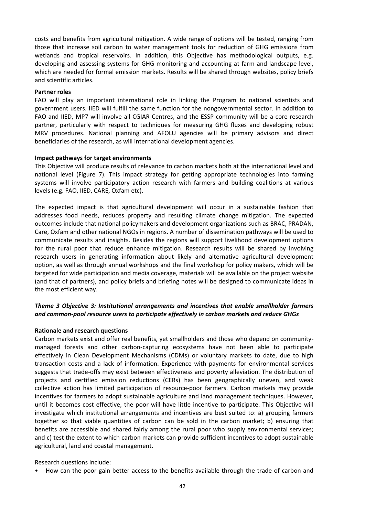costs and benefits from agricultural mitigation. A wide range of options will be tested, ranging from those that increase soil carbon to water management tools for reduction of GHG emissions from wetlands and tropical reservoirs. In addition, this Objective has methodological outputs, e.g. developing and assessing systems for GHG monitoring and accounting at farm and landscape level, which are needed for formal emission markets. Results will be shared through websites, policy briefs and scientific articles.

#### **Partner roles**

FAO will play an important international role in linking the Program to national scientists and government users. IIED will fulfill the same function for the nongovernmental sector. In addition to FAO and IIED, MP7 will involve all CGIAR Centres, and the ESSP community will be a core research partner, particularly with respect to techniques for measuring GHG fluxes and developing robust MRV procedures. National planning and AFOLU agencies will be primary advisors and direct beneficiaries of the research, as will international development agencies.

#### **Impact pathways for target environments**

This Objective will produce results of relevance to carbon markets both at the international level and national level (Figure 7). This impact strategy for getting appropriate technologies into farming systems will involve participatory action research with farmers and building coalitions at various levels (e.g. FAO, IIED, CARE, Oxfam etc).

The expected impact is that agricultural development will occur in a sustainable fashion that addresses food needs, reduces property and resulting climate change mitigation. The expected outcomes include that national policymakers and development organizations such as BRAC, PRADAN, Care, Oxfam and other national NGOs in regions. A number of dissemination pathways will be used to communicate results and insights. Besides the regions will support livelihood development options for the rural poor that reduce enhance mitigation. Research results will be shared by involving research users in generating information about likely and alternative agricultural development option, as well as through annual workshops and the final workshop for policy makers, which will be targeted for wide participation and media coverage, materials will be available on the project website (and that of partners), and policy briefs and briefing notes will be designed to communicate ideas in the most efficient way.

# *Theme 3 Objective 3: Institutional arrangements and incentives that enable smallholder farmers and common‐pool resource users to participate effectively in carbon markets and reduce GHGs*

#### **Rationale and research questions**

Carbon markets exist and offer real benefits, yet smallholders and those who depend on community‐ managed forests and other carbon‐capturing ecosystems have not been able to participate effectively in Clean Development Mechanisms (CDMs) or voluntary markets to date, due to high transaction costs and a lack of information. Experience with payments for environmental services suggests that trade‐offs may exist between effectiveness and poverty alleviation. The distribution of projects and certified emission reductions (CERs) has been geographically uneven, and weak collective action has limited participation of resource‐poor farmers. Carbon markets may provide incentives for farmers to adopt sustainable agriculture and land management techniques. However, until it becomes cost effective, the poor will have little incentive to participate. This Objective will investigate which institutional arrangements and incentives are best suited to: a) grouping farmers together so that viable quantities of carbon can be sold in the carbon market; b) ensuring that benefits are accessible and shared fairly among the rural poor who supply environmental services; and c) test the extent to which carbon markets can provide sufficient incentives to adopt sustainable agricultural, land and coastal management.

Research questions include:

• How can the poor gain better access to the benefits available through the trade of carbon and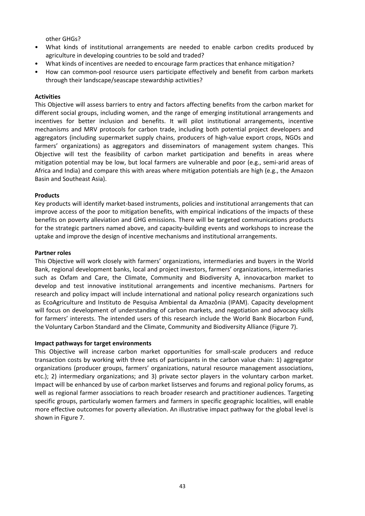other GHGs?

- What kinds of institutional arrangements are needed to enable carbon credits produced by agriculture in developing countries to be sold and traded?
- What kinds of incentives are needed to encourage farm practices that enhance mitigation?
- How can common‐pool resource users participate effectively and benefit from carbon markets through their landscape/seascape stewardship activities?

#### **Activities**

This Objective will assess barriers to entry and factors affecting benefits from the carbon market for different social groups, including women, and the range of emerging institutional arrangements and incentives for better inclusion and benefits. It will pilot institutional arrangements, incentive mechanisms and MRV protocols for carbon trade, including both potential project developers and aggregators (including supermarket supply chains, producers of high‐value export crops, NGOs and farmers' organizations) as aggregators and disseminators of management system changes. This Objective will test the feasibility of carbon market participation and benefits in areas where mitigation potential may be low, but local farmers are vulnerable and poor (e.g., semi-arid areas of Africa and India) and compare this with areas where mitigation potentials are high (e.g., the Amazon Basin and Southeast Asia).

#### **Products**

Key products will identify market‐based instruments, policies and institutional arrangements that can improve access of the poor to mitigation benefits, with empirical indications of the impacts of these benefits on poverty alleviation and GHG emissions. There will be targeted communications products for the strategic partners named above, and capacity‐building events and workshops to increase the uptake and improve the design of incentive mechanisms and institutional arrangements.

#### **Partner roles**

This Objective will work closely with farmers' organizations, intermediaries and buyers in the World Bank, regional development banks, local and project investors, farmers' organizations, intermediaries such as Oxfam and Care, the Climate, Community and Biodiversity A, innovacarbon market to develop and test innovative institutional arrangements and incentive mechanisms. Partners for research and policy impact will include international and national policy research organizations such as EcoAgriculture and Instituto de Pesquisa Ambiental da Amazônia (IPAM). Capacity development will focus on development of understanding of carbon markets, and negotiation and advocacy skills for farmers' interests. The intended users of this research include the World Bank Biocarbon Fund, the Voluntary Carbon Standard and the Climate, Community and Biodiversity Alliance (Figure 7).

#### **Impact pathways for target environments**

This Objective will increase carbon market opportunities for small‐scale producers and reduce transaction costs by working with three sets of participants in the carbon value chain: 1) aggregator organizations (producer groups, farmers' organizations, natural resource management associations, etc.); 2) intermediary organizations; and 3) private sector players in the voluntary carbon market. Impact will be enhanced by use of carbon market listserves and forums and regional policy forums, as well as regional farmer associations to reach broader research and practitioner audiences. Targeting specific groups, particularly women farmers and farmers in specific geographic localities, will enable more effective outcomes for poverty alleviation. An illustrative impact pathway for the global level is shown in Figure 7.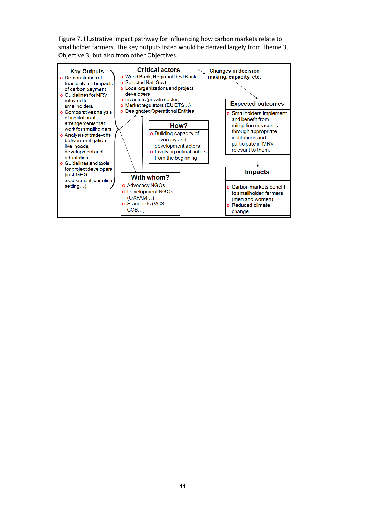Figure 7. Illustrative impact pathway for influencing how carbon markets relate to smallholder farmers. The key outputs listed would be derived largely from Theme 3, Objective 3, but also from other Objectives.

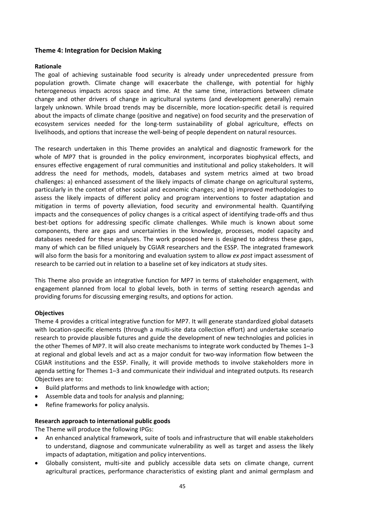# **Theme 4: Integration for Decision Making**

## **Rationale**

The goal of achieving sustainable food security is already under unprecedented pressure from population growth. Climate change will exacerbate the challenge, with potential for highly heterogeneous impacts across space and time. At the same time, interactions between climate change and other drivers of change in agricultural systems (and development generally) remain largely unknown. While broad trends may be discernible, more location‐specific detail is required about the impacts of climate change (positive and negative) on food security and the preservation of ecosystem services needed for the long-term sustainability of global agriculture, effects on livelihoods, and options that increase the well‐being of people dependent on natural resources.

The research undertaken in this Theme provides an analytical and diagnostic framework for the whole of MP7 that is grounded in the policy environment, incorporates biophysical effects, and ensures effective engagement of rural communities and institutional and policy stakeholders. It will address the need for methods, models, databases and system metrics aimed at two broad challenges: a) enhanced assessment of the likely impacts of climate change on agricultural systems, particularly in the context of other social and economic changes; and b) improved methodologies to assess the likely impacts of different policy and program interventions to foster adaptation and mitigation in terms of poverty alleviation, food security and environmental health. Quantifying impacts and the consequences of policy changes is a critical aspect of identifying trade‐offs and thus best-bet options for addressing specific climate challenges. While much is known about some components, there are gaps and uncertainties in the knowledge, processes, model capacity and databases needed for these analyses. The work proposed here is designed to address these gaps, many of which can be filled uniquely by CGIAR researchers and the ESSP. The integrated framework will also form the basis for a monitoring and evaluation system to allow *ex post* impact assessment of research to be carried out in relation to a baseline set of key indicators at study sites.

This Theme also provide an integrative function for MP7 in terms of stakeholder engagement, with engagement planned from local to global levels, both in terms of setting research agendas and providing forums for discussing emerging results, and options for action.

#### **Objectives**

Theme 4 provides a critical integrative function for MP7. It will generate standardized global datasets with location-specific elements (through a multi-site data collection effort) and undertake scenario research to provide plausible futures and guide the development of new technologies and policies in the other Themes of MP7. It will also create mechanisms to integrate work conducted by Themes 1–3 at regional and global levels and act as a major conduit for two-way information flow between the CGIAR institutions and the ESSP. Finally, it will provide methods to involve stakeholders more in agenda setting for Themes 1–3 and communicate their individual and integrated outputs. Its research Objectives are to:

- Build platforms and methods to link knowledge with action;
- Assemble data and tools for analysis and planning;
- Refine frameworks for policy analysis.

#### **Research approach to international public goods**

The Theme will produce the following IPGs:

- An enhanced analytical framework, suite of tools and infrastructure that will enable stakeholders to understand, diagnose and communicate vulnerability as well as target and assess the likely impacts of adaptation, mitigation and policy interventions.
- Globally consistent, multi-site and publicly accessible data sets on climate change, current agricultural practices, performance characteristics of existing plant and animal germplasm and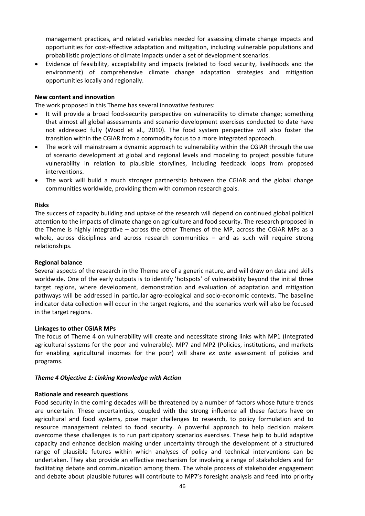management practices, and related variables needed for assessing climate change impacts and opportunities for cost‐effective adaptation and mitigation, including vulnerable populations and probabilistic projections of climate impacts under a set of development scenarios.

 Evidence of feasibility, acceptability and impacts (related to food security, livelihoods and the environment) of comprehensive climate change adaptation strategies and mitigation opportunities locally and regionally.

### **New content and innovation**

The work proposed in this Theme has several innovative features:

- It will provide a broad food-security perspective on vulnerability to climate change; something that almost all global assessments and scenario development exercises conducted to date have not addressed fully (Wood et al., 2010). The food system perspective will also foster the transition within the CGIAR from a commodity focus to a more integrated approach.
- The work will mainstream a dynamic approach to vulnerability within the CGIAR through the use of scenario development at global and regional levels and modeling to project possible future vulnerability in relation to plausible storylines, including feedback loops from proposed interventions.
- The work will build a much stronger partnership between the CGIAR and the global change communities worldwide, providing them with common research goals.

#### **Risks**

The success of capacity building and uptake of the research will depend on continued global political attention to the impacts of climate change on agriculture and food security. The research proposed in the Theme is highly integrative – across the other Themes of the MP, across the CGIAR MPs as a whole, across disciplines and across research communities - and as such will require strong relationships.

#### **Regional balance**

Several aspects of the research in the Theme are of a generic nature, and will draw on data and skills worldwide. One of the early outputs is to identify 'hotspots' of vulnerability beyond the initial three target regions, where development, demonstration and evaluation of adaptation and mitigation pathways will be addressed in particular agro‐ecological and socio‐economic contexts. The baseline indicator data collection will occur in the target regions, and the scenarios work will also be focused in the target regions.

#### **Linkages to other CGIAR MPs**

The focus of Theme 4 on vulnerability will create and necessitate strong links with MP1 (Integrated agricultural systems for the poor and vulnerable). MP7 and MP2 (Policies, institutions, and markets for enabling agricultural incomes for the poor) will share *ex ante* assessment of policies and programs.

#### *Theme 4 Objective 1: Linking Knowledge with Action*

#### **Rationale and research questions**

Food security in the coming decades will be threatened by a number of factors whose future trends are uncertain. These uncertainties, coupled with the strong influence all these factors have on agricultural and food systems, pose major challenges to research, to policy formulation and to resource management related to food security. A powerful approach to help decision makers overcome these challenges is to run participatory scenarios exercises. These help to build adaptive capacity and enhance decision making under uncertainty through the development of a structured range of plausible futures within which analyses of policy and technical interventions can be undertaken. They also provide an effective mechanism for involving a range of stakeholders and for facilitating debate and communication among them. The whole process of stakeholder engagement and debate about plausible futures will contribute to MP7's foresight analysis and feed into priority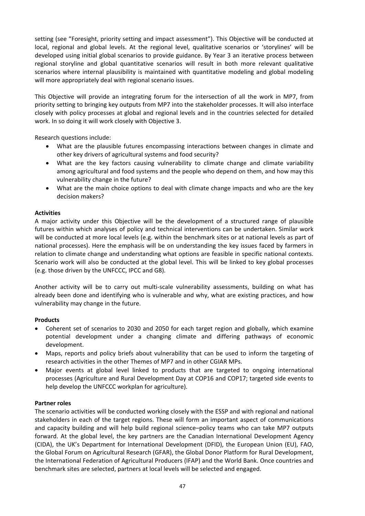setting (see "Foresight, priority setting and impact assessment"). This Objective will be conducted at local, regional and global levels. At the regional level, qualitative scenarios or 'storylines' will be developed using initial global scenarios to provide guidance. By Year 3 an iterative process between regional storyline and global quantitative scenarios will result in both more relevant qualitative scenarios where internal plausibility is maintained with quantitative modeling and global modeling will more appropriately deal with regional scenario issues.

This Objective will provide an integrating forum for the intersection of all the work in MP7, from priority setting to bringing key outputs from MP7 into the stakeholder processes. It will also interface closely with policy processes at global and regional levels and in the countries selected for detailed work. In so doing it will work closely with Objective 3.

Research questions include:

- What are the plausible futures encompassing interactions between changes in climate and other key drivers of agricultural systems and food security?
- What are the key factors causing vulnerability to climate change and climate variability among agricultural and food systems and the people who depend on them, and how may this vulnerability change in the future?
- What are the main choice options to deal with climate change impacts and who are the key decision makers?

# **Activities**

A major activity under this Objective will be the development of a structured range of plausible futures within which analyses of policy and technical interventions can be undertaken. Similar work will be conducted at more local levels (e.g. within the benchmark sites or at national levels as part of national processes). Here the emphasis will be on understanding the key issues faced by farmers in relation to climate change and understanding what options are feasible in specific national contexts. Scenario work will also be conducted at the global level. This will be linked to key global processes (e.g. those driven by the UNFCCC, IPCC and G8).

Another activity will be to carry out multi‐scale vulnerability assessments, building on what has already been done and identifying who is vulnerable and why, what are existing practices, and how vulnerability may change in the future.

# **Products**

- Coherent set of scenarios to 2030 and 2050 for each target region and globally, which examine potential development under a changing climate and differing pathways of economic development.
- Maps, reports and policy briefs about vulnerability that can be used to inform the targeting of research activities in the other Themes of MP7 and in other CGIAR MPs.
- Major events at global level linked to products that are targeted to ongoing international processes (Agriculture and Rural Development Day at COP16 and COP17; targeted side events to help develop the UNFCCC workplan for agriculture).

# **Partner roles**

The scenario activities will be conducted working closely with the ESSP and with regional and national stakeholders in each of the target regions. These will form an important aspect of communications and capacity building and will help build regional science–policy teams who can take MP7 outputs forward. At the global level, the key partners are the Canadian International Development Agency (CIDA), the UK's Department for International Development (DFID), the European Union (EU), FAO, the Global Forum on Agricultural Research (GFAR), the Global Donor Platform for Rural Development, the International Federation of Agricultural Producers (IFAP) and the World Bank. Once countries and benchmark sites are selected, partners at local levels will be selected and engaged.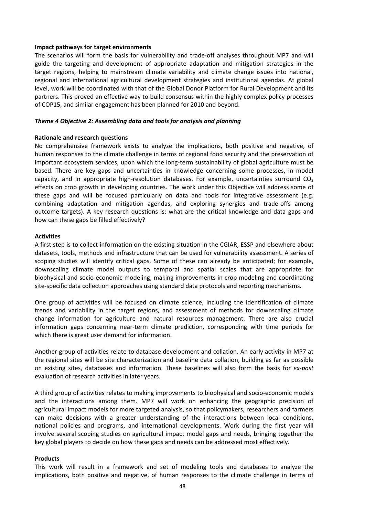#### **Impact pathways for target environments**

The scenarios will form the basis for vulnerability and trade‐off analyses throughout MP7 and will guide the targeting and development of appropriate adaptation and mitigation strategies in the target regions, helping to mainstream climate variability and climate change issues into national, regional and international agricultural development strategies and institutional agendas. At global level, work will be coordinated with that of the Global Donor Platform for Rural Development and its partners. This proved an effective way to build consensus within the highly complex policy processes of COP15, and similar engagement has been planned for 2010 and beyond.

#### *Theme 4 Objective 2: Assembling data and tools for analysis and planning*

#### **Rationale and research questions**

No comprehensive framework exists to analyze the implications, both positive and negative, of human responses to the climate challenge in terms of regional food security and the preservation of important ecosystem services, upon which the long-term sustainability of global agriculture must be based. There are key gaps and uncertainties in knowledge concerning some processes, in model capacity, and in appropriate high-resolution databases. For example, uncertainties surround  $CO<sub>2</sub>$ effects on crop growth in developing countries. The work under this Objective will address some of these gaps and will be focused particularly on data and tools for integrative assessment (e.g. combining adaptation and mitigation agendas, and exploring synergies and trade‐offs among outcome targets). A key research questions is: what are the critical knowledge and data gaps and how can these gaps be filled effectively?

#### **Activities**

A first step is to collect information on the existing situation in the CGIAR, ESSP and elsewhere about datasets, tools, methods and infrastructure that can be used for vulnerability assessment. A series of scoping studies will identify critical gaps. Some of these can already be anticipated; for example, downscaling climate model outputs to temporal and spatial scales that are appropriate for biophysical and socio‐economic modeling, making improvements in crop modeling and coordinating site‐specific data collection approaches using standard data protocols and reporting mechanisms.

One group of activities will be focused on climate science, including the identification of climate trends and variability in the target regions, and assessment of methods for downscaling climate change information for agriculture and natural resources management. There are also crucial information gaps concerning near‐term climate prediction, corresponding with time periods for which there is great user demand for information.

Another group of activities relate to database development and collation. An early activity in MP7 at the regional sites will be site characterization and baseline data collation, building as far as possible on existing sites, databases and information. These baselines will also form the basis for *ex‐post* evaluation of research activities in later years.

A third group of activities relates to making improvements to biophysical and socio‐economic models and the interactions among them. MP7 will work on enhancing the geographic precision of agricultural impact models for more targeted analysis, so that policymakers, researchers and farmers can make decisions with a greater understanding of the interactions between local conditions, national policies and programs, and international developments. Work during the first year will involve several scoping studies on agricultural impact model gaps and needs, bringing together the key global players to decide on how these gaps and needs can be addressed most effectively.

#### **Products**

This work will result in a framework and set of modeling tools and databases to analyze the implications, both positive and negative, of human responses to the climate challenge in terms of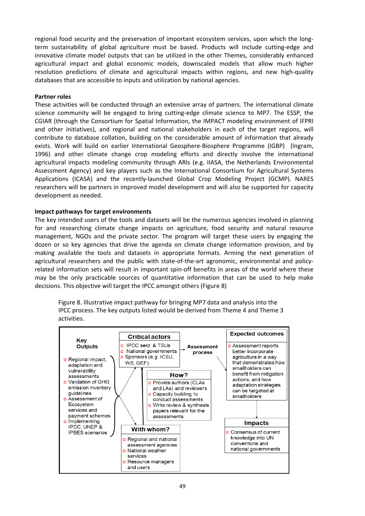regional food security and the preservation of important ecosystem services, upon which the long‐ term sustainability of global agriculture must be based. Products will include cutting-edge and innovative climate model outputs that can be utilized in the other Themes, considerably enhanced agricultural impact and global economic models, downscaled models that allow much higher resolution predictions of climate and agricultural impacts within regions, and new high‐quality databases that are accessible to inputs and utilization by national agencies.

## **Partner roles**

These activities will be conducted through an extensive array of partners. The international climate science community will be engaged to bring cutting‐edge climate science to MP7. The ESSP, the CGIAR (through the Consortium for Spatial Information, the IMPACT modeling environment of IFPRI and other initiatives), and regional and national stakeholders in each of the target regions, will contribute to database collation, building on the considerable amount of information that already exists. Work will build on earlier International Geosphere-Biosphere Programme (IGBP) (Ingram, 1996) and other climate change crop modeling efforts and directly involve the international agricultural impacts modeling community through ARIs (e.g. IIASA, the Netherlands Environmental Assessment Agency) and key players such as the International Consortium for Agricultural Systems Applications (ICASA) and the recently‐launched Global Crop Modeling Project (GCMP). NARES researchers will be partners in improved model development and will also be supported for capacity development as needed.

#### **Impact pathways for target environments**

The key intended users of the tools and datasets will be the numerous agencies involved in planning for and researching climate change impacts on agriculture, food security and natural resource management, NGOs and the private sector. The program will target these users by engaging the dozen or so key agencies that drive the agenda on climate change information provision, and by making available the tools and datasets in appropriate formats. Arming the next generation of agricultural researchers and the public with state-of-the-art agronomic, environmental and policyrelated information sets will result in important spin‐off benefits in areas of the world where these may be the only practicable sources of quantitative information that can be used to help make decisions. This objective will target the IPCC amongst others (Figure 8)

Figure 8. Illustrative impact pathway for bringing MP7 data and analysis into the IPCC process. The key outputs listed would be derived from Theme 4 and Theme 3 activities.

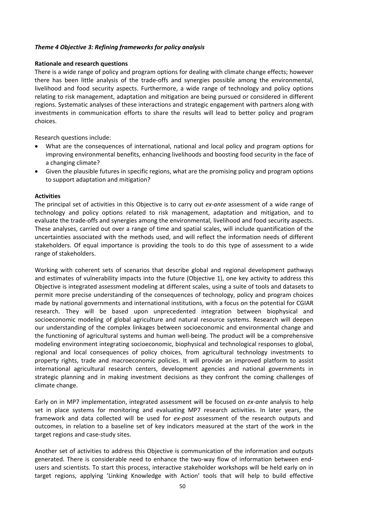## *Theme 4 Objective 3: Refining frameworks for policy analysis*

#### **Rationale and research questions**

There is a wide range of policy and program options for dealing with climate change effects; however there has been little analysis of the trade‐offs and synergies possible among the environmental, livelihood and food security aspects. Furthermore, a wide range of technology and policy options relating to risk management, adaptation and mitigation are being pursued or considered in different regions. Systematic analyses of these interactions and strategic engagement with partners along with investments in communication efforts to share the results will lead to better policy and program choices.

Research questions include:

- What are the consequences of international, national and local policy and program options for improving environmental benefits, enhancing livelihoods and boosting food security in the face of a changing climate?
- Given the plausible futures in specific regions, what are the promising policy and program options to support adaptation and mitigation?

#### **Activities**

The principal set of activities in this Objective is to carry out *ex‐ante* assessment of a wide range of technology and policy options related to risk management, adaptation and mitigation, and to evaluate the trade‐offs and synergies among the environmental, livelihood and food security aspects. These analyses, carried out over a range of time and spatial scales, will include quantification of the uncertainties associated with the methods used, and will reflect the information needs of different stakeholders. Of equal importance is providing the tools to do this type of assessment to a wide range of stakeholders.

Working with coherent sets of scenarios that describe global and regional development pathways and estimates of vulnerability impacts into the future (Objective 1), one key activity to address this Objective is integrated assessment modeling at different scales, using a suite of tools and datasets to permit more precise understanding of the consequences of technology, policy and program choices made by national governments and international institutions, with a focus on the potential for CGIAR research. They will be based upon unprecedented integration between biophysical and socioeconomic modeling of global agriculture and natural resource systems. Research will deepen our understanding of the complex linkages between socioeconomic and environmental change and the functioning of agricultural systems and human well‐being. The product will be a comprehensive modeling environment integrating socioeconomic, biophysical and technological responses to global, regional and local consequences of policy choices, from agricultural technology investments to property rights, trade and macroeconomic policies. It will provide an improved platform to assist international agricultural research centers, development agencies and national governments in strategic planning and in making investment decisions as they confront the coming challenges of climate change.

Early on in MP7 implementation, integrated assessment will be focused on *ex-ante* analysis to help set in place systems for monitoring and evaluating MP7 research activities. In later years, the framework and data collected will be used for *ex‐post* assessment of the research outputs and outcomes, in relation to a baseline set of key indicators measured at the start of the work in the target regions and case‐study sites.

Another set of activities to address this Objective is communication of the information and outputs generated. There is considerable need to enhance the two-way flow of information between endusers and scientists. To start this process, interactive stakeholder workshops will be held early on in target regions, applying 'Linking Knowledge with Action' tools that will help to build effective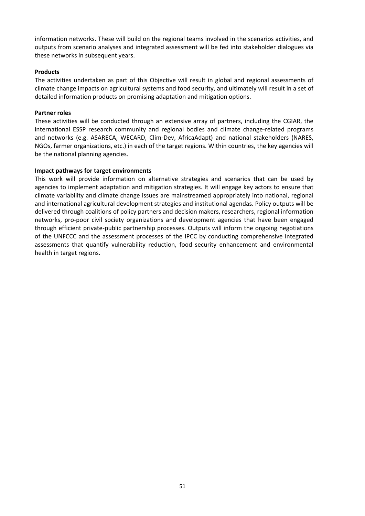information networks. These will build on the regional teams involved in the scenarios activities, and outputs from scenario analyses and integrated assessment will be fed into stakeholder dialogues via these networks in subsequent years.

## **Products**

The activities undertaken as part of this Objective will result in global and regional assessments of climate change impacts on agricultural systems and food security, and ultimately will result in a set of detailed information products on promising adaptation and mitigation options.

## **Partner roles**

These activities will be conducted through an extensive array of partners, including the CGIAR, the international ESSP research community and regional bodies and climate change-related programs and networks (e.g. ASARECA, WECARD, Clim‐Dev, AfricaAdapt) and national stakeholders (NARES, NGOs, farmer organizations, etc.) in each of the target regions. Within countries, the key agencies will be the national planning agencies.

## **Impact pathways for target environments**

This work will provide information on alternative strategies and scenarios that can be used by agencies to implement adaptation and mitigation strategies. It will engage key actors to ensure that climate variability and climate change issues are mainstreamed appropriately into national, regional and international agricultural development strategies and institutional agendas. Policy outputs will be delivered through coalitions of policy partners and decision makers, researchers, regional information networks, pro‐poor civil society organizations and development agencies that have been engaged through efficient private‐public partnership processes. Outputs will inform the ongoing negotiations of the UNFCCC and the assessment processes of the IPCC by conducting comprehensive integrated assessments that quantify vulnerability reduction, food security enhancement and environmental health in target regions.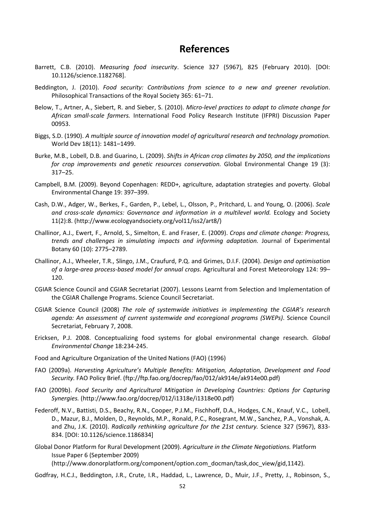# **References**

- Barrett, C.B. (2010). *Measuring food insecurity*. Science 327 (5967), 825 (February 2010). [DOI: 10.1126/science.1182768].
- Beddington, J. (2010). *Food security: Contributions from science to a new and greener revolution*. Philosophical Transactions of the Royal Society 365: 61–71.
- Below, T., Artner, A., Siebert, R. and Sieber, S. (2010). *Micro‐level practices to adapt to climate change for African small‐scale farmers.* International Food Policy Research Institute (IFPRI) Discussion Paper 00953.
- Biggs, S.D. (1990). *A multiple source of innovation model of agricultural research and technology promotion.* World Dev 18(11): 1481–1499.
- Burke, M.B., Lobell, D.B. and Guarino, L. (2009). *Shifts in African crop climates by 2050, and the implications for crop improvements and genetic resources conservation.* Global Environmental Change 19 (3): 317–25.
- Campbell, B.M. (2009). Beyond Copenhagen: REDD+, agriculture, adaptation strategies and poverty. Global Environmental Change 19: 397–399.
- Cash, D.W., Adger, W., Berkes, F., Garden, P., Lebel, L., Olsson, P., Pritchard, L. and Young, O. (2006). *Scale and cross‐scale dynamics: Governance and information in a multilevel world.* Ecology and Society 11(2):8. (http://www.ecologyandsociety.org/vol11/iss2/art8/)
- Challinor, A.J., Ewert, F., Arnold, S., Simelton, E. and Fraser, E. (2009). *Crops and climate change: Progress, trends and challenges in simulating impacts and informing adaptation.* Journal of Experimental Botany 60 (10): 2775–2789.
- Challinor, A.J., Wheeler, T.R., Slingo, J.M., Craufurd, P.Q. and Grimes, D.I.F. (2004). *Design and optimisation of a large‐area process‐based model for annual crops.* Agricultural and Forest Meteorology 124: 99– 120.
- CGIAR Science Council and CGIAR Secretariat (2007). Lessons Learnt from Selection and Implementation of the CGIAR Challenge Programs. Science Council Secretariat.
- CGIAR Science Council (2008) *The role of systemwide initiatives in implementing the CGIAR's research agenda: An assessment of current systemwide and ecoregional programs (SWEPs)*. Science Council Secretariat, February 7, 2008.
- Ericksen, P.J. 2008. Conceptualizing food systems for global environmental change research. *Global Environmental Change* 18:234‐245.
- Food and Agriculture Organization of the United Nations (FAO) (1996)
- FAO (2009a). *Harvesting Agriculture's Multiple Benefits: Mitigation, Adaptation, Development and Food Security.* FAO Policy Brief. (ftp://ftp.fao.org/docrep/fao/012/ak914e/ak914e00.pdf)
- FAO (2009b). *Food Security and Agricultural Mitigation in Developing Countries: Options for Capturing Synergies.* (http://www.fao.org/docrep/012/i1318e/i1318e00.pdf)
- Federoff, N.V., Battisti, D.S., Beachy, R.N., Cooper, P.J.M., Fischhoff, D.A., Hodges, C.N., Knauf, V.C., Lobell, D., Mazur, B.J., Molden, D., Reynolds, M.P., Ronald, P.C., Rosegrant, M.W., Sanchez, P.A., Vonshak, A. and Zhu, J.K. (2010). *Radically rethinking agriculture for the 21st century.* Science 327 (5967), 833‐ 834. [DOI: 10.1126/science.1186834]
- Global Donor Platform for Rural Development (2009). *Agriculture in the Climate Negotiations.* Platform Issue Paper 6 (September 2009) (http://www.donorplatform.org/component/option.com\_docman/task,doc\_view/gid,1142).
- Godfray, H.C.J., Beddington, J.R., Crute, I.R., Haddad, L., Lawrence, D., Muir, J.F., Pretty, J., Robinson, S.,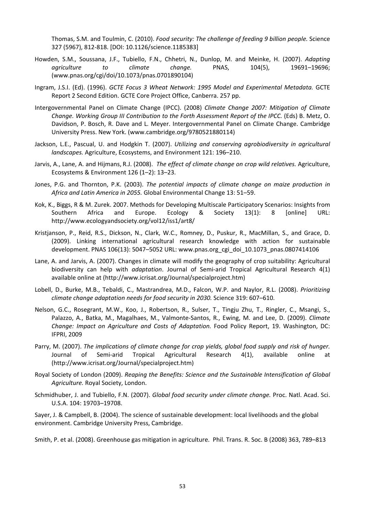Thomas, S.M. and Toulmin, C. (2010). *Food security: The challenge of feeding 9 billion people.* Science 327 (5967), 812‐818. [DOI: 10.1126/science.1185383]

- Howden, S.M., Soussana, J.F., Tubiello, F.N., Chhetri, N., Dunlop, M. and Meinke, H. (2007). *Adapting agriculture to climate change.* PNAS, 104(5), 19691–19696; (www.pnas.org/cgi/doi/10.1073/pnas.0701890104)
- Ingram, J.S.I. (Ed). (1996). *GCTE Focus 3 Wheat Network: 1995 Model and Experimental Metadata.* GCTE Report 2 Second Edition. GCTE Core Project Office, Canberra. 257 pp.
- Intergovernmental Panel on Climate Change (IPCC). (2008) *Climate Change 2007: Mitigation of Climate Change. Working Group III Contribution to the Forth Assessment Report of the IPCC.* (Eds) B. Metz, O. Davidson, P. Bosch, R. Dave and L. Meyer. Intergovernmental Panel on Climate Change. Cambridge University Press. New York. (www.cambridge.org/9780521880114)
- Jackson, L.E., Pascual, U. and Hodgkin T. (2007). *Utilizing and conserving agrobiodiversity in agricultural landscapes.* Agriculture, Ecosystems, and Environment 121: 196–210.
- Jarvis, A., Lane, A. and Hijmans, R.J. (2008). *The effect of climate change on crop wild relatives.* Agriculture, Ecosystems & Environment 126 (1–2): 13–23.
- Jones, P.G. and Thornton, P.K. (2003). *The potential impacts of climate change on maize production in Africa and Latin America in 2055.* Global Environmental Change 13: 51–59.
- Kok, K., Biggs, R & M. Zurek. 2007. Methods for Developing Multiscale Participatory Scenarios: Insights from Southern Africa and Europe. Ecology & Society 13(1): 8 [online] URL: http://www.ecologyandsociety.org/vol12/iss1/art8/
- Kristjanson, P., Reid, R.S., Dickson, N., Clark, W.C., Romney, D., Puskur, R., MacMillan, S., and Grace, D. (2009). Linking international agricultural research knowledge with action for sustainable development. PNAS 106(13): 5047–5052 URL: www.pnas.org\_cgi\_doi\_10.1073\_pnas.0807414106
- Lane, A. and Jarvis, A. (2007). Changes in climate will modify the geography of crop suitability: Agricultural biodiversity can help with *adaptation*. Journal of Semi‐arid Tropical Agricultural Research 4(1) available online at (http://www.icrisat.org/Journal/specialproject.htm)
- Lobell, D., Burke, M.B., Tebaldi, C., Mastrandrea, M.D., Falcon, W.P. and Naylor, R.L. (2008). *Prioritizing climate change adaptation needs for food security in 2030.* Science 319: 607–610.
- Nelson, G.C., Rosegrant, M.W., Koo, J., Robertson, R., Sulser, T., Tingju Zhu, T., Ringler, C., Msangi, S., Palazzo, A., Batka, M., Magalhaes, M., Valmonte‐Santos, R., Ewing, M. and Lee, D. (2009). *Climate Change: Impact on Agriculture and Costs of Adaptation.* Food Policy Report, 19. Washington, DC: IFPRI, 2009
- Parry, M. (2007). *The implications of climate change for crop yields, global food supply and risk of hunger.* Journal of Semi-arid Tropical Agricultural Research 4(1), available online at (http://www.icrisat.org/Journal/specialproject.htm)
- Royal Society of London (2009). *Reaping the Benefits: Science and the Sustainable Intensification of Global Agriculture.* Royal Society, London.
- Schmidhuber, J. and Tubiello, F.N. (2007). *Global food security under climate change.* Proc. Natl. Acad. Sci. U.S.A. 104: 19703–19708.

Sayer, J. & Campbell, B. (2004). The science of sustainable development: local livelihoods and the global environment. Cambridge University Press, Cambridge.

Smith, P. et al. (2008). Greenhouse gas mitigation in agriculture. Phil. Trans. R. Soc. B (2008) 363, 789–813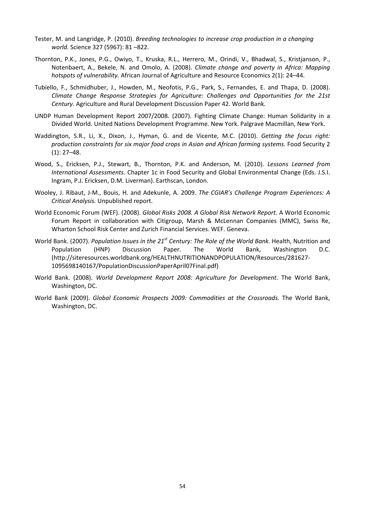- Tester, M. and Langridge, P. (2010). *Breeding technologies to increase crop production in a changing world.* Science 327 (5967): 81 –822.
- Thornton, P.K., Jones, P.G., Owiyo, T., Kruska, R.L., Herrero, M., Orindi, V., Bhadwal, S., Kristjanson, P., Notenbaert, A., Bekele, N. and Omolo, A. (2008). *Climate change and poverty in Africa: Mapping hotspots of vulnerability.* African Journal of Agriculture and Resource Economics 2(1): 24–44.
- Tubiello, F., Schmidhuber, J., Howden, M., Neofotis, P.G., Park, S., Fernandes, E. and Thapa, D. (2008). *Climate Change Response Strategies for Agriculture: Challenges and Opportunities for the 21st Century.* Agriculture and Rural Development Discussion Paper 42. World Bank.
- UNDP Human Development Report 2007/2008. (2007). Fighting Climate Change: Human Solidarity in a Divided World. United Nations Development Programme. New York. Palgrave Macmillan, New York.
- Waddington, S.R., Li, X., Dixon, J., Hyman, G. and de Vicente, M.C. (2010). *Getting the focus right: production constraints for six major food crops in Asian and African farming systems.* Food Security 2  $(1): 27-48.$
- Wood, S., Ericksen, P.J., Stewart, B., Thornton, P.K. and Anderson, M. (2010). *Lessons Learned from International Assessments.* Chapter 1c in Food Security and Global Environmental Change (Eds. J.S.I. Ingram, P.J. Ericksen, D.M. Liverman). Earthscan, London.
- Wooley, J. Ribaut, J‐M., Bouis, H. and Adekunle, A. 2009. *The CGIAR's Challenge Program Experiences: A Critical Analysis.* Unpublished report.
- World Economic Forum (WEF). (2008). *Global Risks 2008. A Global Risk Network Report.* A World Economic Forum Report in collaboration with Citigroup, Marsh & McLennan Companies (MMC), Swiss Re, Wharton School Risk Center and Zurich Financial Services. WEF. Geneva.
- World Bank. (2007). *Population Issues in the 21st Century: The Role of the World Bank.* Health, Nutrition and Population (HNP) Discussion Paper. The World Bank, Washington D.C. (http://siteresources.worldbank.org/HEALTHNUTRITIONANDPOPULATION/Resources/281627‐ 1095698140167/PopulationDiscussionPaperApril07Final.pdf)
- World Bank. (2008). *World Development Report 2008: Agriculture for Development*. The World Bank, Washington, DC.
- World Bank (2009). *Global Economic Prospects 2009: Commodities at the Crossroads.* The World Bank, Washington, DC.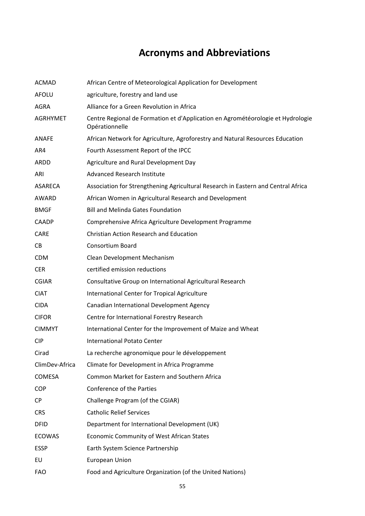# **Acronyms and Abbreviations**

| <b>ACMAD</b>    | African Centre of Meteorological Application for Development                                      |
|-----------------|---------------------------------------------------------------------------------------------------|
| <b>AFOLU</b>    | agriculture, forestry and land use                                                                |
| <b>AGRA</b>     | Alliance for a Green Revolution in Africa                                                         |
| <b>AGRHYMET</b> | Centre Regional de Formation et d'Application en Agrométéorologie et Hydrologie<br>Opérationnelle |
| <b>ANAFE</b>    | African Network for Agriculture, Agroforestry and Natural Resources Education                     |
| AR4             | Fourth Assessment Report of the IPCC                                                              |
| ARDD            | Agriculture and Rural Development Day                                                             |
| ARI             | Advanced Research Institute                                                                       |
| ASARECA         | Association for Strengthening Agricultural Research in Eastern and Central Africa                 |
| AWARD           | African Women in Agricultural Research and Development                                            |
| <b>BMGF</b>     | <b>Bill and Melinda Gates Foundation</b>                                                          |
| <b>CAADP</b>    | Comprehensive Africa Agriculture Development Programme                                            |
| CARE            | <b>Christian Action Research and Education</b>                                                    |
| CB              | Consortium Board                                                                                  |
| <b>CDM</b>      | Clean Development Mechanism                                                                       |
| <b>CER</b>      | certified emission reductions                                                                     |
| <b>CGIAR</b>    | Consultative Group on International Agricultural Research                                         |
| <b>CIAT</b>     | International Center for Tropical Agriculture                                                     |
| <b>CIDA</b>     | Canadian International Development Agency                                                         |
| <b>CIFOR</b>    | Centre for International Forestry Research                                                        |
| <b>CIMMYT</b>   | International Center for the Improvement of Maize and Wheat                                       |
| <b>CIP</b>      | <b>International Potato Center</b>                                                                |
| Cirad           | La recherche agronomique pour le développement                                                    |
| ClimDev-Africa  | Climate for Development in Africa Programme                                                       |
| <b>COMESA</b>   | Common Market for Eastern and Southern Africa                                                     |
| <b>COP</b>      | Conference of the Parties                                                                         |
| <b>CP</b>       | Challenge Program (of the CGIAR)                                                                  |
| <b>CRS</b>      | <b>Catholic Relief Services</b>                                                                   |
| <b>DFID</b>     | Department for International Development (UK)                                                     |
| <b>ECOWAS</b>   | Economic Community of West African States                                                         |
| <b>ESSP</b>     | Earth System Science Partnership                                                                  |
| EU              | European Union                                                                                    |
| <b>FAO</b>      | Food and Agriculture Organization (of the United Nations)                                         |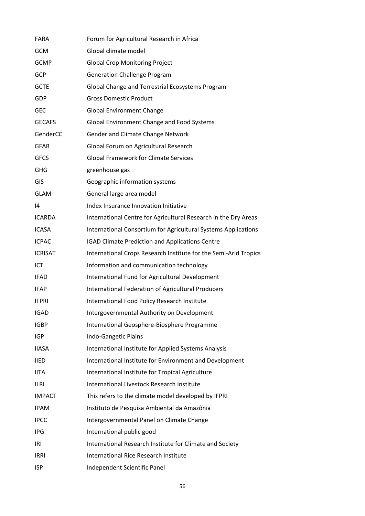| <b>FARA</b>    | Forum for Agricultural Research in Africa                        |
|----------------|------------------------------------------------------------------|
| <b>GCM</b>     | Global climate model                                             |
| <b>GCMP</b>    | <b>Global Crop Monitoring Project</b>                            |
| <b>GCP</b>     | <b>Generation Challenge Program</b>                              |
| <b>GCTE</b>    | Global Change and Terrestrial Ecosystems Program                 |
| GDP            | <b>Gross Domestic Product</b>                                    |
| <b>GEC</b>     | <b>Global Environment Change</b>                                 |
| <b>GECAFS</b>  | Global Environment Change and Food Systems                       |
| GenderCC       | Gender and Climate Change Network                                |
| <b>GFAR</b>    | Global Forum on Agricultural Research                            |
| <b>GFCS</b>    | <b>Global Framework for Climate Services</b>                     |
| <b>GHG</b>     | greenhouse gas                                                   |
| GIS            | Geographic information systems                                   |
| <b>GLAM</b>    | General large area model                                         |
| 14             | Index Insurance Innovation Initiative                            |
| <b>ICARDA</b>  | International Centre for Agricultural Research in the Dry Areas  |
| <b>ICASA</b>   | International Consortium for Agricultural Systems Applications   |
| <b>ICPAC</b>   | <b>IGAD Climate Prediction and Applications Centre</b>           |
| <b>ICRISAT</b> | International Crops Research Institute for the Semi-Arid Tropics |
| ICT            | Information and communication technology                         |
| <b>IFAD</b>    | International Fund for Agricultural Development                  |
| <b>IFAP</b>    | International Federation of Agricultural Producers               |
| <b>IFPRI</b>   | International Food Policy Research Institute                     |
| <b>IGAD</b>    | Intergovernmental Authority on Development                       |
| <b>IGBP</b>    | International Geosphere-Biosphere Programme                      |
| IGP            | Indo-Gangetic Plains                                             |
| <b>IIASA</b>   | International Institute for Applied Systems Analysis             |
| <b>IIED</b>    | International Institute for Environment and Development          |
| <b>IITA</b>    | International Institute for Tropical Agriculture                 |
| <b>ILRI</b>    | International Livestock Research Institute                       |
| <b>IMPACT</b>  | This refers to the climate model developed by IFPRI              |
| <b>IPAM</b>    | Instituto de Pesquisa Ambiental da Amazônia                      |
| <b>IPCC</b>    | Intergovernmental Panel on Climate Change                        |
| <b>IPG</b>     | International public good                                        |
| IRI            | International Research Institute for Climate and Society         |
| <b>IRRI</b>    | International Rice Research Institute                            |
| <b>ISP</b>     | Independent Scientific Panel                                     |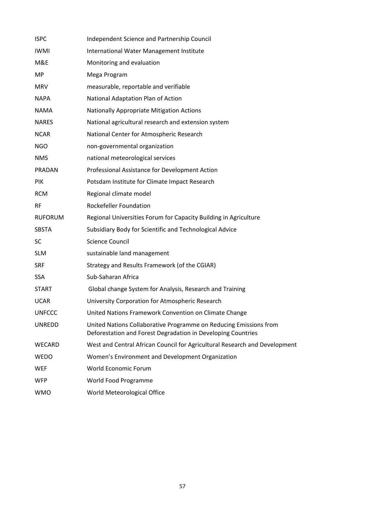| <b>ISPC</b>    | Independent Science and Partnership Council                                                                                       |
|----------------|-----------------------------------------------------------------------------------------------------------------------------------|
| <b>IWMI</b>    | International Water Management Institute                                                                                          |
| M&E            | Monitoring and evaluation                                                                                                         |
| MP             | Mega Program                                                                                                                      |
| <b>MRV</b>     | measurable, reportable and verifiable                                                                                             |
| <b>NAPA</b>    | National Adaptation Plan of Action                                                                                                |
| <b>NAMA</b>    | <b>Nationally Appropriate Mitigation Actions</b>                                                                                  |
| <b>NARES</b>   | National agricultural research and extension system                                                                               |
| <b>NCAR</b>    | National Center for Atmospheric Research                                                                                          |
| <b>NGO</b>     | non-governmental organization                                                                                                     |
| <b>NMS</b>     | national meteorological services                                                                                                  |
| PRADAN         | Professional Assistance for Development Action                                                                                    |
| PIK            | Potsdam Institute for Climate Impact Research                                                                                     |
| <b>RCM</b>     | Regional climate model                                                                                                            |
| <b>RF</b>      | <b>Rockefeller Foundation</b>                                                                                                     |
| <b>RUFORUM</b> | Regional Universities Forum for Capacity Building in Agriculture                                                                  |
| <b>SBSTA</b>   | Subsidiary Body for Scientific and Technological Advice                                                                           |
| SC             | <b>Science Council</b>                                                                                                            |
| <b>SLM</b>     | sustainable land management                                                                                                       |
| <b>SRF</b>     | Strategy and Results Framework (of the CGIAR)                                                                                     |
| <b>SSA</b>     | Sub-Saharan Africa                                                                                                                |
| <b>START</b>   | Global change System for Analysis, Research and Training                                                                          |
| <b>UCAR</b>    | University Corporation for Atmospheric Research                                                                                   |
| <b>UNFCCC</b>  | United Nations Framework Convention on Climate Change                                                                             |
| <b>UNREDD</b>  | United Nations Collaborative Programme on Reducing Emissions from<br>Deforestation and Forest Degradation in Developing Countries |
| WECARD         | West and Central African Council for Agricultural Research and Development                                                        |
| <b>WEDO</b>    | Women's Environment and Development Organization                                                                                  |
| <b>WEF</b>     | World Economic Forum                                                                                                              |
| <b>WFP</b>     | World Food Programme                                                                                                              |
| <b>WMO</b>     | World Meteorological Office                                                                                                       |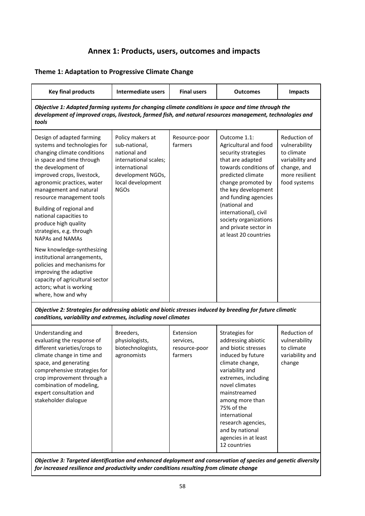# **Annex 1: Products, users, outcomes and impacts**

# **Theme 1: Adaptation to Progressive Climate Change**

| <b>Key final products</b>                                                                                                                                                                                                                                                                                                                                                                                                                                                                                                                                                                                    | <b>Intermediate users</b>                                                                                                                            | <b>Final users</b>                                 | <b>Outcomes</b>                                                                                                                                                                                                                                                                                                          | Impacts                                                                                                         |  |  |  |
|--------------------------------------------------------------------------------------------------------------------------------------------------------------------------------------------------------------------------------------------------------------------------------------------------------------------------------------------------------------------------------------------------------------------------------------------------------------------------------------------------------------------------------------------------------------------------------------------------------------|------------------------------------------------------------------------------------------------------------------------------------------------------|----------------------------------------------------|--------------------------------------------------------------------------------------------------------------------------------------------------------------------------------------------------------------------------------------------------------------------------------------------------------------------------|-----------------------------------------------------------------------------------------------------------------|--|--|--|
| Objective 1: Adapted farming systems for changing climate conditions in space and time through the<br>development of improved crops, livestock, farmed fish, and natural resources management, technologies and<br>tools                                                                                                                                                                                                                                                                                                                                                                                     |                                                                                                                                                      |                                                    |                                                                                                                                                                                                                                                                                                                          |                                                                                                                 |  |  |  |
| Design of adapted farming<br>systems and technologies for<br>changing climate conditions<br>in space and time through<br>the development of<br>improved crops, livestock,<br>agronomic practices, water<br>management and natural<br>resource management tools<br>Building of regional and<br>national capacities to<br>produce high quality<br>strategies, e.g. through<br><b>NAPAs and NAMAs</b><br>New knowledge-synthesizing<br>institutional arrangements,<br>policies and mechanisms for<br>improving the adaptive<br>capacity of agricultural sector<br>actors; what is working<br>where, how and why | Policy makers at<br>sub-national,<br>national and<br>international scales;<br>international<br>development NGOs,<br>local development<br><b>NGOs</b> | Resource-poor<br>farmers                           | Outcome 1.1:<br>Agricultural and food<br>security strategies<br>that are adapted<br>towards conditions of<br>predicted climate<br>change promoted by<br>the key development<br>and funding agencies<br>(national and<br>international), civil<br>society organizations<br>and private sector in<br>at least 20 countries | Reduction of<br>vulnerability<br>to climate<br>variability and<br>change, and<br>more resilient<br>food systems |  |  |  |
| Objective 2: Strategies for addressing abiotic and biotic stresses induced by breeding for future climatic<br>conditions, variability and extremes, including novel climates                                                                                                                                                                                                                                                                                                                                                                                                                                 |                                                                                                                                                      |                                                    |                                                                                                                                                                                                                                                                                                                          |                                                                                                                 |  |  |  |
| Understanding and<br>evaluating the response of<br>different varieties/crops to<br>climate change in time and                                                                                                                                                                                                                                                                                                                                                                                                                                                                                                | Breeders,<br>physiologists,<br>biotechnologists,<br>agronomists                                                                                      | Extension<br>services,<br>resource-poor<br>farmers | Strategies for<br>addressing abiotic<br>and biotic stresses<br>induced by future                                                                                                                                                                                                                                         | Reduction of<br>vulnerability<br>to climate<br>variability and                                                  |  |  |  |

space, and generating comprehensive strategies for crop improvement through a combination of modeling, expert consultation and stakeholder dialogue climate change, variability and extremes, including novel climates mainstreamed among more than 75% of the international research agencies, and by national agencies in at least 12 countries change

*Objective 3: Targeted identification and enhanced deployment and conservation of species and genetic diversity for increased resilience and productivity under conditions resulting from climate change*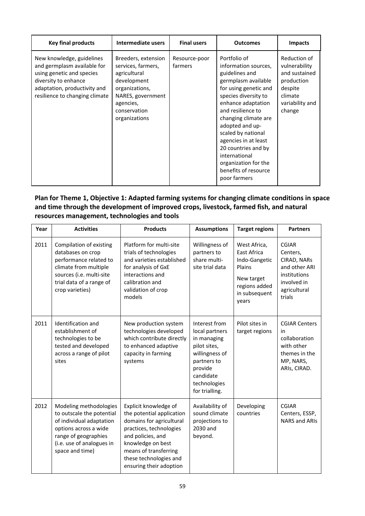| <b>Key final products</b>                                                                                                                                                       | Intermediate users                                                                                                                                            | <b>Final users</b>       | <b>Outcomes</b>                                                                                                                                                                                                                                                                                                                                                            | <b>Impacts</b>                                                                                                  |
|---------------------------------------------------------------------------------------------------------------------------------------------------------------------------------|---------------------------------------------------------------------------------------------------------------------------------------------------------------|--------------------------|----------------------------------------------------------------------------------------------------------------------------------------------------------------------------------------------------------------------------------------------------------------------------------------------------------------------------------------------------------------------------|-----------------------------------------------------------------------------------------------------------------|
| New knowledge, guidelines<br>and germplasm available for<br>using genetic and species<br>diversity to enhance<br>adaptation, productivity and<br>resilience to changing climate | Breeders, extension<br>services, farmers,<br>agricultural<br>development<br>organizations,<br>NARES, government<br>agencies,<br>conservation<br>organizations | Resource-poor<br>farmers | Portfolio of<br>information sources,<br>guidelines and<br>germplasm available<br>for using genetic and<br>species diversity to<br>enhance adaptation<br>and resilience to<br>changing climate are<br>adopted and up-<br>scaled by national<br>agencies in at least<br>20 countries and by<br>international<br>organization for the<br>benefits of resource<br>poor farmers | Reduction of<br>vulnerability<br>and sustained<br>production<br>despite<br>climate<br>variability and<br>change |

# **Plan for Theme 1, Objective 1: Adapted farming systems for changing climate conditions in space and time through the development of improved crops, livestock, farmed fish, and natural resources management, technologies and tools**

| Year | <b>Activities</b>                                                                                                                                                                | <b>Products</b>                                                                                                                                                                                                                   | <b>Assumptions</b>                                                                                                                                        | <b>Target regions</b>                                                                                                  | <b>Partners</b>                                                                                                   |
|------|----------------------------------------------------------------------------------------------------------------------------------------------------------------------------------|-----------------------------------------------------------------------------------------------------------------------------------------------------------------------------------------------------------------------------------|-----------------------------------------------------------------------------------------------------------------------------------------------------------|------------------------------------------------------------------------------------------------------------------------|-------------------------------------------------------------------------------------------------------------------|
| 2011 | Compilation of existing<br>databases on crop<br>performance related to<br>climate from multiple<br>sources (i.e. multi-site<br>trial data of a range of<br>crop varieties)       | Platform for multi-site<br>trials of technologies<br>and varieties established<br>for analysis of GxE<br>interactions and<br>calibration and<br>validation of crop<br>models                                                      | Willingness of<br>partners to<br>share multi-<br>site trial data                                                                                          | West Africa,<br><b>East Africa</b><br>Indo-Gangetic<br>Plains<br>New target<br>regions added<br>in subsequent<br>years | <b>CGIAR</b><br>Centers,<br>CIRAD, NARs<br>and other ARI<br>institutions<br>involved in<br>agricultural<br>trials |
| 2011 | Identification and<br>establishment of<br>technologies to be<br>tested and developed<br>across a range of pilot<br>sites                                                         | New production system<br>technologies developed<br>which contribute directly<br>to enhanced adaptive<br>capacity in farming<br>systems                                                                                            | Interest from<br>local partners<br>in managing<br>pilot sites,<br>willingness of<br>partners to<br>provide<br>candidate<br>technologies<br>for trialling. | Pilot sites in<br>target regions                                                                                       | <b>CGIAR Centers</b><br>in<br>collaboration<br>with other<br>themes in the<br>MP, NARS,<br>ARIs, CIRAD.           |
| 2012 | Modeling methodologies<br>to outscale the potential<br>of individual adaptation<br>options across a wide<br>range of geographies<br>(i.e. use of analogues in<br>space and time) | Explicit knowledge of<br>the potential application<br>domains for agricultural<br>practices, technologies<br>and policies, and<br>knowledge on best<br>means of transferring<br>these technologies and<br>ensuring their adoption | Availability of<br>sound climate<br>projections to<br>2030 and<br>beyond.                                                                                 | Developing<br>countries                                                                                                | <b>CGIAR</b><br>Centers, ESSP,<br><b>NARS and ARIS</b>                                                            |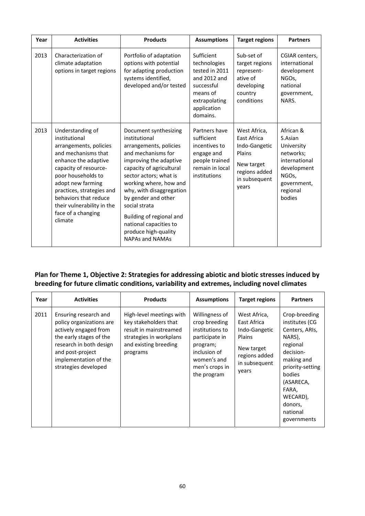| Year | <b>Activities</b>                                                                                                                                                                                                                                                                                   | <b>Products</b>                                                                                                                                                                                                                                                                                                                                                              | <b>Assumptions</b>                                                                                                                 | <b>Target regions</b>                                                                                           | <b>Partners</b>                                                                                                               |
|------|-----------------------------------------------------------------------------------------------------------------------------------------------------------------------------------------------------------------------------------------------------------------------------------------------------|------------------------------------------------------------------------------------------------------------------------------------------------------------------------------------------------------------------------------------------------------------------------------------------------------------------------------------------------------------------------------|------------------------------------------------------------------------------------------------------------------------------------|-----------------------------------------------------------------------------------------------------------------|-------------------------------------------------------------------------------------------------------------------------------|
| 2013 | Characterization of<br>climate adaptation<br>options in target regions                                                                                                                                                                                                                              | Portfolio of adaptation<br>options with potential<br>for adapting production<br>systems identified,<br>developed and/or tested                                                                                                                                                                                                                                               | Sufficient<br>technologies<br>tested in 2011<br>and 2012 and<br>successful<br>means of<br>extrapolating<br>application<br>domains. | Sub-set of<br>target regions<br>represent-<br>ative of<br>developing<br>country<br>conditions                   | CGIAR centers,<br>international<br>development<br>NGO <sub>s</sub> ,<br>national<br>government,<br>NARS.                      |
| 2013 | Understanding of<br>institutional<br>arrangements, policies<br>and mechanisms that<br>enhance the adaptive<br>capacity of resource-<br>poor households to<br>adopt new farming<br>practices, strategies and<br>behaviors that reduce<br>their vulnerability in the<br>face of a changing<br>climate | Document synthesizing<br>institutional<br>arrangements, policies<br>and mechanisms for<br>improving the adaptive<br>capacity of agricultural<br>sector actors; what is<br>working where, how and<br>why, with disaggregation<br>by gender and other<br>social strata<br>Building of regional and<br>national capacities to<br>produce high-quality<br><b>NAPAs and NAMAs</b> | Partners have<br>sufficient<br>incentives to<br>engage and<br>people trained<br>remain in local<br>institutions                    | West Africa,<br>East Africa<br>Indo-Gangetic<br>Plains<br>New target<br>regions added<br>in subsequent<br>years | African &<br>S.Asian<br>University<br>networks;<br>international<br>development<br>NGOs,<br>government,<br>regional<br>bodies |

# **Plan for Theme 1, Objective 2: Strategies for addressing abiotic and biotic stresses induced by breeding for future climatic conditions, variability and extremes, including novel climates**

| Year | <b>Activities</b>                                                                                                                                                                                     | <b>Products</b>                                                                                                                             | <b>Assumptions</b>                                                                                                                               | <b>Target regions</b>                                                                                           | <b>Partners</b>                                                                                                                                                                                          |
|------|-------------------------------------------------------------------------------------------------------------------------------------------------------------------------------------------------------|---------------------------------------------------------------------------------------------------------------------------------------------|--------------------------------------------------------------------------------------------------------------------------------------------------|-----------------------------------------------------------------------------------------------------------------|----------------------------------------------------------------------------------------------------------------------------------------------------------------------------------------------------------|
| 2011 | Ensuring research and<br>policy organizations are<br>actively engaged from<br>the early stages of the<br>research in both design<br>and post-project<br>implementation of the<br>strategies developed | High-level meetings with<br>key stakeholders that<br>result in mainstreamed<br>strategies in workplans<br>and existing breeding<br>programs | Willingness of<br>crop breeding<br>institutions to<br>participate in<br>program;<br>inclusion of<br>women's and<br>men's crops in<br>the program | West Africa,<br>East Africa<br>Indo-Gangetic<br>Plains<br>New target<br>regions added<br>in subsequent<br>years | Crop-breeding<br>institutes (CG<br>Centers, ARIs,<br>NARS),<br>regional<br>decision-<br>making and<br>priority-setting<br>bodies<br>(ASARECA,<br>FARA,<br>WECARD),<br>donors,<br>national<br>governments |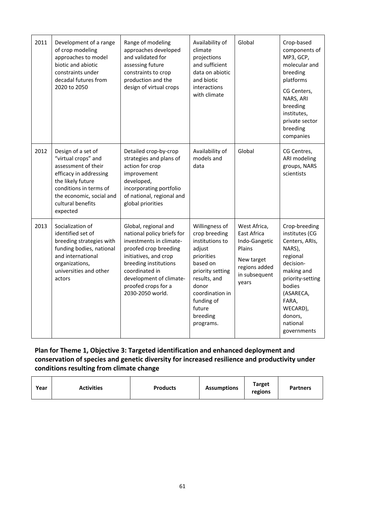| 2011 | Development of a range<br>of crop modeling<br>approaches to model<br>biotic and abiotic<br>constraints under<br>decadal futures from<br>2020 to 2050                                                   | Range of modeling<br>approaches developed<br>and validated for<br>assessing future<br>constraints to crop<br>production and the<br>design of virtual crops                                                                                       | Availability of<br>climate<br>projections<br>and sufficient<br>data on abiotic<br>and biotic<br>interactions<br>with climate                                                                            | Global                                                                                                          | Crop-based<br>components of<br>MP3, GCP,<br>molecular and<br>breeding<br>platforms<br>CG Centers,<br>NARS, ARI<br>breeding<br>institutes,<br>private sector<br>breeding<br>companies                     |
|------|--------------------------------------------------------------------------------------------------------------------------------------------------------------------------------------------------------|--------------------------------------------------------------------------------------------------------------------------------------------------------------------------------------------------------------------------------------------------|---------------------------------------------------------------------------------------------------------------------------------------------------------------------------------------------------------|-----------------------------------------------------------------------------------------------------------------|----------------------------------------------------------------------------------------------------------------------------------------------------------------------------------------------------------|
| 2012 | Design of a set of<br>"virtual crops" and<br>assessment of their<br>efficacy in addressing<br>the likely future<br>conditions in terms of<br>the economic, social and<br>cultural benefits<br>expected | Detailed crop-by-crop<br>strategies and plans of<br>action for crop<br>improvement<br>developed,<br>incorporating portfolio<br>of national, regional and<br>global priorities                                                                    | Availability of<br>models and<br>data                                                                                                                                                                   | Global                                                                                                          | CG Centres,<br>ARI modeling<br>groups, NARS<br>scientists                                                                                                                                                |
| 2013 | Socialization of<br>identified set of<br>breeding strategies with<br>funding bodies, national<br>and international<br>organizations,<br>universities and other<br>actors                               | Global, regional and<br>national policy briefs for<br>investments in climate-<br>proofed crop breeding<br>initiatives, and crop<br>breeding institutions<br>coordinated in<br>development of climate-<br>proofed crops for a<br>2030-2050 world. | Willingness of<br>crop breeding<br>institutions to<br>adjust<br>priorities<br>based on<br>priority setting<br>results, and<br>donor<br>coordination in<br>funding of<br>future<br>breeding<br>programs. | West Africa,<br>East Africa<br>Indo-Gangetic<br>Plains<br>New target<br>regions added<br>in subsequent<br>years | Crop-breeding<br>institutes (CG<br>Centers, ARIs,<br>NARS),<br>regional<br>decision-<br>making and<br>priority-setting<br>bodies<br>(ASARECA,<br>FARA,<br>WECARD),<br>donors,<br>national<br>governments |

# **Plan for Theme 1, Objective 3: Targeted identification and enhanced deployment and conservation of species and genetic diversity for increased resilience and productivity under conditions resulting from climate change**

| Year | <b>Activities</b> | <b>Products</b> | <b>Assumptions</b> | <b>Target</b><br>regions | <b>Partners</b> |
|------|-------------------|-----------------|--------------------|--------------------------|-----------------|
|------|-------------------|-----------------|--------------------|--------------------------|-----------------|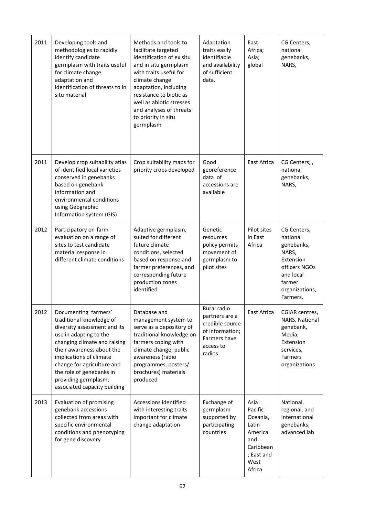| 2011 | Developing tools and<br>methodologies to rapidly<br>identify candidate<br>germplasm with traits useful<br>for climate change<br>adaptation and<br>identification of threats to in<br>situ material                                                                                                                   | Methods and tools to<br>facilitate targeted<br>identification of ex situ<br>and in situ germplasm<br>with traits useful for<br>climate change<br>adaptation, including<br>resistance to biotic as<br>well as abiotic stresses<br>and analyses of threats<br>to priority in situ<br>germplasm | Adaptation<br>traits easily<br>identifiable<br>and availability<br>of sufficient<br>data.                  | East<br>Africa;<br>Asia;<br>global                                                                   | CG Centers,<br>national<br>genebanks,<br>NARS,                                                                                    |
|------|----------------------------------------------------------------------------------------------------------------------------------------------------------------------------------------------------------------------------------------------------------------------------------------------------------------------|----------------------------------------------------------------------------------------------------------------------------------------------------------------------------------------------------------------------------------------------------------------------------------------------|------------------------------------------------------------------------------------------------------------|------------------------------------------------------------------------------------------------------|-----------------------------------------------------------------------------------------------------------------------------------|
| 2011 | Develop crop suitability atlas<br>of identified local varieties<br>conserved in genebanks<br>based on genebank<br>information and<br>environmental conditions<br>using Geographic<br>Information system (GIS)                                                                                                        | Crop suitability maps for<br>priority crops developed                                                                                                                                                                                                                                        | Good<br>georeference<br>data of<br>accessions are<br>available                                             | East Africa                                                                                          | CG Centers,,<br>national<br>genebanks,<br>NARS,                                                                                   |
| 2012 | Participatory on-farm<br>evaluation on a range of<br>sites to test candidate<br>material response in<br>different climate conditions                                                                                                                                                                                 | Adaptive germplasm,<br>suited for different<br>future climate<br>conditions, selected<br>based on response and<br>farmer preferences, and<br>corresponding future<br>production zones<br>identified                                                                                          | Genetic<br>resources<br>policy permits<br>movement of<br>germplasm to<br>pilot sites                       | Pilot sites<br>in East<br>Africa                                                                     | CG Centers,<br>national<br>genebanks,<br>NARS,<br>Extension<br>officers NGOs<br>and local<br>farmer<br>organizations,<br>Farmers, |
| 2012 | Documenting farmers'<br>traditional knowledge of<br>diversity assessment and its<br>use in adapting to the<br>changing climate and raising<br>their awareness about the<br>implications of climate<br>change for agriculture and<br>the role of genebanks in<br>providing germplasm;<br>associated capacity building | Database and<br>management system to<br>serve as a depository of<br>traditional knowledge on<br>farmers coping with<br>climate change; public<br>awareness (radio<br>programmes, posters/<br>brochures) materials<br>produced                                                                | Rural radio<br>partners are a<br>credible source<br>of information;<br>Farmers have<br>access to<br>radios | East Africa                                                                                          | CGIAR centres,<br>NARS, National<br>genebank,<br>Media;<br>Extension<br>services,<br>Farmers<br>organizations                     |
| 2013 | Evaluation of promising<br>genebank accessions<br>collected from areas with<br>specific environmental<br>conditions and phenotyping<br>for gene discovery                                                                                                                                                            | Accessions identified<br>with interesting traits<br>important for climate<br>change adaptation                                                                                                                                                                                               | Exchange of<br>germplasm<br>supported by<br>participating<br>countries                                     | Asia<br>Pacific-<br>Oceania,<br>Latin<br>America<br>and<br>Caribbean<br>; East and<br>West<br>Africa | National,<br>regional, and<br>international<br>genebanks;<br>advanced lab                                                         |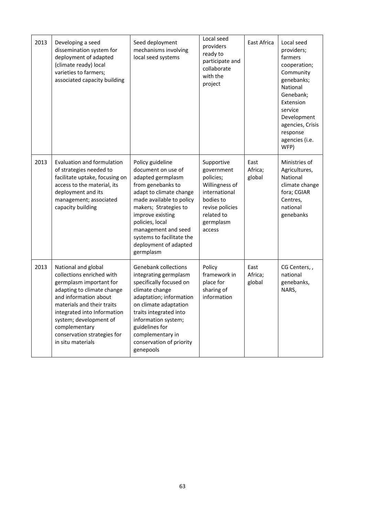| 2013 | Developing a seed<br>dissemination system for<br>deployment of adapted<br>(climate ready) local<br>varieties to farmers;<br>associated capacity building                                                                                                                                       | Seed deployment<br>mechanisms involving<br>local seed systems                                                                                                                                                                                                                                     | Local seed<br>providers<br>ready to<br>participate and<br>collaborate<br>with the<br>project                                                  | East Africa               | Local seed<br>providers;<br>farmers<br>cooperation;<br>Community<br>genebanks;<br>National<br>Genebank;<br>Extension<br>service<br>Development<br>agencies, Crisis<br>response<br>agencies (i.e.<br>WFP) |
|------|------------------------------------------------------------------------------------------------------------------------------------------------------------------------------------------------------------------------------------------------------------------------------------------------|---------------------------------------------------------------------------------------------------------------------------------------------------------------------------------------------------------------------------------------------------------------------------------------------------|-----------------------------------------------------------------------------------------------------------------------------------------------|---------------------------|----------------------------------------------------------------------------------------------------------------------------------------------------------------------------------------------------------|
| 2013 | <b>Evaluation and formulation</b><br>of strategies needed to<br>facilitate uptake, focusing on<br>access to the material, its<br>deployment and its<br>management; associated<br>capacity building                                                                                             | Policy guideline<br>document on use of<br>adapted germplasm<br>from genebanks to<br>adapt to climate change<br>made available to policy<br>makers; Strategies to<br>improve existing<br>policies, local<br>management and seed<br>systems to facilitate the<br>deployment of adapted<br>germplasm | Supportive<br>government<br>policies;<br>Willingness of<br>international<br>bodies to<br>revise policies<br>related to<br>germplasm<br>access | East<br>Africa;<br>global | Ministries of<br>Agricultures,<br>National<br>climate change<br>fora; CGIAR<br>Centres,<br>national<br>genebanks                                                                                         |
| 2013 | National and global<br>collections enriched with<br>germplasm important for<br>adapting to climate change<br>and information about<br>materials and their traits<br>integrated into Information<br>system; development of<br>complementary<br>conservation strategies for<br>in situ materials | <b>Genebank collections</b><br>integrating germplasm<br>specifically focused on<br>climate change<br>adaptation; information<br>on climate adaptation<br>traits integrated into<br>information system;<br>guidelines for<br>complementary in<br>conservation of priority<br>genepools             | Policy<br>framework in<br>place for<br>sharing of<br>information                                                                              | East<br>Africa;<br>global | CG Centers,,<br>national<br>genebanks,<br>NARS,                                                                                                                                                          |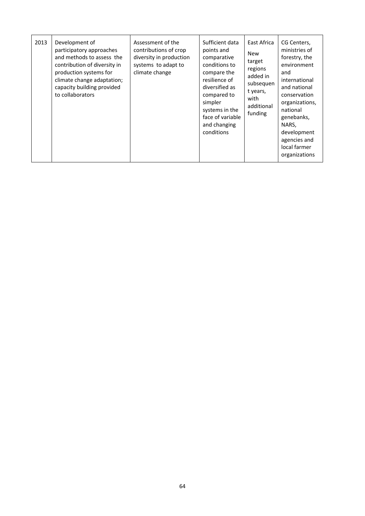| 2013 | Development of<br>participatory approaches<br>and methods to assess the<br>contribution of diversity in<br>production systems for<br>climate change adaptation;<br>capacity building provided<br>to collaborators | Assessment of the<br>contributions of crop<br>diversity in production<br>systems to adapt to<br>climate change | Sufficient data<br>points and<br>comparative<br>conditions to<br>compare the<br>resilience of<br>diversified as<br>compared to<br>simpler<br>systems in the<br>face of variable<br>and changing<br>conditions | East Africa<br><b>New</b><br>target<br>regions<br>added in<br>subsequen<br>t years,<br>with<br>additional<br>funding | CG Centers,<br>ministries of<br>forestry, the<br>environment<br>and<br>international<br>and national<br>conservation<br>organizations,<br>national<br>genebanks,<br>NARS,<br>development<br>agencies and<br>local farmer<br>organizations |
|------|-------------------------------------------------------------------------------------------------------------------------------------------------------------------------------------------------------------------|----------------------------------------------------------------------------------------------------------------|---------------------------------------------------------------------------------------------------------------------------------------------------------------------------------------------------------------|----------------------------------------------------------------------------------------------------------------------|-------------------------------------------------------------------------------------------------------------------------------------------------------------------------------------------------------------------------------------------|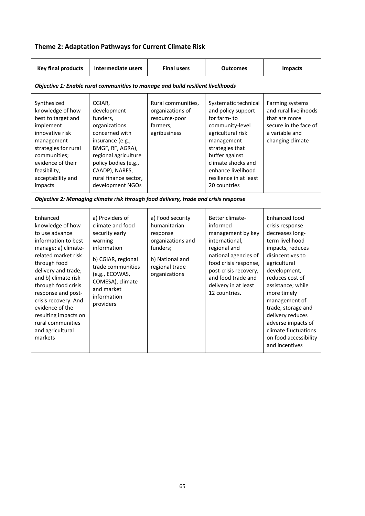| <b>Key final products</b>                                                                                                                                                                                                                                                                                                                             | Intermediate users                                                                                                                                                                                                          | <b>Final users</b>                                                                                                                  | <b>Outcomes</b>                                                                                                                                                                                                                            | <b>Impacts</b>                                                                                                                                                                                                                                                                                                                                            |
|-------------------------------------------------------------------------------------------------------------------------------------------------------------------------------------------------------------------------------------------------------------------------------------------------------------------------------------------------------|-----------------------------------------------------------------------------------------------------------------------------------------------------------------------------------------------------------------------------|-------------------------------------------------------------------------------------------------------------------------------------|--------------------------------------------------------------------------------------------------------------------------------------------------------------------------------------------------------------------------------------------|-----------------------------------------------------------------------------------------------------------------------------------------------------------------------------------------------------------------------------------------------------------------------------------------------------------------------------------------------------------|
|                                                                                                                                                                                                                                                                                                                                                       |                                                                                                                                                                                                                             | Objective 1: Enable rural communities to manage and build resilient livelihoods                                                     |                                                                                                                                                                                                                                            |                                                                                                                                                                                                                                                                                                                                                           |
| Synthesized<br>knowledge of how<br>best to target and<br>implement<br>innovative risk<br>management<br>strategies for rural<br>communities;<br>evidence of their<br>feasibility,<br>acceptability and<br>impacts                                                                                                                                      | CGIAR.<br>development<br>funders,<br>organizations<br>concerned with<br>insurance (e.g.,<br>BMGF, RF, AGRA),<br>regional agriculture<br>policy bodies (e.g.,<br>CAADP), NARES,<br>rural finance sector,<br>development NGOs | Rural communities,<br>organizations of<br>resource-poor<br>farmers,<br>agribusiness                                                 | Systematic technical<br>and policy support<br>for farm-to<br>community-level<br>agricultural risk<br>management<br>strategies that<br>buffer against<br>climate shocks and<br>enhance livelihood<br>resilience in at least<br>20 countries | Farming systems<br>and rural livelihoods<br>that are more<br>secure in the face of<br>a variable and<br>changing climate                                                                                                                                                                                                                                  |
|                                                                                                                                                                                                                                                                                                                                                       |                                                                                                                                                                                                                             | Objective 2: Managing climate risk through food delivery, trade and crisis response                                                 |                                                                                                                                                                                                                                            |                                                                                                                                                                                                                                                                                                                                                           |
| Enhanced<br>knowledge of how<br>to use advance<br>information to best<br>manage: a) climate-<br>related market risk<br>through food<br>delivery and trade;<br>and b) climate risk<br>through food crisis<br>response and post-<br>crisis recovery. And<br>evidence of the<br>resulting impacts on<br>rural communities<br>and agricultural<br>markets | a) Providers of<br>climate and food<br>security early<br>warning<br>information<br>b) CGIAR, regional<br>trade communities<br>(e.g., ECOWAS,<br>COMESA), climate<br>and market<br>information<br>providers                  | a) Food security<br>humanitarian<br>response<br>organizations and<br>funders;<br>b) National and<br>regional trade<br>organizations | Better climate-<br>informed<br>management by key<br>international,<br>regional and<br>national agencies of<br>food crisis response,<br>post-crisis recovery,<br>and food trade and<br>delivery in at least<br>12 countries.                | Enhanced food<br>crisis response<br>decreases long-<br>term livelihood<br>impacts, reduces<br>disincentives to<br>agricultural<br>development,<br>reduces cost of<br>assistance; while<br>more timely<br>management of<br>trade, storage and<br>delivery reduces<br>adverse impacts of<br>climate fluctuations<br>on food accessibility<br>and incentives |

# **Theme 2: Adaptation Pathways for Current Climate Risk**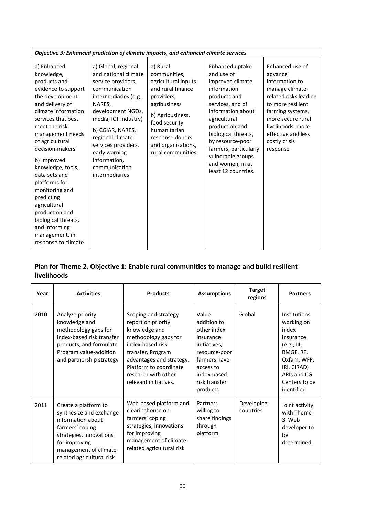| Objective 3: Enhanced prediction of climate impacts, and enhanced climate services                                                                                                                                                                                                                                                                                                                                                                      |                                                                                                                                                                                                                                                                                                       |                                                                                                                                                                                                                       |                                                                                                                                                                                                                                                                                                 |                                                                                                                                                                                                                                |  |  |
|---------------------------------------------------------------------------------------------------------------------------------------------------------------------------------------------------------------------------------------------------------------------------------------------------------------------------------------------------------------------------------------------------------------------------------------------------------|-------------------------------------------------------------------------------------------------------------------------------------------------------------------------------------------------------------------------------------------------------------------------------------------------------|-----------------------------------------------------------------------------------------------------------------------------------------------------------------------------------------------------------------------|-------------------------------------------------------------------------------------------------------------------------------------------------------------------------------------------------------------------------------------------------------------------------------------------------|--------------------------------------------------------------------------------------------------------------------------------------------------------------------------------------------------------------------------------|--|--|
| a) Enhanced<br>knowledge,<br>products and<br>evidence to support<br>the development<br>and delivery of<br>climate information<br>services that best<br>meet the risk<br>management needs<br>of agricultural<br>decision-makers<br>b) Improved<br>knowledge, tools,<br>data sets and<br>platforms for<br>monitoring and<br>predicting<br>agricultural<br>production and<br>biological threats,<br>and informing<br>management, in<br>response to climate | a) Global, regional<br>and national climate<br>service providers,<br>communication<br>intermediaries (e.g.,<br>NARES,<br>development NGOs,<br>media, ICT industry)<br>b) CGIAR, NARES,<br>regional climate<br>services providers,<br>early warning<br>information,<br>communication<br>intermediaries | a) Rural<br>communities,<br>agricultural inputs<br>and rural finance<br>providers,<br>agribusiness<br>b) Agribusiness,<br>food security<br>humanitarian<br>response donors<br>and organizations,<br>rural communities | Enhanced uptake<br>and use of<br>improved climate<br>information<br>products and<br>services, and of<br>information about<br>agricultural<br>production and<br>biological threats,<br>by resource-poor<br>farmers, particularly<br>vulnerable groups<br>and women, in at<br>least 12 countries. | Enhanced use of<br>advance<br>information to<br>manage climate-<br>related risks leading<br>to more resilient<br>farming systems,<br>more secure rural<br>livelihoods, more<br>effective and less<br>costly crisis<br>response |  |  |

# **Plan for Theme 2, Objective 1: Enable rural communities to manage and build resilient livelihoods**

| Year | <b>Activities</b>                                                                                                                                                                          | <b>Products</b>                                                                                                                                                                                                                     | <b>Assumptions</b>                                                                                                                                         | <b>Target</b><br>regions | <b>Partners</b>                                                                                                                                         |
|------|--------------------------------------------------------------------------------------------------------------------------------------------------------------------------------------------|-------------------------------------------------------------------------------------------------------------------------------------------------------------------------------------------------------------------------------------|------------------------------------------------------------------------------------------------------------------------------------------------------------|--------------------------|---------------------------------------------------------------------------------------------------------------------------------------------------------|
| 2010 | Analyze priority<br>knowledge and<br>methodology gaps for<br>index-based risk transfer<br>products, and formulate<br>Program value-addition<br>and partnership strategy                    | Scoping and strategy<br>report on priority<br>knowledge and<br>methodology gaps for<br>index-based risk<br>transfer, Program<br>advantages and strategy;<br>Platform to coordinate<br>research with other<br>relevant initiatives.  | Value<br>addition to<br>other index<br>insurance<br>initiatives;<br>resource-poor<br>farmers have<br>access to<br>index-based<br>risk transfer<br>products | Global                   | Institutions<br>working on<br>index<br>insurance<br>(e.g., 14,<br>BMGF, RF,<br>Oxfam, WFP,<br>IRI, CIRAD)<br>ARIs and CG<br>Centers to be<br>identified |
| 2011 | Create a platform to<br>synthesize and exchange<br>information about<br>farmers' coping<br>strategies, innovations<br>for improving<br>management of climate-<br>related agricultural risk | Web-based platform and<br>Partners<br>clearinghouse on<br>willing to<br>farmers' coping<br>share findings<br>through<br>strategies, innovations<br>platform<br>for improving<br>management of climate-<br>related agricultural risk |                                                                                                                                                            | Developing<br>countries  | Joint activity<br>with Theme<br>3. Web<br>developer to<br>be<br>determined.                                                                             |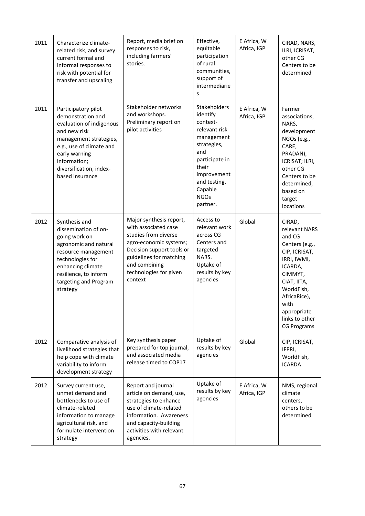| 2011 | Characterize climate-<br>related risk, and survey<br>current formal and<br>informal responses to<br>risk with potential for<br>transfer and upscaling                                                                     | Report, media brief on<br>responses to risk,<br>including farmers'<br>stories.                                                                                                                                  | Effective,<br>equitable<br>participation<br>of rural<br>communities,<br>support of<br>intermediarie<br>S                                                                                         | E Africa, W<br>Africa, IGP | CIRAD, NARS,<br>ILRI, ICRISAT,<br>other CG<br>Centers to be<br>determined                                                                                                                                             |
|------|---------------------------------------------------------------------------------------------------------------------------------------------------------------------------------------------------------------------------|-----------------------------------------------------------------------------------------------------------------------------------------------------------------------------------------------------------------|--------------------------------------------------------------------------------------------------------------------------------------------------------------------------------------------------|----------------------------|-----------------------------------------------------------------------------------------------------------------------------------------------------------------------------------------------------------------------|
| 2011 | Participatory pilot<br>demonstration and<br>evaluation of indigenous<br>and new risk<br>management strategies,<br>e.g., use of climate and<br>early warning<br>information;<br>diversification, index-<br>based insurance | Stakeholder networks<br>and workshops.<br>Preliminary report on<br>pilot activities                                                                                                                             | <b>Stakeholders</b><br>identify<br>context-<br>relevant risk<br>management<br>strategies,<br>and<br>participate in<br>their<br>improvement<br>and testing.<br>Capable<br><b>NGOs</b><br>partner. | E Africa, W<br>Africa, IGP | Farmer<br>associations,<br>NARS,<br>development<br>NGOs (e.g.,<br>CARE,<br>PRADAN),<br>ICRISAT; ILRI,<br>other CG<br>Centers to be<br>determined,<br>based on<br>target<br>locations                                  |
| 2012 | Synthesis and<br>dissemination of on-<br>going work on<br>agronomic and natural<br>resource management<br>technologies for<br>enhancing climate<br>resilience, to inform<br>targeting and Program<br>strategy             | Major synthesis report,<br>with associated case<br>studies from diverse<br>agro-economic systems;<br>Decision support tools or<br>guidelines for matching<br>and combining<br>technologies for given<br>context | Access to<br>relevant work<br>across CG<br>Centers and<br>targeted<br>NARS.<br>Uptake of<br>results by key<br>agencies                                                                           | Global                     | CIRAD,<br>relevant NARS<br>and CG<br>Centers (e.g.,<br>CIP, ICRISAT,<br>IRRI, IWMI,<br>ICARDA,<br>CIMMYT,<br>CIAT, IITA,<br>WorldFish,<br>AfricaRice),<br>with<br>appropriate<br>links to other<br><b>CG Programs</b> |
| 2012 | Comparative analysis of<br>livelihood strategies that<br>help cope with climate<br>variability to inform<br>development strategy                                                                                          | Key synthesis paper<br>prepared for top journal,<br>and associated media<br>release timed to COP17                                                                                                              | Uptake of<br>results by key<br>agencies                                                                                                                                                          | Global                     | CIP, ICRISAT,<br>IFPRI,<br>WorldFish,<br><b>ICARDA</b>                                                                                                                                                                |
| 2012 | Survey current use,<br>unmet demand and<br>bottlenecks to use of<br>climate-related<br>information to manage<br>agricultural risk, and<br>formulate intervention<br>strategy                                              | Report and journal<br>article on demand, use,<br>strategies to enhance<br>use of climate-related<br>information. Awareness<br>and capacity-building<br>activities with relevant<br>agencies.                    | Uptake of<br>results by key<br>agencies                                                                                                                                                          | E Africa, W<br>Africa, IGP | NMS, regional<br>climate<br>centers,<br>others to be<br>determined                                                                                                                                                    |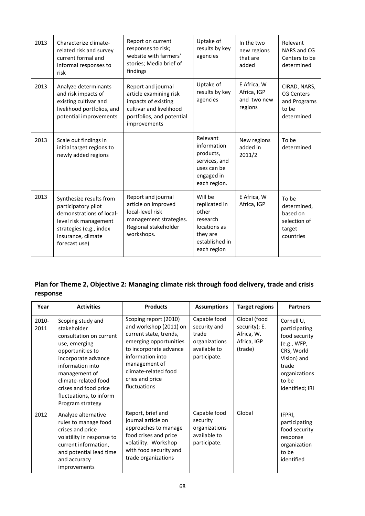| 2013 | Characterize climate-<br>related risk and survey<br>current formal and<br>informal responses to<br>risk                                                               | Report on current<br>responses to risk;<br>website with farmers'<br>stories; Media brief of<br>findings                                     | Uptake of<br>results by key<br>agencies                                                                    | In the two<br>new regions<br>that are<br>added       | Relevant<br>NARS and CG<br>Centers to be<br>determined                   |
|------|-----------------------------------------------------------------------------------------------------------------------------------------------------------------------|---------------------------------------------------------------------------------------------------------------------------------------------|------------------------------------------------------------------------------------------------------------|------------------------------------------------------|--------------------------------------------------------------------------|
| 2013 | Analyze determinants<br>and risk impacts of<br>existing cultivar and<br>livelihood portfolios, and<br>potential improvements                                          | Report and journal<br>article examining risk<br>impacts of existing<br>cultivar and livelihood<br>portfolios, and potential<br>improvements | Uptake of<br>results by key<br>agencies                                                                    | E Africa, W<br>Africa, IGP<br>and two new<br>regions | CIRAD, NARS,<br><b>CG Centers</b><br>and Programs<br>to be<br>determined |
| 2013 | Scale out findings in<br>initial target regions to<br>newly added regions                                                                                             |                                                                                                                                             | Relevant<br>information<br>products,<br>services, and<br>uses can be<br>engaged in<br>each region.         | New regions<br>added in<br>2011/2                    | To be<br>determined                                                      |
| 2013 | Synthesize results from<br>participatory pilot<br>demonstrations of local-<br>level risk management<br>strategies (e.g., index<br>insurance, climate<br>forecast use) | Report and journal<br>article on improved<br>local-level risk<br>management strategies.<br>Regional stakeholder<br>workshops.               | Will be<br>replicated in<br>other<br>research<br>locations as<br>they are<br>established in<br>each region | E Africa, W<br>Africa, IGP                           | To be<br>determined,<br>based on<br>selection of<br>target<br>countries  |

# **Plan for Theme 2, Objective 2: Managing climate risk through food delivery, trade and crisis response**

| Year          | <b>Activities</b>                                                                                                                                                                                                                                            | <b>Products</b>                                                                                                                                                                                                               | <b>Assumptions</b>                                                                     | <b>Target regions</b>                                                 | <b>Partners</b>                                                                                                                                |
|---------------|--------------------------------------------------------------------------------------------------------------------------------------------------------------------------------------------------------------------------------------------------------------|-------------------------------------------------------------------------------------------------------------------------------------------------------------------------------------------------------------------------------|----------------------------------------------------------------------------------------|-----------------------------------------------------------------------|------------------------------------------------------------------------------------------------------------------------------------------------|
| 2010-<br>2011 | Scoping study and<br>stakeholder<br>consultation on current<br>use, emerging<br>opportunities to<br>incorporate advance<br>information into<br>management of<br>climate-related food<br>crises and food price<br>fluctuations, to inform<br>Program strategy | Scoping report (2010)<br>and workshop (2011) on<br>current state, trends,<br>emerging opportunities<br>to incorporate advance<br>information into<br>management of<br>climate-related food<br>cries and price<br>fluctuations | Capable food<br>security and<br>trade<br>organizations<br>available to<br>participate. | Global (food<br>security); E.<br>Africa, W.<br>Africa, IGP<br>(trade) | Cornell U,<br>participating<br>food security<br>(e.g., WFP,<br>CRS, World<br>Vision) and<br>trade<br>organizations<br>to be<br>identified; IRI |
| 2012          | Analyze alternative<br>rules to manage food<br>crises and price<br>volatility in response to<br>current information,<br>and potential lead time<br>and accuracy<br>improvements                                                                              | Report, brief and<br>journal article on<br>approaches to manage<br>food crises and price<br>volatility. Workshop<br>with food security and<br>trade organizations                                                             | Capable food<br>security<br>organizations<br>available to<br>participate.              | Global                                                                | IFPRI,<br>participating<br>food security<br>response<br>organization<br>to be<br>identified                                                    |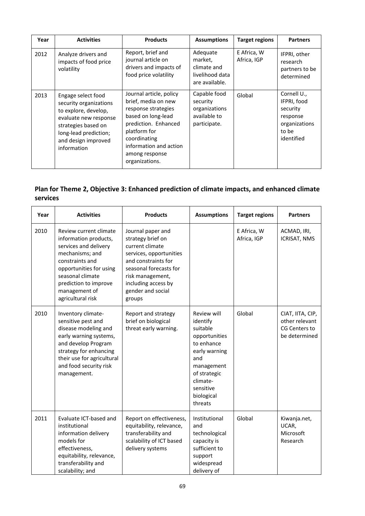| Year | <b>Activities</b>                                                                                                                                                                   | <b>Products</b>                                                                                                                                                                                                   | <b>Assumptions</b>                                                        | <b>Target regions</b>      | <b>Partners</b>                                                                            |
|------|-------------------------------------------------------------------------------------------------------------------------------------------------------------------------------------|-------------------------------------------------------------------------------------------------------------------------------------------------------------------------------------------------------------------|---------------------------------------------------------------------------|----------------------------|--------------------------------------------------------------------------------------------|
| 2012 | Analyze drivers and<br>impacts of food price<br>volatility                                                                                                                          | Report, brief and<br>journal article on<br>drivers and impacts of<br>food price volatility                                                                                                                        | Adequate<br>market,<br>climate and<br>livelihood data<br>are available.   | E Africa, W<br>Africa, IGP | IFPRI, other<br>research<br>partners to be<br>determined                                   |
| 2013 | Engage select food<br>security organizations<br>to explore, develop,<br>evaluate new response<br>strategies based on<br>long-lead prediction;<br>and design improved<br>information | Journal article, policy<br>brief, media on new<br>response strategies<br>based on long-lead<br>prediction. Enhanced<br>platform for<br>coordinating<br>information and action<br>among response<br>organizations. | Capable food<br>security<br>organizations<br>available to<br>participate. | Global                     | Cornell U.,<br>IFPRI, food<br>security<br>response<br>organizations<br>to be<br>identified |

# **Plan for Theme 2, Objective 3: Enhanced prediction of climate impacts, and enhanced climate services**

| Year | <b>Activities</b>                                                                                                                                                                                                            | <b>Products</b><br><b>Assumptions</b>                                                                                                                                                                           |                                                                                                                                                                            | <b>Target regions</b>      | <b>Partners</b>                                                      |
|------|------------------------------------------------------------------------------------------------------------------------------------------------------------------------------------------------------------------------------|-----------------------------------------------------------------------------------------------------------------------------------------------------------------------------------------------------------------|----------------------------------------------------------------------------------------------------------------------------------------------------------------------------|----------------------------|----------------------------------------------------------------------|
| 2010 | Review current climate<br>information products,<br>services and delivery<br>mechanisms; and<br>constraints and<br>opportunities for using<br>seasonal climate<br>prediction to improve<br>management of<br>agricultural risk | Journal paper and<br>strategy brief on<br>current climate<br>services, opportunities<br>and constraints for<br>seasonal forecasts for<br>risk management,<br>including access by<br>gender and social<br>groups |                                                                                                                                                                            | E Africa, W<br>Africa, IGP | ACMAD, IRI,<br><b>ICRISAT, NMS</b>                                   |
| 2010 | Inventory climate-<br>sensitive pest and<br>disease modeling and<br>early warning systems,<br>and develop Program<br>strategy for enhancing<br>their use for agricultural<br>and food security risk<br>management.           | Report and strategy<br>brief on biological<br>threat early warning.                                                                                                                                             | Review will<br>identify<br>suitable<br>opportunities<br>to enhance<br>early warning<br>and<br>management<br>of strategic<br>climate-<br>sensitive<br>biological<br>threats | Global                     | CIAT, IITA, CIP,<br>other relevant<br>CG Centers to<br>be determined |
| 2011 | Evaluate ICT-based and<br>institutional<br>information delivery<br>models for<br>effectiveness,<br>equitability, relevance,<br>transferability and<br>scalability; and                                                       | Report on effectiveness,<br>equitability, relevance,<br>transferability and<br>scalability of ICT based<br>delivery systems                                                                                     | Institutional<br>and<br>technological<br>capacity is<br>sufficient to<br>support<br>widespread<br>delivery of                                                              | Global                     | Kiwanja.net,<br>UCAR,<br>Microsoft<br>Research                       |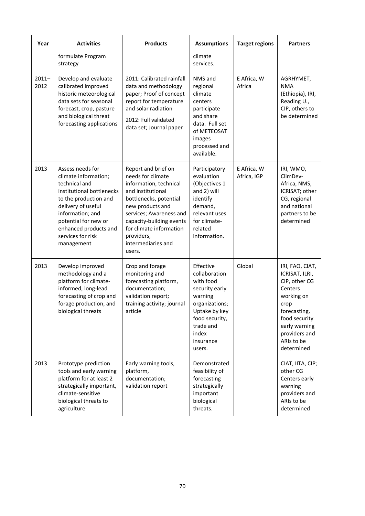| Year             | <b>Activities</b><br><b>Products</b>                                                                                                                                                                                                          |                                                                                                                                                                                                                                                                       | <b>Assumptions</b><br><b>Target regions</b>                                                                                                                            |                            | <b>Partners</b>                                                                                                                                                                    |
|------------------|-----------------------------------------------------------------------------------------------------------------------------------------------------------------------------------------------------------------------------------------------|-----------------------------------------------------------------------------------------------------------------------------------------------------------------------------------------------------------------------------------------------------------------------|------------------------------------------------------------------------------------------------------------------------------------------------------------------------|----------------------------|------------------------------------------------------------------------------------------------------------------------------------------------------------------------------------|
|                  | formulate Program<br>strategy                                                                                                                                                                                                                 |                                                                                                                                                                                                                                                                       | climate<br>services.                                                                                                                                                   |                            |                                                                                                                                                                                    |
| $2011 -$<br>2012 | Develop and evaluate<br>calibrated improved<br>historic meteorological<br>data sets for seasonal<br>forecast, crop, pasture<br>and biological threat<br>forecasting applications                                                              | 2011: Calibrated rainfall<br>data and methodology<br>paper; Proof of concept<br>report for temperature<br>and solar radiation<br>2012: Full validated<br>data set; Journal paper                                                                                      | NMS and<br>regional<br>climate<br>centers<br>participate<br>and share<br>data. Full set<br>of METEOSAT<br>images<br>processed and<br>available.                        | E Africa, W<br>Africa      | AGRHYMET,<br><b>NMA</b><br>(Ethiopia), IRI,<br>Reading U.,<br>CIP, others to<br>be determined                                                                                      |
| 2013             | Assess needs for<br>climate information;<br>technical and<br>institutional bottlenecks<br>to the production and<br>delivery of useful<br>information; and<br>potential for new or<br>enhanced products and<br>services for risk<br>management | Report and brief on<br>needs for climate<br>information, technical<br>and institutional<br>bottlenecks, potential<br>new products and<br>services; Awareness and<br>capacity-building events<br>for climate information<br>providers,<br>intermediaries and<br>users. | Participatory<br>evaluation<br>(Objectives 1<br>and 2) will<br>identify<br>demand,<br>relevant uses<br>for climate-<br>related<br>information.                         | E Africa, W<br>Africa, IGP | IRI, WMO,<br>ClimDev-<br>Africa, NMS,<br>ICRISAT; other<br>CG, regional<br>and national<br>partners to be<br>determined                                                            |
| 2013             | Develop improved<br>methodology and a<br>platform for climate-<br>informed, long-lead<br>forecasting of crop and<br>forage production, and<br>biological threats                                                                              | Crop and forage<br>monitoring and<br>forecasting platform,<br>documentation;<br>validation report;<br>training activity; journal<br>article                                                                                                                           | Effective<br>collaboration<br>with food<br>security early<br>warning<br>organizations;<br>Uptake by key<br>food security,<br>trade and<br>index<br>insurance<br>users. | Global                     | IRI, FAO, CIAT,<br>ICRISAT, ILRI,<br>CIP, other CG<br>Centers<br>working on<br>crop<br>forecasting,<br>food security<br>early warning<br>providers and<br>ARIs to be<br>determined |
| 2013             | Prototype prediction<br>tools and early warning<br>platform for at least 2<br>strategically important,<br>climate-sensitive<br>biological threats to<br>agriculture                                                                           | Early warning tools,<br>platform,<br>documentation;<br>validation report                                                                                                                                                                                              | Demonstrated<br>feasibility of<br>forecasting<br>strategically<br>important<br>biological<br>threats.                                                                  |                            | CIAT, IITA, CIP;<br>other CG<br>Centers early<br>warning<br>providers and<br>ARIs to be<br>determined                                                                              |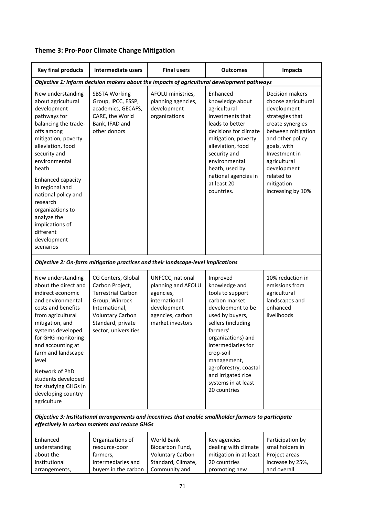|  | <b>Theme 3: Pro-Poor Climate Change Mitigation</b> |
|--|----------------------------------------------------|
|--|----------------------------------------------------|

| <b>Key final products</b>                                                                                                                                                                                                                                                                                                                                                    | <b>Intermediate users</b>                                                                                                                                                      | <b>Final users</b>                                                                                                          | <b>Outcomes</b>                                                                                                                                                                                                                                                                                        | Impacts                                                                                                                                                                                                                                                |  |  |
|------------------------------------------------------------------------------------------------------------------------------------------------------------------------------------------------------------------------------------------------------------------------------------------------------------------------------------------------------------------------------|--------------------------------------------------------------------------------------------------------------------------------------------------------------------------------|-----------------------------------------------------------------------------------------------------------------------------|--------------------------------------------------------------------------------------------------------------------------------------------------------------------------------------------------------------------------------------------------------------------------------------------------------|--------------------------------------------------------------------------------------------------------------------------------------------------------------------------------------------------------------------------------------------------------|--|--|
|                                                                                                                                                                                                                                                                                                                                                                              | Objective 1: Inform decision makers about the impacts of agricultural development pathways                                                                                     |                                                                                                                             |                                                                                                                                                                                                                                                                                                        |                                                                                                                                                                                                                                                        |  |  |
| New understanding<br>about agricultural<br>development<br>pathways for<br>balancing the trade-<br>offs among<br>mitigation, poverty<br>alleviation, food<br>security and<br>environmental<br>heath<br>Enhanced capacity<br>in regional and<br>national policy and<br>research<br>organizations to<br>analyze the<br>implications of<br>different<br>development<br>scenarios | <b>SBSTA Working</b><br>Group, IPCC, ESSP,<br>academics, GECAFS,<br>CARE, the World<br>Bank, IFAD and<br>other donors                                                          | AFOLU ministries,<br>planning agencies,<br>development<br>organizations                                                     | Enhanced<br>knowledge about<br>agricultural<br>investments that<br>leads to better<br>decisions for climate<br>mitigation, poverty<br>alleviation, food<br>security and<br>environmental<br>heath, used by<br>national agencies in<br>at least 20<br>countries.                                        | Decision makers<br>choose agricultural<br>development<br>strategies that<br>create synergies<br>between mitigation<br>and other policy<br>goals, with<br>Investment in<br>agricultural<br>development<br>related to<br>mitigation<br>increasing by 10% |  |  |
|                                                                                                                                                                                                                                                                                                                                                                              | Objective 2: On-farm mitigation practices and their landscape-level implications                                                                                               |                                                                                                                             |                                                                                                                                                                                                                                                                                                        |                                                                                                                                                                                                                                                        |  |  |
| New understanding<br>about the direct and<br>indirect economic<br>and environmental<br>costs and benefits<br>from agricultural<br>mitigation, and<br>systems developed<br>for GHG monitoring<br>and accounting at<br>farm and landscape<br>level<br>Network of PhD<br>students developed<br>for studying GHGs in<br>developing country<br>agriculture                        | CG Centers, Global<br>Carbon Project,<br><b>Terrestrial Carbon</b><br>Group, Winrock<br>International,<br><b>Voluntary Carbon</b><br>Standard, private<br>sector, universities | UNFCCC, national<br>planning and AFOLU<br>agencies,<br>international<br>development<br>agencies, carbon<br>market investors | Improved<br>knowledge and<br>tools to support<br>carbon market<br>development to be<br>used by buyers,<br>sellers (including<br>farmers'<br>organizations) and<br>intermediaries for<br>crop-soil<br>management,<br>agroforestry, coastal<br>and irrigated rice<br>systems in at least<br>20 countries | 10% reduction in<br>emissions from<br>agricultural<br>landscapes and<br>enhanced<br>livelihoods                                                                                                                                                        |  |  |
| Objective 3: Institutional arrangements and incentives that enable smallholder farmers to participate<br>effectively in carbon markets and reduce GHGs                                                                                                                                                                                                                       |                                                                                                                                                                                |                                                                                                                             |                                                                                                                                                                                                                                                                                                        |                                                                                                                                                                                                                                                        |  |  |
| Enhanced<br>understanding<br>about the<br>institutional<br>arrangements,                                                                                                                                                                                                                                                                                                     | Organizations of<br>resource-poor<br>farmers,<br>intermediaries and<br>buyers in the carbon                                                                                    | World Bank<br>Biocarbon Fund,<br><b>Voluntary Carbon</b><br>Standard, Climate,<br>Community and                             | Key agencies<br>dealing with climate<br>mitigation in at least<br>20 countries<br>promoting new                                                                                                                                                                                                        | Participation by<br>smallholders in<br>Project areas<br>increase by 25%,<br>and overall                                                                                                                                                                |  |  |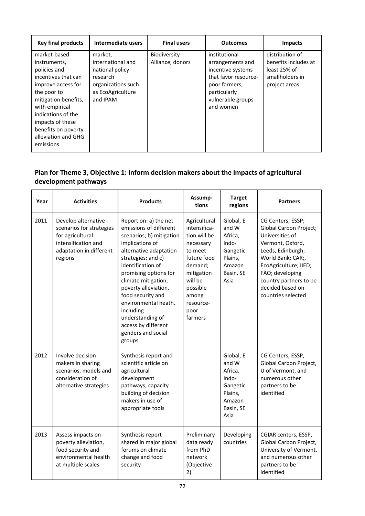| <b>Key final products</b>                                                                                                                                                                                                                               | Intermediate users                                                                                                 | <b>Final users</b>               | <b>Outcomes</b>                                                                                                                                   | <b>Impacts</b>                                                                              |
|---------------------------------------------------------------------------------------------------------------------------------------------------------------------------------------------------------------------------------------------------------|--------------------------------------------------------------------------------------------------------------------|----------------------------------|---------------------------------------------------------------------------------------------------------------------------------------------------|---------------------------------------------------------------------------------------------|
| market-based<br>instruments,<br>policies and<br>incentives that can<br>improve access for<br>the poor to<br>mitigation benefits,<br>with empirical<br>indications of the<br>impacts of these<br>benefits on poverty<br>alleviation and GHG<br>emissions | market,<br>international and<br>national policy<br>research<br>organizations such<br>as EcoAgriculture<br>and IPAM | Biodiversity<br>Alliance, donors | institutional<br>arrangements and<br>incentive systems<br>that favor resource-<br>poor farmers,<br>particularly<br>vulnerable groups<br>and women | distribution of<br>benefits includes at<br>least 25% of<br>smallholders in<br>project areas |

# **Plan for Theme 3, Objective 1: Inform decision makers about the impacts of agricultural development pathways**

| Year | <b>Activities</b>                                                                                                                | <b>Products</b>                                                                                                                                                                                                                                                                                                                                                                  | Assump-<br>tions                                                                                                                                                             | <b>Target</b><br>regions                                                                     | <b>Partners</b>                                                                                                                                                                                                                              |
|------|----------------------------------------------------------------------------------------------------------------------------------|----------------------------------------------------------------------------------------------------------------------------------------------------------------------------------------------------------------------------------------------------------------------------------------------------------------------------------------------------------------------------------|------------------------------------------------------------------------------------------------------------------------------------------------------------------------------|----------------------------------------------------------------------------------------------|----------------------------------------------------------------------------------------------------------------------------------------------------------------------------------------------------------------------------------------------|
| 2011 | Develop alternative<br>scenarios for strategies<br>for agricultural<br>intensification and<br>adaptation in different<br>regions | Report on: a) the net<br>emissions of different<br>scenarios; b) mitigation<br>implications of<br>alternative adaptation<br>strategies; and c)<br>identification of<br>promising options for<br>climate mitigation,<br>poverty alleviation,<br>food security and<br>environmental heath,<br>including<br>understanding of<br>access by different<br>genders and social<br>groups | Agricultural<br>intensifica-<br>tion will be<br>necessary<br>to meet<br>future food<br>demand;<br>mitigation<br>will be<br>possible<br>among<br>resource-<br>poor<br>farmers | Global, E<br>and W<br>Africa,<br>Indo-<br>Gangetic<br>Plains,<br>Amazon<br>Basin, SE<br>Asia | CG Centers; ESSP;<br>Global Carbon Project;<br>Universities of<br>Vermont, Oxford,<br>Leeds, Edinburgh;<br>World Bank; CAR;,<br>EcoAgriculture; IIED;<br>FAO; developing<br>country partners to be<br>decided based on<br>countries selected |
| 2012 | Involve decision<br>makers in sharing<br>scenarios, models and<br>consideration of<br>alternative strategies                     | Synthesis report and<br>scientific article on<br>agricultural<br>development<br>pathways; capacity<br>building of decision<br>makers in use of<br>appropriate tools                                                                                                                                                                                                              |                                                                                                                                                                              | Global, E<br>and W<br>Africa,<br>Indo-<br>Gangetic<br>Plains,<br>Amazon<br>Basin, SE<br>Asia | CG Centers, ESSP,<br>Global Carbon Project,<br>U of Vermont, and<br>numerous other<br>partners to be<br>identified                                                                                                                           |
| 2013 | Assess impacts on<br>poverty alleviation,<br>food security and<br>environmental health<br>at multiple scales                     | Synthesis report<br>shared in major global<br>forums on climate<br>change and food<br>security                                                                                                                                                                                                                                                                                   | Preliminary<br>data ready<br>from PhD<br>network<br>(Objective<br>2)                                                                                                         | Developing<br>countries                                                                      | CGIAR centers, ESSP,<br>Global Carbon Project,<br>University of Vermont,<br>and numerous other<br>partners to be<br>identified                                                                                                               |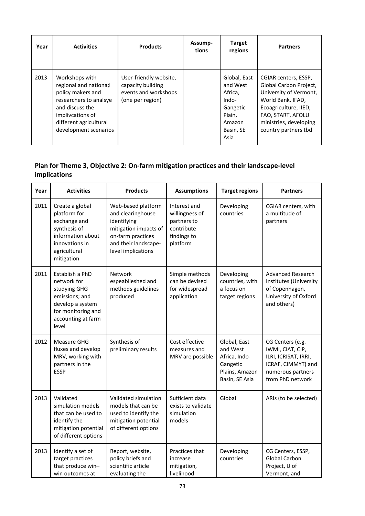| Year | <b>Activities</b>                                                                                                                                                                 | <b>Products</b>                                                                         | Assump-<br>tions | <b>Target</b><br>regions                                                                          | <b>Partners</b>                                                                                                                                                                               |
|------|-----------------------------------------------------------------------------------------------------------------------------------------------------------------------------------|-----------------------------------------------------------------------------------------|------------------|---------------------------------------------------------------------------------------------------|-----------------------------------------------------------------------------------------------------------------------------------------------------------------------------------------------|
|      |                                                                                                                                                                                   |                                                                                         |                  |                                                                                                   |                                                                                                                                                                                               |
| 2013 | Workshops with<br>regional and nationa;l<br>policy makers and<br>researchers to analsye<br>and discuss the<br>implivcations of<br>different agricultural<br>development scenarios | User-friendly website,<br>capacity building<br>events and workshops<br>(one per region) |                  | Global, East<br>and West<br>Africa,<br>Indo-<br>Gangetic<br>Plain,<br>Amazon<br>Basin, SE<br>Asia | CGIAR centers, ESSP,<br>Global Carbon Project,<br>University of Vermont,<br>World Bank, IFAD,<br>Ecoagriculture, IIED,<br>FAO, START, AFOLU<br>ministries, developing<br>country partners tbd |

# **Plan for Theme 3, Objective 2: On‐farm mitigation practices and their landscape‐level implications**

| Year | <b>Activities</b>                                                                                                                         | <b>Products</b>                                                                                                                                    | <b>Assumptions</b>                                                                     | <b>Target regions</b>                                                                     | <b>Partners</b>                                                                                                             |
|------|-------------------------------------------------------------------------------------------------------------------------------------------|----------------------------------------------------------------------------------------------------------------------------------------------------|----------------------------------------------------------------------------------------|-------------------------------------------------------------------------------------------|-----------------------------------------------------------------------------------------------------------------------------|
| 2011 | Create a global<br>platform for<br>exchange and<br>synthesis of<br>information about<br>innovations in<br>agricultural<br>mitigation      | Web-based platform<br>and clearinghouse<br>identifying<br>mitigation impacts of<br>on-farm practices<br>and their landscape-<br>level implications | Interest and<br>willingness of<br>partners to<br>contribute<br>findings to<br>platform | Developing<br>countries                                                                   | CGIAR centers, with<br>a multitude of<br>partners                                                                           |
| 2011 | Establish a PhD<br>network for<br>studying GHG<br>emissions; and<br>develop a system<br>for monitoring and<br>accounting at farm<br>level | <b>Network</b><br>espeablieshed and<br>methods guidelines<br>produced                                                                              | Simple methods<br>can be devised<br>for widespread<br>application                      | Developing<br>countries, with<br>a focus on<br>target regions                             | <b>Advanced Research</b><br>Institutes (University<br>of Copenhagen,<br>University of Oxford<br>and others)                 |
| 2012 | Measure GHG<br>fluxes and develop<br>MRV, working with<br>partners in the<br><b>ESSP</b>                                                  | Synthesis of<br>preliminary results                                                                                                                | Cost effective<br>measures and<br>MRV are possible                                     | Global, East<br>and West<br>Africa, Indo-<br>Gangetic<br>Plains, Amazon<br>Basin, SE Asia | CG Centers (e.g.<br>IWMI, CIAT, CIP,<br>ILRI, ICRISAT, IRRI,<br>ICRAF, CIMMYT) and<br>numerous partners<br>from PhD network |
| 2013 | Validated<br>simulation models<br>that can be used to<br>identify the<br>mitigation potential<br>of different options                     | Validated simulation<br>models that can be<br>used to identify the<br>mitigation potential<br>of different options                                 | Sufficient data<br>exists to validate<br>simulation<br>models                          | Global                                                                                    | ARIs (to be selected)                                                                                                       |
| 2013 | Identify a set of<br>target practices<br>that produce win-<br>win outcomes at                                                             | Report, website,<br>policy briefs and<br>scientific article<br>evaluating the                                                                      | Practices that<br>increase<br>mitigation,<br>livelihood                                | Developing<br>countries                                                                   | CG Centers, ESSP,<br>Global Carbon<br>Project, U of<br>Vermont, and                                                         |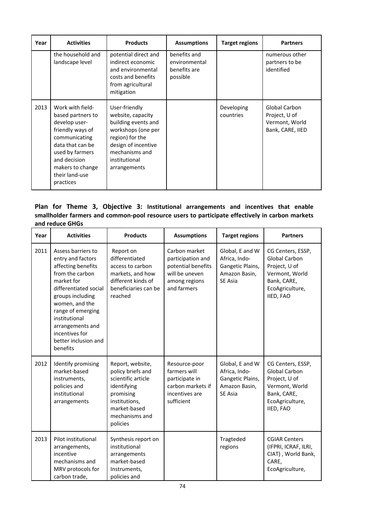| Year | <b>Activities</b>                                                                                                                                                                                     | <b>Products</b>                                                                                                                                                              | <b>Assumptions</b>                                        | <b>Target regions</b>   | <b>Partners</b>                                                      |
|------|-------------------------------------------------------------------------------------------------------------------------------------------------------------------------------------------------------|------------------------------------------------------------------------------------------------------------------------------------------------------------------------------|-----------------------------------------------------------|-------------------------|----------------------------------------------------------------------|
|      | the household and<br>landscape level                                                                                                                                                                  | potential direct and<br>indirect economic<br>and environmental<br>costs and benefits<br>from agricultural<br>mitigation                                                      | benefits and<br>environmental<br>benefits are<br>possible |                         | numerous other<br>partners to be<br>identified                       |
| 2013 | Work with field-<br>based partners to<br>develop user-<br>friendly ways of<br>communicating<br>data that can be<br>used by farmers<br>and decision<br>makers to change<br>their land-use<br>practices | User-friendly<br>website, capacity<br>building events and<br>workshops (one per<br>region) for the<br>design of incentive<br>mechanisms and<br>institutional<br>arrangements |                                                           | Developing<br>countries | Global Carbon<br>Project, U of<br>Vermont, World<br>Bank, CARE, IIED |

## **Plan for Theme 3, Objective 3: Institutional arrangements and incentives that enable smallholder farmers and common‐pool resource users to participate effectively in carbon markets and reduce GHGs**

| Year | <b>Activities</b>                                                                                                                                                                                                                                                             | <b>Products</b>                                                                                                                                        | <b>Assumptions</b>                                                                                         | <b>Target regions</b>                                                                   | <b>Partners</b>                                                                                                      |
|------|-------------------------------------------------------------------------------------------------------------------------------------------------------------------------------------------------------------------------------------------------------------------------------|--------------------------------------------------------------------------------------------------------------------------------------------------------|------------------------------------------------------------------------------------------------------------|-----------------------------------------------------------------------------------------|----------------------------------------------------------------------------------------------------------------------|
| 2011 | Assess barriers to<br>entry and factors<br>affecting benefits<br>from the carbon<br>market for<br>differentiated social<br>groups including<br>women, and the<br>range of emerging<br>institutional<br>arrangements and<br>incentives for<br>better inclusion and<br>benefits | Report on<br>differentiated<br>access to carbon<br>markets, and how<br>different kinds of<br>beneficiaries can be<br>reached                           | Carbon market<br>participation and<br>potential benefits<br>will be uneven<br>among regions<br>and farmers | Global, E and W<br>Africa, Indo-<br>Gangetic Plains,<br>Amazon Basin,<br>SE Asia        | CG Centers, ESSP,<br>Global Carbon<br>Project, U of<br>Vermont, World<br>Bank, CARE,<br>EcoAgriculture,<br>IIED, FAO |
| 2012 | Identify promising<br>market-based<br>instruments,<br>policies and<br>institutional<br>arrangements                                                                                                                                                                           | Report, website,<br>policy briefs and<br>scientific article<br>identifying<br>promising<br>institutions,<br>market-based<br>mechanisms and<br>policies | Resource-poor<br>farmers will<br>participate in<br>carbon markets if<br>incentives are<br>sufficient       | Global, E and W<br>Africa, Indo-<br>Gangetic Plains,<br>Amazon Basin,<br><b>SE Asia</b> | CG Centers, ESSP,<br>Global Carbon<br>Project, U of<br>Vermont, World<br>Bank, CARE,<br>EcoAgriculture,<br>IIED, FAO |
| 2013 | Pilot institutional<br>arrangements,<br>incentive<br>mechanisms and<br>MRV protocols for<br>carbon trade,                                                                                                                                                                     | Synthesis report on<br>institutional<br>arrangements<br>market-based<br>Instruments,<br>policies and                                                   |                                                                                                            | Tragteded<br>regions                                                                    | <b>CGIAR Centers</b><br>(IFPRI, ICRAF, ILRI,<br>CIAT), World Bank,<br>CARE,<br>EcoAgriculture,                       |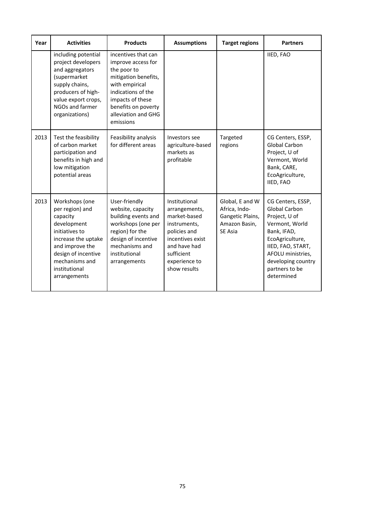| Year | <b>Activities</b>                                                                                                                                                                                  | <b>Products</b>                                                                                                                                                                                         | <b>Assumptions</b>                                                                                                                                                | <b>Target regions</b>                                                                   | <b>Partners</b>                                                                                                                                                                                                |
|------|----------------------------------------------------------------------------------------------------------------------------------------------------------------------------------------------------|---------------------------------------------------------------------------------------------------------------------------------------------------------------------------------------------------------|-------------------------------------------------------------------------------------------------------------------------------------------------------------------|-----------------------------------------------------------------------------------------|----------------------------------------------------------------------------------------------------------------------------------------------------------------------------------------------------------------|
|      | including potential<br>project developers<br>and aggregators<br>(supermarket<br>supply chains,<br>producers of high-<br>value export crops,<br>NGOs and farmer<br>organizations)                   | incentives that can<br>improve access for<br>the poor to<br>mitigation benefits,<br>with empirical<br>indications of the<br>impacts of these<br>benefits on poverty<br>alleviation and GHG<br>emissions |                                                                                                                                                                   |                                                                                         | IIED, FAO                                                                                                                                                                                                      |
| 2013 | Test the feasibility<br>of carbon market<br>participation and<br>benefits in high and<br>low mitigation<br>potential areas                                                                         | Feasibility analysis<br>for different areas                                                                                                                                                             | Investors see<br>agriculture-based<br>markets as<br>profitable                                                                                                    | Targeted<br>regions                                                                     | CG Centers, ESSP,<br>Global Carbon<br>Project, U of<br>Vermont, World<br>Bank, CARE,<br>EcoAgriculture,<br>IIED, FAO                                                                                           |
| 2013 | Workshops (one<br>per region) and<br>capacity<br>development<br>initiatives to<br>increase the uptake<br>and improve the<br>design of incentive<br>mechanisms and<br>institutional<br>arrangements | User-friendly<br>website, capacity<br>building events and<br>workshops (one per<br>region) for the<br>design of incentive<br>mechanisms and<br>institutional<br>arrangements                            | Institutional<br>arrangements,<br>market-based<br>instruments,<br>policies and<br>incentives exist<br>and have had<br>sufficient<br>experience to<br>show results | Global, E and W<br>Africa, Indo-<br>Gangetic Plains,<br>Amazon Basin,<br><b>SE Asia</b> | CG Centers, ESSP,<br><b>Global Carbon</b><br>Project, U of<br>Vermont, World<br>Bank, IFAD,<br>EcoAgriculture,<br>IIED, FAO, START,<br>AFOLU ministries,<br>developing country<br>partners to be<br>determined |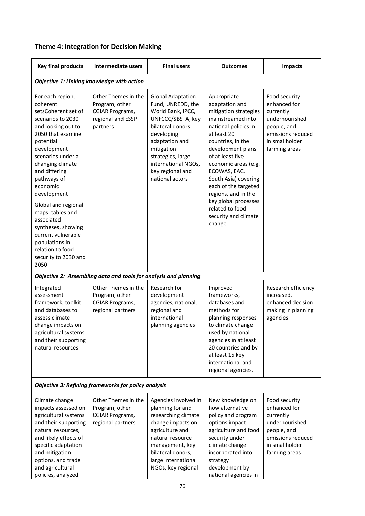| <b>Theme 4: Integration for Decision Making</b> |  |  |
|-------------------------------------------------|--|--|
|-------------------------------------------------|--|--|

| <b>Key final products</b>                                                                                                                                                                                                                                                                                                                                                                                                      | <b>Intermediate users</b>                                                                        | <b>Final users</b>                                                                                                                                                                                                                           | <b>Outcomes</b>                                                                                                                                                                                                                                                                                                                                                              | <b>Impacts</b>                                                                                                                      |
|--------------------------------------------------------------------------------------------------------------------------------------------------------------------------------------------------------------------------------------------------------------------------------------------------------------------------------------------------------------------------------------------------------------------------------|--------------------------------------------------------------------------------------------------|----------------------------------------------------------------------------------------------------------------------------------------------------------------------------------------------------------------------------------------------|------------------------------------------------------------------------------------------------------------------------------------------------------------------------------------------------------------------------------------------------------------------------------------------------------------------------------------------------------------------------------|-------------------------------------------------------------------------------------------------------------------------------------|
|                                                                                                                                                                                                                                                                                                                                                                                                                                | Objective 1: Linking knowledge with action                                                       |                                                                                                                                                                                                                                              |                                                                                                                                                                                                                                                                                                                                                                              |                                                                                                                                     |
| For each region,<br>coherent<br>setsCoherent set of<br>scenarios to 2030<br>and looking out to<br>2050 that examine<br>potential<br>development<br>scenarios under a<br>changing climate<br>and differing<br>pathways of<br>economic<br>development<br>Global and regional<br>maps, tables and<br>associated<br>syntheses, showing<br>current vulnerable<br>populations in<br>relation to food<br>security to 2030 and<br>2050 | Other Themes in the<br>Program, other<br><b>CGIAR Programs,</b><br>regional and ESSP<br>partners | <b>Global Adaptation</b><br>Fund, UNREDD, the<br>World Bank, IPCC,<br>UNFCCC/SBSTA, key<br>bilateral donors<br>developing<br>adaptation and<br>mitigation<br>strategies, large<br>international NGOs,<br>key regional and<br>national actors | Appropriate<br>adaptation and<br>mitigation strategies<br>mainstreamed into<br>national policies in<br>at least 20<br>countries, in the<br>development plans<br>of at least five<br>economic areas (e.g.<br>ECOWAS, EAC,<br>South Asia) covering<br>each of the targeted<br>regions, and in the<br>key global processes<br>related to food<br>security and climate<br>change | Food security<br>enhanced for<br>currently<br>undernourished<br>people, and<br>emissions reduced<br>in smallholder<br>farming areas |
|                                                                                                                                                                                                                                                                                                                                                                                                                                | Objective 2: Assembling data and tools for analysis and planning                                 |                                                                                                                                                                                                                                              |                                                                                                                                                                                                                                                                                                                                                                              |                                                                                                                                     |
| Integrated<br>assessment<br>framework, toolkit<br>and databases to<br>assess climate<br>change impacts on<br>agricultural systems<br>and their supporting<br>natural resources                                                                                                                                                                                                                                                 | Other Themes in the<br>Program, other<br>CGIAR Programs,<br>regional partners                    | Research for<br>development<br>agencies, national,<br>regional and<br>international<br>planning agencies                                                                                                                                     | Improved<br>frameworks,<br>databases and<br>methods for<br>planning responses<br>to climate change<br>used by national<br>agencies in at least<br>20 countries and by<br>at least 15 key<br>international and<br>regional agencies.                                                                                                                                          | Research efficiency<br>increased,<br>enhanced decision-<br>making in planning<br>agencies                                           |
|                                                                                                                                                                                                                                                                                                                                                                                                                                | <b>Objective 3: Refining frameworks for policy analysis</b>                                      |                                                                                                                                                                                                                                              |                                                                                                                                                                                                                                                                                                                                                                              |                                                                                                                                     |
| Climate change<br>impacts assessed on<br>agricultural systems<br>and their supporting<br>natural resources,<br>and likely effects of<br>specific adaptation<br>and mitigation<br>options, and trade<br>and agricultural<br>policies, analyzed                                                                                                                                                                                  | Other Themes in the<br>Program, other<br>CGIAR Programs,<br>regional partners                    | Agencies involved in<br>planning for and<br>researching climate<br>change impacts on<br>agriculture and<br>natural resource<br>management, key<br>bilateral donors,<br>large international<br>NGOs, key regional                             | New knowledge on<br>how alternative<br>policy and program<br>options impact<br>agriculture and food<br>security under<br>climate change<br>incorporated into<br>strategy<br>development by<br>national agencies in                                                                                                                                                           | Food security<br>enhanced for<br>currently<br>undernourished<br>people, and<br>emissions reduced<br>in smallholder<br>farming areas |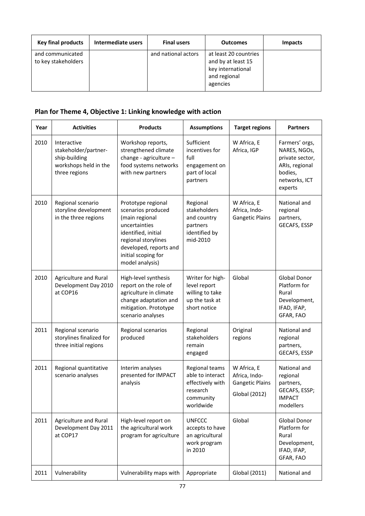| <b>Key final products</b>               | Intermediate users | <b>Final users</b>  | <b>Outcomes</b>                                                                              | <b>Impacts</b> |
|-----------------------------------------|--------------------|---------------------|----------------------------------------------------------------------------------------------|----------------|
| and communicated<br>to key stakeholders |                    | and national actors | at least 20 countries<br>and by at least 15<br>key international<br>and regional<br>agencies |                |

# **Plan for Theme 4, Objective 1: Linking knowledge with action**

| Year | <b>Activities</b>                                                                              | <b>Products</b>                                                                                                                                                                               | <b>Assumptions</b>                                                                           | <b>Target regions</b>                                                   | <b>Partners</b>                                                                                            |
|------|------------------------------------------------------------------------------------------------|-----------------------------------------------------------------------------------------------------------------------------------------------------------------------------------------------|----------------------------------------------------------------------------------------------|-------------------------------------------------------------------------|------------------------------------------------------------------------------------------------------------|
| 2010 | Interactive<br>stakeholder/partner-<br>ship-building<br>workshops held in the<br>three regions | Workshop reports,<br>strengthened climate<br>change - agriculture -<br>food systems networks<br>with new partners                                                                             | Sufficient<br>incentives for<br>full<br>engagement on<br>part of local<br>partners           | W Africa, E<br>Africa, IGP                                              | Farmers' orgs,<br>NARES, NGOs,<br>private sector,<br>ARIs, regional<br>bodies,<br>networks, ICT<br>experts |
| 2010 | Regional scenario<br>storyline development<br>in the three regions                             | Prototype regional<br>scenarios produced<br>(main regional<br>uncertainties<br>identified, initial<br>regional storylines<br>developed, reports and<br>initial scoping for<br>model analysis) | Regional<br>stakeholders<br>and country<br>partners<br>identified by<br>mid-2010             | W Africa, E<br>Africa, Indo-<br><b>Gangetic Plains</b>                  | National and<br>regional<br>partners,<br>GECAFS, ESSP                                                      |
| 2010 | Agriculture and Rural<br>Development Day 2010<br>at COP16                                      | High-level synthesis<br>report on the role of<br>agriculture in climate<br>change adaptation and<br>mitigation. Prototype<br>scenario analyses                                                | Writer for high-<br>level report<br>willing to take<br>up the task at<br>short notice        | Global                                                                  | Global Donor<br>Platform for<br>Rural<br>Development,<br>IFAD, IFAP,<br>GFAR, FAO                          |
| 2011 | Regional scenario<br>storylines finalized for<br>three initial regions                         | Regional scenarios<br>produced                                                                                                                                                                | Regional<br>stakeholders<br>remain<br>engaged                                                | Original<br>regions                                                     | National and<br>regional<br>partners,<br>GECAFS, ESSP                                                      |
| 2011 | Regional quantitative<br>scenario analyses                                                     | Interim analyses<br>presented for IMPACT<br>analysis                                                                                                                                          | Regional teams<br>able to interact<br>effectively with<br>research<br>community<br>worldwide | W Africa, E<br>Africa, Indo-<br><b>Gangetic Plains</b><br>Global (2012) | National and<br>regional<br>partners,<br>GECAFS, ESSP;<br><b>IMPACT</b><br>modellers                       |
| 2011 | Agriculture and Rural<br>Development Day 2011<br>at COP17                                      | High-level report on<br>the agricultural work<br>program for agriculture                                                                                                                      | <b>UNFCCC</b><br>accepts to have<br>an agricultural<br>work program<br>in 2010               | Global                                                                  | <b>Global Donor</b><br>Platform for<br>Rural<br>Development,<br>IFAD, IFAP,<br>GFAR, FAO                   |
| 2011 | Vulnerability                                                                                  | Vulnerability maps with                                                                                                                                                                       | Appropriate                                                                                  | Global (2011)                                                           | National and                                                                                               |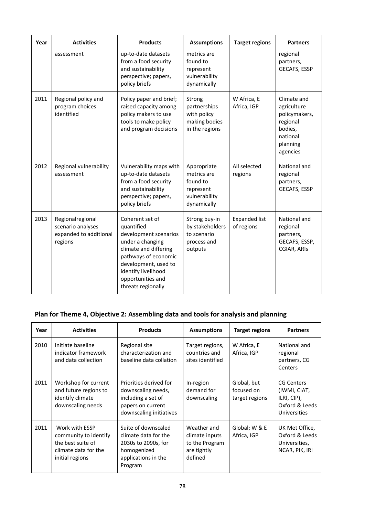| Year | <b>Activities</b>                                                          | <b>Products</b>                                                                                                                                                                                                       | <b>Assumptions</b>                                                                  | <b>Target regions</b>              | <b>Partners</b>                                                                                        |
|------|----------------------------------------------------------------------------|-----------------------------------------------------------------------------------------------------------------------------------------------------------------------------------------------------------------------|-------------------------------------------------------------------------------------|------------------------------------|--------------------------------------------------------------------------------------------------------|
|      | assessment                                                                 | up-to-date datasets<br>from a food security<br>and sustainability<br>perspective; papers,<br>policy briefs                                                                                                            | metrics are<br>found to<br>represent<br>vulnerability<br>dynamically                |                                    | regional<br>partners,<br>GECAFS, ESSP                                                                  |
| 2011 | Regional policy and<br>program choices<br>identified                       | Policy paper and brief;<br>raised capacity among<br>policy makers to use<br>tools to make policy<br>and program decisions                                                                                             | Strong<br>partnerships<br>with policy<br>making bodies<br>in the regions            | W Africa, E<br>Africa, IGP         | Climate and<br>agriculture<br>policymakers,<br>regional<br>bodies,<br>national<br>planning<br>agencies |
| 2012 | Regional vulnerability<br>assessment                                       | Vulnerability maps with<br>up-to-date datasets<br>from a food security<br>and sustainability<br>perspective; papers,<br>policy briefs                                                                                 | Appropriate<br>metrics are<br>found to<br>represent<br>vulnerability<br>dynamically | All selected<br>regions            | National and<br>regional<br>partners,<br>GECAFS, ESSP                                                  |
| 2013 | Regionalregional<br>scenario analyses<br>expanded to additional<br>regions | Coherent set of<br>quantified<br>development scenarios<br>under a changing<br>climate and differing<br>pathways of economic<br>development, used to<br>identify livelihood<br>opportunities and<br>threats regionally | Strong buy-in<br>by stakeholders<br>to scenario<br>process and<br>outputs           | <b>Expanded list</b><br>of regions | National and<br>regional<br>partners,<br>GECAFS, ESSP,<br>CGIAR, ARIS                                  |

# **Plan for Theme 4, Objective 2: Assembling data and tools for analysis and planning**

| Year | <b>Activities</b>                                                                                       | <b>Products</b>                                                                                                     | <b>Assumptions</b>                                                        | <b>Target regions</b>                       | <b>Partners</b>                                                             |
|------|---------------------------------------------------------------------------------------------------------|---------------------------------------------------------------------------------------------------------------------|---------------------------------------------------------------------------|---------------------------------------------|-----------------------------------------------------------------------------|
| 2010 | Initiate baseline<br>indicator framework<br>and data collection                                         | Regional site<br>characterization and<br>baseline data collation                                                    | Target regions,<br>countries and<br>sites identified                      | W Africa, E<br>Africa, IGP                  | National and<br>regional<br>partners, CG<br><b>Centers</b>                  |
| 2011 | Workshop for current<br>and future regions to<br>identify climate<br>downscaling needs                  | Priorities derived for<br>downscaling needs,<br>including a set of<br>papers on current<br>downscaling initiatives  | In-region<br>demand for<br>downscaling                                    | Global, but<br>focused on<br>target regions | CG Centers<br>(IWMI, CIAT,<br>ILRI, CIP),<br>Oxford & Leeds<br>Universities |
| 2011 | Work with ESSP<br>community to identify<br>the best suite of<br>climate data for the<br>initial regions | Suite of downscaled<br>climate data for the<br>2030s to 2090s, for<br>homogenized<br>applications in the<br>Program | Weather and<br>climate inputs<br>to the Program<br>are tightly<br>defined | Global; W & E<br>Africa, IGP                | UK Met Office,<br>Oxford & Leeds<br>Universities,<br>NCAR, PIK, IRI         |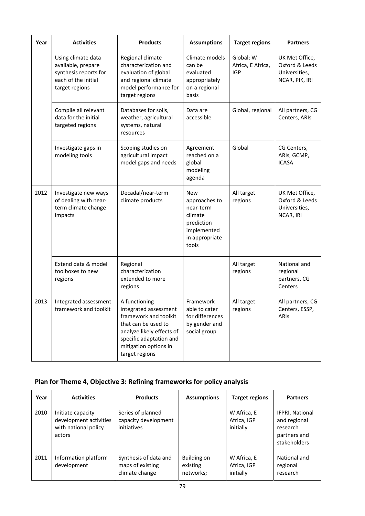| Year | <b>Activities</b>                                                                                          | <b>Products</b>                                                                                                                                                                           | <b>Assumptions</b>                                                                                          | <b>Target regions</b>                        | <b>Partners</b>                                                     |
|------|------------------------------------------------------------------------------------------------------------|-------------------------------------------------------------------------------------------------------------------------------------------------------------------------------------------|-------------------------------------------------------------------------------------------------------------|----------------------------------------------|---------------------------------------------------------------------|
|      | Using climate data<br>available, prepare<br>synthesis reports for<br>each of the initial<br>target regions | Regional climate<br>characterization and<br>evaluation of global<br>and regional climate<br>model performance for<br>target regions                                                       | Climate models<br>can be<br>evaluated<br>appropriately<br>on a regional<br>basis                            | Global; W<br>Africa, E Africa,<br><b>IGP</b> | UK Met Office,<br>Oxford & Leeds<br>Universities,<br>NCAR, PIK, IRI |
|      | Compile all relevant<br>data for the initial<br>targeted regions                                           | Databases for soils,<br>weather, agricultural<br>systems, natural<br>resources                                                                                                            | Data are<br>accessible                                                                                      | Global, regional                             | All partners, CG<br>Centers, ARIs                                   |
|      | Investigate gaps in<br>modeling tools                                                                      | Scoping studies on<br>agricultural impact<br>model gaps and needs                                                                                                                         | Agreement<br>reached on a<br>global<br>modeling<br>agenda                                                   | Global                                       | CG Centers,<br>ARIs, GCMP,<br><b>ICASA</b>                          |
| 2012 | Investigate new ways<br>of dealing with near-<br>term climate change<br>impacts                            | Decadal/near-term<br>climate products                                                                                                                                                     | <b>New</b><br>approaches to<br>near-term<br>climate<br>prediction<br>implemented<br>in appropriate<br>tools | All target<br>regions                        | UK Met Office,<br>Oxford & Leeds<br>Universities,<br>NCAR, IRI      |
|      | Extend data & model<br>toolboxes to new<br>regions                                                         | Regional<br>characterization<br>extended to more<br>regions                                                                                                                               |                                                                                                             | All target<br>regions                        | National and<br>regional<br>partners, CG<br>Centers                 |
| 2013 | Integrated assessment<br>framework and toolkit                                                             | A functioning<br>integrated assessment<br>framework and toolkit<br>that can be used to<br>analyze likely effects of<br>specific adaptation and<br>mitigation options in<br>target regions | Framework<br>able to cater<br>for differences<br>by gender and<br>social group                              | All target<br>regions                        | All partners, CG<br>Centers, ESSP,<br>ARIS                          |

# **Plan for Theme 4, Objective 3: Refining frameworks for policy analysis**

| Year | <b>Activities</b>                                                             | <b>Products</b>                                             | <b>Assumptions</b>                   | <b>Target regions</b>                   | <b>Partners</b>                                                                    |
|------|-------------------------------------------------------------------------------|-------------------------------------------------------------|--------------------------------------|-----------------------------------------|------------------------------------------------------------------------------------|
| 2010 | Initiate capacity<br>development activities<br>with national policy<br>actors | Series of planned<br>capacity development<br>initiatives    |                                      | W Africa, E<br>Africa, IGP<br>initially | <b>IFPRI, National</b><br>and regional<br>research<br>partners and<br>stakeholders |
| 2011 | Information platform<br>development                                           | Synthesis of data and<br>maps of existing<br>climate change | Building on<br>existing<br>networks; | W Africa, E<br>Africa, IGP<br>initially | National and<br>regional<br>research                                               |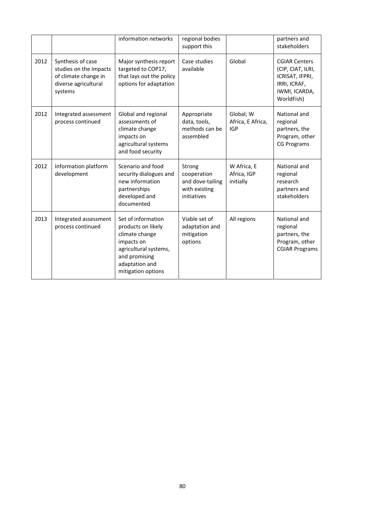|      |                                                                                                        | information networks                                                                                                                                       | regional bodies<br>support this                                           |                                              | partners and<br>stakeholders                                                                                |
|------|--------------------------------------------------------------------------------------------------------|------------------------------------------------------------------------------------------------------------------------------------------------------------|---------------------------------------------------------------------------|----------------------------------------------|-------------------------------------------------------------------------------------------------------------|
| 2012 | Synthesis of case<br>studies on the impacts<br>of climate change in<br>diverse agricultural<br>systems | Major synthesis report<br>targeted to COP17,<br>that lays out the policy<br>options for adaptation                                                         | Case studies<br>available                                                 | Global                                       | <b>CGIAR Centers</b><br>(CIP, CIAT, ILRI,<br>ICRISAT, IFPRI,<br>IRRI, ICRAF,<br>IWMI, ICARDA,<br>WorldFish) |
| 2012 | Integrated assessment<br>process continued                                                             | Global and regional<br>assessments of<br>climate change<br>impacts on<br>agricultural systems<br>and food security                                         | Appropriate<br>data, tools,<br>methods can be<br>assembled                | Global; W<br>Africa, E Africa,<br><b>IGP</b> | National and<br>regional<br>partners, the<br>Program, other<br><b>CG Programs</b>                           |
| 2012 | Information platform<br>development                                                                    | Scenario and food<br>security dialogues and<br>new information<br>partnerships<br>developed and<br>documented                                              | Strong<br>cooperation<br>and dove-tailing<br>with existing<br>initiatives | W Africa, E<br>Africa, IGP<br>initially      | National and<br>regional<br>research<br>partners and<br>stakeholders                                        |
| 2013 | Integrated assessment<br>process continued                                                             | Set of information<br>products on likely<br>climate change<br>impacts on<br>agricultural systems,<br>and promising<br>adaptation and<br>mitigation options | Viable set of<br>adaptation and<br>mitigation<br>options                  | All regions                                  | National and<br>regional<br>partners, the<br>Program, other<br><b>CGIAR Programs</b>                        |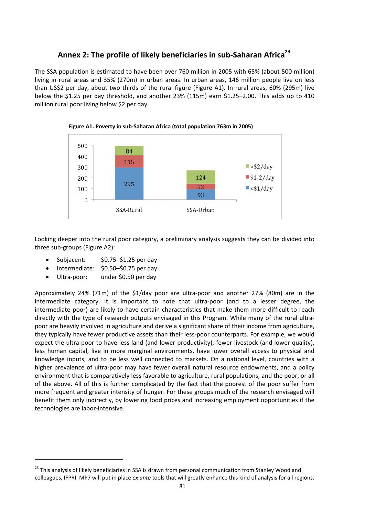# **Annex 2: The profile of likely beneficiaries in sub‐Saharan Africa23**

The SSA population is estimated to have been over 760 million in 2005 with 65% (about 500 million) living in rural areas and 35% (270m) in urban areas. In urban areas, 146 million people live on less than US\$2 per day, about two thirds of the rural figure (Figure A1). In rural areas, 60% (295m) live below the \$1.25 per day threshold, and another 23% (115m) earn \$1.25–2.00. This adds up to 410 million rural poor living below \$2 per day.



**Figure A1. Poverty in sub‐Saharan Africa (total population 763m in 2005)**

Looking deeper into the rural poor category, a preliminary analysis suggests they can be divided into three sub‐groups (Figure A2):

- Subjacent: \$0.75–\$1.25 per day
- Intermediate: \$0.50–\$0.75 per day
- Ultra‐poor: under \$0.50 per day

Approximately 24% (71m) of the \$1/day poor are ultra‐poor and another 27% (80m) are in the intermediate category. It is important to note that ultra-poor (and to a lesser degree, the intermediate poor) are likely to have certain characteristics that make them more difficult to reach directly with the type of research outputs envisaged in this Program. While many of the rural ultra‐ poor are heavily involved in agriculture and derive a significant share of their income from agriculture, they typically have fewer productive assets than their less-poor counterparts. For example, we would expect the ultra-poor to have less land (and lower productivity), fewer livestock (and lower quality), less human capital, live in more marginal environments, have lower overall access to physical and knowledge inputs, and to be less well connected to markets. On a national level, countries with a higher prevalence of ultra-poor may have fewer overall natural resource endowments, and a policy environment that is comparatively less favorable to agriculture, rural populations, and the poor, or all of the above. All of this is further complicated by the fact that the poorest of the poor suffer from more frequent and greater intensity of hunger. For these groups much of the research envisaged will benefit them only indirectly, by lowering food prices and increasing employment opportunities if the technologies are labor‐intensive.

<sup>&</sup>lt;sup>23</sup> This analysis of likely beneficiaries in SSA is drawn from personal communication from Stanley Wood and colleagues, IFPRI. MP7 will put in place *ex ante* tools that will greatly enhance this kind of analysis for all regions.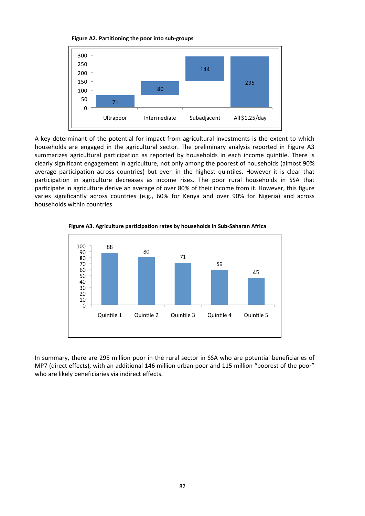



A key determinant of the potential for impact from agricultural investments is the extent to which households are engaged in the agricultural sector. The preliminary analysis reported in Figure A3 summarizes agricultural participation as reported by households in each income quintile. There is clearly significant engagement in agriculture, not only among the poorest of households (almost 90% average participation across countries) but even in the highest quintiles. However it is clear that participation in agriculture decreases as income rises. The poor rural households in SSA that participate in agriculture derive an average of over 80% of their income from it. However, this figure varies significantly across countries (e.g., 60% for Kenya and over 90% for Nigeria) and across households within countries.



**Figure A3. Agriculture participation rates by households in Sub‐Saharan Africa**

In summary, there are 295 million poor in the rural sector in SSA who are potential beneficiaries of MP7 (direct effects), with an additional 146 million urban poor and 115 million "poorest of the poor" who are likely beneficiaries via indirect effects.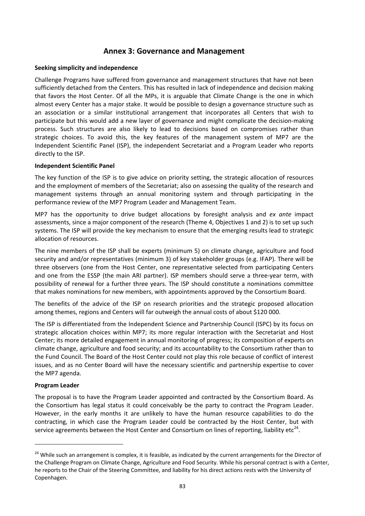## **Annex 3: Governance and Management**

#### **Seeking simplicity and independence**

Challenge Programs have suffered from governance and management structures that have not been sufficiently detached from the Centers. This has resulted in lack of independence and decision making that favors the Host Center. Of all the MPs, it is arguable that Climate Change is the one in which almost every Center has a major stake. It would be possible to design a governance structure such as an association or a similar institutional arrangement that incorporates all Centers that wish to participate but this would add a new layer of governance and might complicate the decision‐making process. Such structures are also likely to lead to decisions based on compromises rather than strategic choices. To avoid this, the key features of the management system of MP7 are the Independent Scientific Panel (ISP), the independent Secretariat and a Program Leader who reports directly to the ISP.

## **Independent Scientific Panel**

The key function of the ISP is to give advice on priority setting, the strategic allocation of resources and the employment of members of the Secretariat; also on assessing the quality of the research and management systems through an annual monitoring system and through participating in the performance review of the MP7 Program Leader and Management Team.

MP7 has the opportunity to drive budget allocations by foresight analysis and *ex ante* impact assessments, since a major component of the research (Theme 4, Objectives 1 and 2) is to set up such systems. The ISP will provide the key mechanism to ensure that the emerging results lead to strategic allocation of resources.

The nine members of the ISP shall be experts (minimum 5) on climate change, agriculture and food security and and/or representatives (minimum 3) of key stakeholder groups (e.g. IFAP). There will be three observers (one from the Host Center, one representative selected from participating Centers and one from the ESSP (the main ARI partner). ISP members should serve a three‐year term, with possibility of renewal for a further three years. The ISP should constitute a nominations committee that makes nominations for new members, with appointments approved by the Consortium Board.

The benefits of the advice of the ISP on research priorities and the strategic proposed allocation among themes, regions and Centers will far outweigh the annual costs of about \$120 000.

The ISP is differentiated from the Independent Science and Partnership Council (ISPC) by its focus on strategic allocation choices within MP7; its more regular interaction with the Secretariat and Host Center; its more detailed engagement in annual monitoring of progress; its composition of experts on climate change, agriculture and food security; and its accountability to the Consortium rather than to the Fund Council. The Board of the Host Center could not play this role because of conflict of interest issues, and as no Center Board will have the necessary scientific and partnership expertise to cover the MP7 agenda.

#### **Program Leader**

The proposal is to have the Program Leader appointed and contracted by the Consortium Board. As the Consortium has legal status it could conceivably be the party to contract the Program Leader. However, in the early months it are unlikely to have the human resource capabilities to do the contracting, in which case the Program Leader could be contracted by the Host Center, but with service agreements between the Host Center and Consortium on lines of reporting, liability etc<sup>24</sup>.

<sup>&</sup>lt;sup>24</sup> While such an arrangement is complex, it is feasible, as indicated by the current arrangements for the Director of the Challenge Program on Climate Change, Agriculture and Food Security. While his personal contract is with a Center, he reports to the Chair of the Steering Committee, and liability for his direct actions rests with the University of Copenhagen.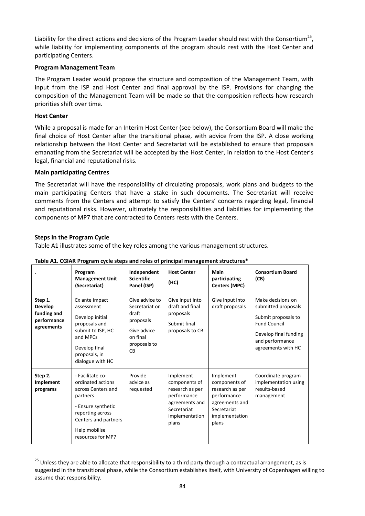Liability for the direct actions and decisions of the Program Leader should rest with the Consortium<sup>25</sup>, while liability for implementing components of the program should rest with the Host Center and participating Centers.

#### **Program Management Team**

The Program Leader would propose the structure and composition of the Management Team, with input from the ISP and Host Center and final approval by the ISP. Provisions for changing the composition of the Management Team will be made so that the composition reflects how research priorities shift over time.

## **Host Center**

While a proposal is made for an Interim Host Center (see below), the Consortium Board will make the final choice of Host Center after the transitional phase, with advice from the ISP. A close working relationship between the Host Center and Secretariat will be established to ensure that proposals emanating from the Secretariat will be accepted by the Host Center, in relation to the Host Center's legal, financial and reputational risks.

## **Main participating Centres**

The Secretariat will have the responsibility of circulating proposals, work plans and budgets to the main participating Centers that have a stake in such documents. The Secretariat will receive comments from the Centers and attempt to satisfy the Centers' concerns regarding legal, financial and reputational risks. However, ultimately the responsibilities and liabilities for implementing the components of MP7 that are contracted to Centers rests with the Centers.

## **Steps in the Program Cycle**

Table A1 illustrates some of the key roles among the various management structures.

|                                                                | Program<br><b>Management Unit</b><br>(Secretariat)                                                                                                                              | Independent<br><b>Scientific</b><br>Panel (ISP)                                                                | <b>Host Center</b><br>(HC)                                                                                               | Main<br>participating<br><b>Centers (MPC)</b>                                                                            | <b>Consortium Board</b><br>(CB)                                                                                                                          |
|----------------------------------------------------------------|---------------------------------------------------------------------------------------------------------------------------------------------------------------------------------|----------------------------------------------------------------------------------------------------------------|--------------------------------------------------------------------------------------------------------------------------|--------------------------------------------------------------------------------------------------------------------------|----------------------------------------------------------------------------------------------------------------------------------------------------------|
| Step 1.<br>Develop<br>funding and<br>performance<br>agreements | Ex ante impact<br>assessment<br>Develop initial<br>proposals and<br>submit to ISP, HC<br>and MPCs<br>Develop final<br>proposals, in<br>dialogue with HC                         | Give advice to<br>Secretariat on<br>draft<br>proposals<br>Give advice<br>on final<br>proposals to<br><b>CB</b> | Give input into<br>draft and final<br>proposals<br>Submit final<br>proposals to CB                                       | Give input into<br>draft proposals                                                                                       | Make decisions on<br>submitted proposals<br>Submit proposals to<br><b>Fund Council</b><br>Develop final funding<br>and performance<br>agreements with HC |
| Step 2.<br>Implement<br>programs                               | - Facilitate co-<br>ordinated actions<br>across Centers and<br>partners<br>- Ensure synthetic<br>reporting across<br>Centers and partners<br>Help mobilise<br>resources for MP7 | Provide<br>advice as<br>requested                                                                              | Implement<br>components of<br>research as per<br>performance<br>agreements and<br>Secretariat<br>implementation<br>plans | Implement<br>components of<br>research as per<br>performance<br>agreements and<br>Secretariat<br>implementation<br>plans | Coordinate program<br>implementation using<br>results-based<br>management                                                                                |

#### **Table A1. CGIAR Program cycle steps and roles of principal management structures\***

<sup>&</sup>lt;sup>25</sup> Unless they are able to allocate that responsibility to a third party through a contractual arrangement, as is suggested in the transitional phase, while the Consortium establishes itself, with University of Copenhagen willing to assume that responsibility.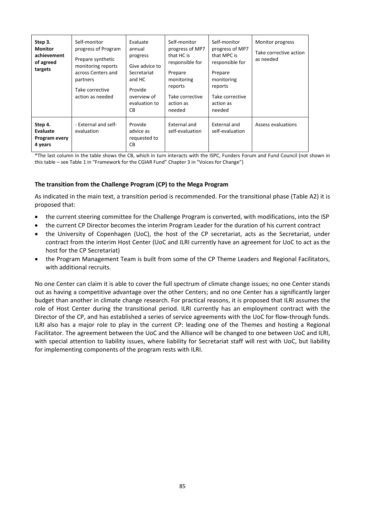| Step 3.<br><b>Monitor</b><br>achievement<br>of agreed<br>targets | Self-monitor<br>progress of Program<br>Prepare synthetic<br>monitoring reports<br>across Centers and<br>partners<br>Take corrective<br>action as needed | Evaluate<br>annual<br>progress<br>Give advice to<br>Secretariat<br>and HC<br>Provide<br>overview of<br>evaluation to<br>CB. | Self-monitor<br>progress of MP7<br>that HC is<br>responsible for<br>Prepare<br>monitoring<br>reports<br>Take corrective<br>action as<br>needed | Self-monitor<br>progress of MP7<br>that MPC is<br>responsible for<br>Prepare<br>monitoring<br>reports<br>Take corrective<br>action as<br>needed | Monitor progress<br>Take corrective action<br>as needed |
|------------------------------------------------------------------|---------------------------------------------------------------------------------------------------------------------------------------------------------|-----------------------------------------------------------------------------------------------------------------------------|------------------------------------------------------------------------------------------------------------------------------------------------|-------------------------------------------------------------------------------------------------------------------------------------------------|---------------------------------------------------------|
| Step 4.<br>Evaluate<br>Program every<br>4 years                  | - External and self-<br>evaluation                                                                                                                      | Provide<br>advice as<br>requested to<br><b>CB</b>                                                                           | External and<br>self-evaluation                                                                                                                | External and<br>self-evaluation                                                                                                                 | Assess evaluations                                      |

\*The last column in the table shows the CB, which in turn interacts with the ISPC, Funders Forum and Fund Council (not shown in this table – see Table 1 in "Framework for the CGIAR Fund" Chapter 3 in "Voices for Change")

## **The transition from the Challenge Program (CP) to the Mega Program**

As indicated in the main text, a transition period is recommended. For the transitional phase (Table A2) it is proposed that:

- the current steering committee for the Challenge Program is converted, with modifications, into the ISP
- the current CP Director becomes the interim Program Leader for the duration of his current contract
- the University of Copenhagen (UoC), the host of the CP secretariat, acts as the Secretariat, under contract from the interim Host Center (UoC and ILRI currently have an agreement for UoC to act as the host for the CP Secretariat)
- the Program Management Team is built from some of the CP Theme Leaders and Regional Facilitators, with additional recruits.

No one Center can claim it is able to cover the full spectrum of climate change issues; no one Center stands out as having a competitive advantage over the other Centers; and no one Center has a significantly larger budget than another in climate change research. For practical reasons, it is proposed that ILRI assumes the role of Host Center during the transitional period. ILRI currently has an employment contract with the Director of the CP, and has established a series of service agreements with the UoC for flow-through funds. ILRI also has a major role to play in the current CP: leading one of the Themes and hosting a Regional Facilitator. The agreement between the UoC and the Alliance will be changed to one between UoC and ILRI, with special attention to liability issues, where liability for Secretariat staff will rest with UoC, but liability for implementing components of the program rests with ILRI.